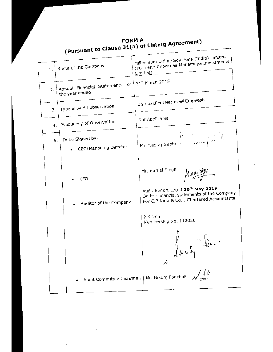Millennium Online Solutions (India) Limited (Formerly Known as Mahamaya Investments Name of the Company  $\mathbf{1}$ . Limited) \_ 31st March 2015 Annual Financial Statements for  $2.$ the year ended Un-qualified/<del>Matter of Emphasis</del> 3. Type of Audit observation Not Applicable 4. Frequency of Observation 5. | To be Signed by-Mr. Neeraj Gupta - CEO/Managing Director Mr. Harilal Singh  $\frac{1}{2}$ CFO Audit Report dated 30th May 2015 On the financial statements of the Company For C.P.Jaria & Co., Chartered Accountants Auditor of the Company P.K Jain Membership No. 112020 Audit Committee Chairman | Mr. Nikunj Pancholi 4/14

(Pursuant to Clause 31(a) of Listing Agreement) **FORM A**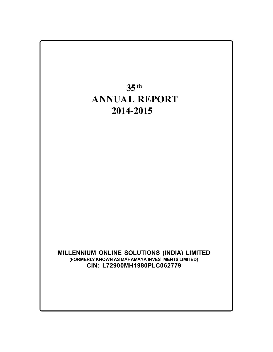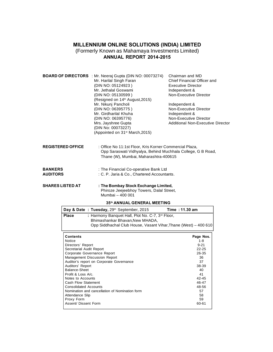# MILLENNIUM ONLINE SOLUTIONS (INDIA) LIMITED MILLENNIUM ONLINE SOLUTIONS (INDIA) LIMITED<br>(Formerly Known as Mahamaya Investments Limited)<br>ANNUAL REPORT 2014-2015

| <b>ANNUAL REPORT 2014-2015</b>    |                                                                                                                                                                                                                                                                                     |                                                                                                                                                                                    |  |  |  |  |
|-----------------------------------|-------------------------------------------------------------------------------------------------------------------------------------------------------------------------------------------------------------------------------------------------------------------------------------|------------------------------------------------------------------------------------------------------------------------------------------------------------------------------------|--|--|--|--|
|                                   | <b>BOARD OF DIRECTORS</b> : Mr. Neeraj Gupta (DIN NO: 00073274)<br>Mr. Harilal Singh Faran<br>(DIN NO: 05124923)<br>Mr. Jethalal Goswami<br>(DIN NO: 05130599)<br>(Resigned on 14 <sup>th</sup> August, 2015)<br>Mr. Nikunj Pancholi<br>(DIN NO: 06395775)<br>Mr. Girdharilal Khuha | Chairman and MD<br>Chief Financial Officer and<br><b>Executive Director</b><br>Independent &<br>Non-Executive Director<br>Independent &<br>Non-Executive Director<br>Independent & |  |  |  |  |
|                                   | (DIN NO: 06395776)<br>Mrs. Jayshree Gupta<br>(DIN No: 00073227)<br>(Appointed on 31 <sup>st</sup> March, 2015)                                                                                                                                                                      | Non-Executive Director<br>Additional Non-Executive Director                                                                                                                        |  |  |  |  |
| <b>REGISTERED OFFICE</b>          | : Office No 11:1st Floor, Kris Korner Commercial Plaza,<br>Opp Saraswati Vidhyalya, Behind Muchhala College, G B Road,<br>Thane (W), Mumbai, Maharashtra-400615                                                                                                                     |                                                                                                                                                                                    |  |  |  |  |
| <b>BANKERS</b><br><b>AUDITORS</b> | : The Financial Co-operative Bank Ltd<br>: C. P. Jaria & Co., Chartered Accountants.                                                                                                                                                                                                |                                                                                                                                                                                    |  |  |  |  |
| <b>SHARES LISTED AT</b>           | : The Bombay Stock Exchange Limited,<br>Phiroze Jeejeebhoy Towers, Dalal Street,<br>Mumbai - 400 001                                                                                                                                                                                |                                                                                                                                                                                    |  |  |  |  |
|                                   | 35th ANNUAL GENERAL MEETING                                                                                                                                                                                                                                                         |                                                                                                                                                                                    |  |  |  |  |

| ------                                        | . THE BOMDAY OLOCK EXCHANGE EMMEDIA<br>Phiroze Jeejeebhoy Towers, Dalal Street,<br>Mumbai - 400 001                                                                |                |
|-----------------------------------------------|--------------------------------------------------------------------------------------------------------------------------------------------------------------------|----------------|
|                                               | 35th ANNUAL GENERAL MEETING                                                                                                                                        |                |
|                                               | Day & Date: Tuesday, 29th September, 2015                                                                                                                          | Time: 11.30 am |
| <b>Place</b>                                  | : Harmony Banquet Hall, Plot No. C-7, 3 <sup>rd</sup> Floor,<br>Bhimashankar Bhavan, New MHADA,<br>Opp Siddhachal Club House, Vasant Vihar, Thane (West) – 400 610 |                |
| <b>Contents</b>                               |                                                                                                                                                                    | Page Nos.      |
| Notice                                        |                                                                                                                                                                    | 1-8            |
|                                               |                                                                                                                                                                    | $9 - 21$       |
| Directors' Report<br>Secretarial Audit Report |                                                                                                                                                                    | $22 - 25$      |
|                                               | Corporate Governance Report                                                                                                                                        | 26-35          |
|                                               | Management Discussion Report                                                                                                                                       | 36             |
|                                               | Auditor's report on Corporate Coustpance                                                                                                                           | $\sim$         |

| uunenis                                        | гаче ічоэ. |
|------------------------------------------------|------------|
| Notice                                         | 1-8        |
| Directors' Report                              | $9 - 21$   |
| Secretarial Audit Report                       | $22 - 25$  |
| Corporate Governance Report                    | 26-35      |
| Management Discussion Report                   | 36         |
| Auditor's report on Corporate Governance       | 37         |
| Auditors' Report                               | 38-39      |
| Balance-Sheet                                  | 40         |
| Profit & Loss A/c.                             | 41         |
| Notes to Accounts                              | 42-45      |
| Cash Flow Statement                            | 46-47      |
| Consolidated Accounts                          | 48-56      |
| Nomination and cancellation of Nomination form | 57         |
| Attendance Slip                                | 58         |
| Proxy Form                                     | 59         |
| Assent/ Dissent Form                           | 60-61      |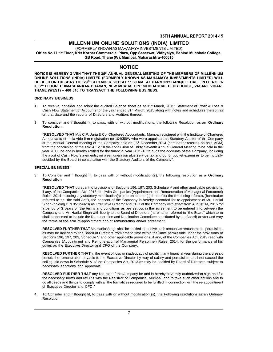# 35TH ANNUAL REPORT 201<br>MILLENNIUM ONLINE SOLUTIONS (INDIA) LIMITED<br>(FORMERLY KNOWN AS MAHAMAYA INVESTMENTS LIMITED) 35TH ANNUAL REPORT 2014-15<br>MILLENNIUM ONLINE SOLUTIONS (INDIA) LIMITED<br>(FORMERLY KNOWN AS MAHAMAYA INVESTMENTS LIMITED)

Office No 11:1<sup>st</sup> Floor, Kris Korner Commercial Plaza, Opp Saraswati Vidhyalya, Behind Muchhala College,

GB Road, Thane (W), Mumbai, Maharashtra-400615

## **NOTICE**

NOTICE IS HEREBY GIVEN THAT THE 35<sup>th</sup> ANNUAL GENERAL MEETING OF THE MEMBERS OF MILLENNIUM GB Road, Thane (W), Mumbai, Maharashtra-400615<br>NOTICE<br>NOTICE IS HEREBY GIVEN THAT THE 35<sup>th</sup> ANNUAL GENERAL MEETING OF THE MEMBERS OF MILLENNIUM<br>ONLINE SOLUTIONS (INDIA) LIMITED (FORMERLY KNOWN AS MAHAMAYA INVESTMENTS LIM BE HELD ON TUESDAY THE 29TH SEPTMBER, 2015 AT 11.30 AM AT HARMONY BANQUET HALL, PLOT NO. C-**NOTICE**<br>NOTICE IS HEREBY GIVEN THAT THE 35<sup>th</sup> ANNUAL GENERAL MEETING OF THE MEMBERS OF MILLENNIUM<br>ONLINE SOLUTIONS (INDIA) LIMITED (FORMERLY KNOWN AS MAHAMAYA INVESTMENTS LIMITED) WILL<br>BE HELD ON TUESDAY THE 29<sup>th</sup> SEPTM **NOTICE IS HEREBY GIVEN THAT THE 35<sup>th</sup> ANNUAL GENERAL MEETING OF<br>ONLINE SOLUTIONS (INDIA) LIMITED (FORMERLY KNOWN AS MAHAMAY<br>BE HELD ON TUESDAY THE 29<sup>th</sup> SEPTMBER, 2015 AT 11.30 AM AT HARMO<br>7, 3<sup>rd</sup> FLOOR, BHIMASHANKAR** 7,  $3^{RD}$  FLOOR, BHIMASHANKAR BHAVAN, NEW MHADA, OPP SIDDHACHAL CLUB HOUSE, VASANT VIHAR,<br>THANE (WEST) – 400 610 TO TRANSACT THE FOLLOWING BUSINESS.<br>ORDINARY BUSINESS:<br>1. To receive, consider and adopt the audited Balance

- 1. To receive, consider and adopt the audited Balance sheet as at 31<sup>st</sup> March, 2015, Statement of Profit & Loss &<br> **CRDINARY BUSINESS:**<br>
1. To receive, consider and adopt the audited Balance sheet as at 31<sup>st</sup> March, 2015 NE (WEST) – 400 610 TO TRANSACT THE FOLLOWING BUSINESS.<br>INARY BUSINESS:<br>To receive, consider and adopt the audited Balance sheet as at 31<sup>st</sup> March, 2015, Statement of Profit & Loss &<br>Cash Flow Statement of Accounts for th **INARY BUSINESS:**<br>To receive, consider and adopt the audited Balance sheet as at 31<br>Cash Flow Statement of Accounts for the year ended 31<sup>st</sup> March, 20<br>on that date and the reports of Directors and Auditors thereon.<br>To con 2. To consider and adopt the audited Balance sheet as at 31<sup>st</sup> March, 2015, Statement of Profit & Loss & Cash Flow Statement of Accounts for the year ended 31<sup>st</sup> March, 2015 along with notes and schedules thereon as on t
- Resolution:

on that date and the reports of Directors and Auditors thereon.<br>To consider and if thought fit, to pass, with or without modifications, the following Resolution as an **Ordinary**<br>**RESOLVED THAT** M/s C.P. Jaria & Co, Charter To consider and if thought fit, to pass, with or without modifications, the following Resolution as an **Ordinary**<br> **RESOLVED THAT** M/s C.P. Jaria & Co, Chartered Accountants, Mumbai registered with the Institute of Charter To consider and if thought fit, to pass, with or without modifications, the following Resolution as an **Ordinary**<br> **At the Annual General Meeting of the Company held on 15th December, 2014** (hereinafter referred as said AG **FRESOLVED THAT** M/s C.P. Jaria & Co, Chartered Accountants, Mumbai registered with the Institute of Chartered Accountants of India vide firm registration no 104058W who were appointed as Statutory Auditor of the Company a "RESOLVED THAT M/s C.P. Jaria & Co, Chartered Accountants, Mumbai registered with the Institute of Chartered<br>Accountants of India vide firm registration no 104058W who were appointed as Statutory Auditor of the Company<br>at RESOLVED THAT M/S C.P. Jaila & Co, Charleted Accountains, Munibal registered with the firstude of Charleted Accountants of India vide firm registration no 104058W who were appointed as Statutory Auditor of the Company at Accountains of mual vide firm registration no 10405600 wife were appointed as statute<br>at the Annual General meeting of the Company held on 15<sup>th</sup> December, 2014 (hereinat<br>from the conclusion of the said AGM till the conclu 3. To Consider and if thought fit, to pass with or without modification(s), the following resolution as a Ordinary<br>3. To Consider and if thought fit, to pass with or without modification(s), the following resolution as a O

#### **SPECIAL BUSINESS:**

**Resolution** 

CIAL BUSINESS:<br>To Consider and if thought fit, to pass with or without modification(s), the following resolution as a Ordinary<br>Resolution<br>"RESOLVED THAT pursuant to provisions of Sections 196, 197, 203, Schedule V and othe To Consider and if thought fit, to pass with or without modification(s), the following resolution as a **Ordinary**<br> **RESOLVED THAT** pursuant to provisions of Sections 196, 197, 203, Schedule V and other applicable provision To Consider and if thought fit, to pass with or without modification(s), the following resolution as a **Crainary**<br> **RESOLVED THAT** pursuant to provisions of Sections 196, 197, 203, Schedule V and other applicable provisio **RESOLVED THAT** pursuant to provisions of Sections 196, 197, 203, Schedule V and other applicable provisions, if any, of the Companies Act, 2013 read with Companies (Appointment and Remuneration of Managerial Personnel) Ru "RESOLVED THAT pursuant to provisions of Sections 196, 197, 203, Schedule V and other applicable provisions, if any, of the Companies Act, 2013 read with Companies (Appointment and Remuneration of Managerial Personnel) Rul RESOLVED THAT pursuant to provisions of Sections 196, 197, 203, Scriedule V and other applicable provisions,<br>if any, of the Companies Act, 2013 read with Companies (Appointment and Remuneration of Managerial Personnel)<br>Rul In any, or the Companies Act, 2013 read with Companies (Appointment and Remuneration or Managenal Personner)<br>Rules, 2014 including any statutory modification(s) or re-enactment(s) thereof for the time being inforce), (here Rules, 2014 including any statutory modification(s) or re-enactment(s) thereor for the time being inforce), (hereinated referred to as "the said Act"), the consent of the Company is hereby accorded for re-appointment of Mr The terms of the said Act J, the consent of the Company is heleby accorded in<br>Singh (holding DIN 05124923) as Executive Director and CFO of the Company with<br>a period of 3 years on the terms and conditions as are set out in a period or 3 years on the terms and conditions as are set out in the agreement to be entered into between the<br>Company and Mr. Harilal Singh with liberty to the Board of Directors (hereinafter referred to "the Board" which

Company and Mr. Harilal Singh With liberty to the Board of Directors (hereinatter referred to "the Board" Which term<br>
shall be deemed to include the Remuneration and Nomination Committee constituted by the Board) to alter Shall be deemed to include the Remuneration and Nomination Committee constituted by the Board) to arer and vary<br>the terms of the said re-appointment and/or remuneration and/or agreement.<br>**RESOLVED FURTHER THAT** Mr. Harilal the terms of the said re-appointment and/or remuneration and/or agreement.<br> **RESOLVED FURTHER THAT** Mr. Harilal Singh shall be entitled to receive such amount as remuneration, perquisites,<br>
as may be decided by the Board o **RESOLVED FURTHER THAT** Mr. Harilal Singh shall be entitled to as may be decided by the Board of Directors from time to time with Sections 196, 197, 203, Schedule V and other applicable provision Companies (Appointment and as may be decided by the Board of Directors from time to time within the limits permissible under the provisions of<br>Sections 196, 197, 203, Schedule V and other applicable provisions, if any, of the Companies Act, 2013 rea

Companies (Appointment and Remuneration of Managerial Personnel) Rules, 2014, for the performance of his duties as the Executive Director and CFO of the Company.<br> **RESOLVED FURTHER THAT** in the event of loss or inadequacy Companies (Appointment and Remuneration of Managerial Personnel) Rules, 2014, for the performance of his duties as the Executive Director and CFO of the Company.<br> **RESOLVED FURTHER THAT** in the event of loss or inadequacy duties as the Executive Director and CFC<br>RESOLVED FURTHER THAT in the even<br>period, the remuneration payable to the E<br>ceiling laid down in Schedule V of the Co<br>necessary sanctions and approvals.<br>RESOLVED FURTHER THAT any Di

RESOLVED FURTHER THAT any Director of the Company be and is hereby severally authorized to sign and file<br>the necessary forms and returns with the Registrar of Companies, Mumbai, and to take such other actions and to period, the remuneration payable to the Executive Director by way or salary and perquisites shall not exceed the<br>celling laid down in Schedule V of the Companies Act, 2013 as may be decided by Board of Directors, subject t do all deeds and things to complement of Executive Directors, subject to necessary sanctions and approvals.<br> **RESOLVED FURTHER THAT** any Director of the Company be and is hereby severally authorized to sign and file<br>
the n necessary sanctions and approvais.<br>
RESOLVED FURTHER THAT any Dir<br>
the necessary forms and returns with<br>
do all deeds and things to comply with<br>
of Executive Director and CFO."<br>
To Consider and if thought fit to pass 4. To Consider and if thought fit, to pass with or without modification (s), the Following resolutions as an Ordinary<br>Resolution

Resolution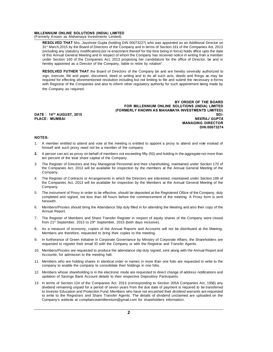## MILLENNIUM ONLINE SOLUTIONS (INDIA) LIMITED<br>(Formerly Known as Mahamaya Investments Limited)

MILLENNIUM ONLINE SOLUTIONS (INDIA) LIMITED<br>(Formerly Known as Mahamaya Investments Limited)<br>RESOLVED THAT Mrs. Jayshree Gupta (holding DIN) ENNIUM ONLINE SOLUTIONS (INDIA) LIMITED<br>nerly Known as Mahamaya Investments Limited)<br>RESOLVED THAT Mrs. Jayshree Gupta (holding DIN 00073227) who was appointed as an Additional Director on<br>(including apu other board of Dir SENNIUM ONLINE SOLUTIONS (INDIA) LIMITED<br>
Therly Known as Mahamaya Investments Limited)<br>
RESOLVED THAT Mrs. Jayshree Gupta (holding DIN 00073227) who was appointed as an Additional Director on<br>
31<sup>st</sup> March,2015 by the Boa (including any statutory modification(s) CHMITED<br>
RESOLVED THAT Mrs. Jayshree Gupta (holding DIN 00073227) who was appointed as an Additional Director on<br>
31<sup>st</sup> March, 2015 by the Board of Directors of the Company and in nerly Known as Mahamaya Investments Limited)<br> **RESOLVED THAT** Mrs. Jayshree Gupta (holding DIN 00073227) who was appointed as an Additional Director on<br>
31<sup>st</sup> March, 2015 by the Board of Directors of the Company and in te RESOLVED THAT Mrs. Jayshree Gupta (holding DIN 00073227) who was appointed as an Additional Director on 31<sup>st</sup> March, 2015 by the Board of Directors of the Company and in terms of Section 161 of the Companies Act, 2013 (in 31<sup>st</sup> March, 2015 by the Board of Directors of the Company and in terms of Section 161 of the Companies Act, 2013 (including any statutory modification(s)or re-enactment thereof for the time being in force) holds office u (including any statutory modification(s)of re-enactment thereof for the time being in force) holds office upto the date<br>of this Annual General Meeting and in respect of whom the Company has received notice in writing from

or this Annual General Meeting and in respect or whom the Company has received notice in writing from a member<br>under Section 160 of the Companies Act, 2013 proposing her candidature for the office of Director, be and is<br>he under Section 160 of the Companies Act, 2013 proposing her candidature for the office of Director, be and is<br>hereby appointed as a Director of the Company, liable to retire by rotation".<br>**RESOLVED FUTHER THAT** the Board of **RESOLVED FUTHER THAT the Sign, execute, file and paper, required for effecting aforement with Registrar of the Companie the Companie Company as required.** 

BY ORDER OF THE BOARD with Registrar of the Companies and also to inform other regulatory authority for such appointment being made by<br>the Company as required.<br> **EXECTME BOARD**<br> **EXECTME BOARD**<br> **EXECTME BOARD**<br> **EXECTME BOARD**<br> **EXECTME BOARD** (FORMERLY KNOWN AS MAHAMAYA INVESTMENTS LIMITED) BY ORDER OF THE BOARD<br>FOR MILLENNIUM ONLINE SOLUTIONS (INDIA) LIMITED<br>(FORMERLY KNOWN AS MAHAMAYA INVESTMENTS LIMITED)<br>PLACE: MUMBAI MANAGING DIRECTOR<br>MANAGING DIRECTOR **PROER OF THE BOARD<br>TIONS (INDIA) LIMITED<br>NVESTMENTS LIMITED)<br>NEERAJ GUPTA<br>MANAGING DIRECTOR<br>DIN:00073274** DIN:00073274

#### **NOTES:**

- MANAGING DIRECTOR<br>1. A member entitled to attend and vote at the meeting is entitled to appoint a proxy to attend and vote instead of<br>himself and such proxy need not be a member of the company. **ES:**<br>A member entitled to attend and vote at the meeting is entitled to a<br>himself and such proxy need not be a member of the company.<br>A person can act as proxy on behalf of members not exceeding fifty (5) **ES:**<br>A member entitled to attend and vote at the meeting is entimself and such proxy need not be a member of the com<br>A person can act as proxy on behalf of members not exceed<br>ten percent of the total share capital of the
- A person can act as proxy on behalf of members not exceeding fifty (50) and holding in the aggregate not more than<br>ten percent of the total share capital of the Company.<br>A person can act as proxy on behalf of members not e
- 3. The Register of Directors and Key Managerial Personnel and their shareholding, maintained under Section 170 of the Company.<br>3. The Register of Directors and Key Managerial Personnel and their shareholding, maintained un nimself and such proxy need not be a member of the company.<br>A person can act as proxy on behalf of members not exceeding fifty (50) and holding in the aggregate not more than<br>ten percent of the total share capital of the C Company. 1. The Register of Directors and Key Managerial Personnel and their shareholding, maintained under Section 170 of<br>
1. The Register of Directors and Key Managerial Personnel and their shareholding, maintained under Section
- The Register of Directors and Key Managerial Personnel and their shareholding, maintained under Section 170 of<br>the Companies Act, 2013 will be available for inspection by the members at the Annual General Meeting of the<br>Co Company. 5. The Register of Contracts or Arrangements in which the Directors are interested, maintained under Section 189 of<br>the Companies Act, 2013 will be available for inspection by the Members at the Annual General Meeting of t the Companies Act, 2013 will be available for inspection by the Members at the Annual General Meeting of the
- herewith. 6. The instrument of Proxy in order to be effective, should be deposited at the Registered Ofûce of the Company, duly completed and signed, not less than 48 hours before the commencement of the meeting. A Proxy form is sen The instrument of P<br>completed and sign<br>herewith.<br>Members/Proxies sl<br>Annual Report.<br>The Register of Me
- France Completed and Signed, not less than 40 hours before the commencement of the meeting. A Froxy form is sent<br>for Members/Proxies should bring the Attendance Slip duly filled in for attending the Meeting and also their From 21st Septembers/Proxies should bring the Attendance Slip duly filled in for attending the<br>Annual Report.<br>The Register of Members and Share Transfer Register in respect of equity shom 21<sup>st</sup> September, 2015 to 29<sup>th</sup> S
- 8. The Register of Members and Share Transfer Register in respect of equity shares of the Company were closed<br>8. As a measure of economy, copies of the Annual Reports and Accounts will not be distributed at the Meeting.<br>8. The Register of Members and Share Transfer Register in respect of equity<br>from 21<sup>st</sup> September, 2015 to 29<sup>th</sup> September, 2015 (both days inclusive).<br>As a measure of economy, copies of the Annual Reports and Accounts \<br>Mem
- rem 21 September, 2010 to 20 September, 2010 (both days measure).<br>As a measure of economy, copies of the Annual Reports and Accounts will not be distributed at thembers are therefore, requested to bring their copies to the
- 9. In furtherance of Green Initiative in Corporate Governance by Ministry of Corporate Affairs, the Shareholders are requested to register their email ID with the Company or with the Registrar and Transfer Agents. 10. Members are therefore, requested to bring their copies to the meeting.<br>
10. In furtherance of Green Initiative in Corporate Governance by Ministry of Corporate Affairs, the Shareholders are<br>
10. Members/Proxies are req In furtherance of Green Initiative in Corporate Greguested to register their email ID with the Con<br>Rembers/Proxies are requested to produce the a<br>Accounts, for admission to the meeting hall.<br>Members who are holding shares
- 11. Members/Proxies are requested to produce the attendance slip duly signed, sent along with the Annual Report and<br>10. Members/Proxies are requested to produce the attendance slip duly signed, sent along with the Annual R requested to register their entail is with the company of with the registral and<br>Members/Proxies are requested to produce the attendance slip duly signed, sel<br>Accounts, for admission to the meeting hall.<br>Members who are ho
- Members who are holding shares in identical order or names in more than one folio are recompany to enable the company to consolidate their holdings in one folio.<br>Members whose shareholding is in the electronic mode are req
- 11. Members who are holding shares in identical order or names in more than one folio are requested to write to the company to enable the company to consolidate their holdings in one folio.<br>12. Members whose shareholding i 12. Members whose shareholding is in the electronic mode are requested to direct change of address notifications and<br>13. In terms of Section 124 of the Companies Act, 2013 (corresponding to Section 205A Companies Act, 1956
- dividend remaining unpaid for a period of seven years from the due date of address notifications and updation of Savings Bank Account details to their respective Depository Participants.<br>In terms of Section 124 of the Comp Members whose shareholding is in the electronic mode are requested to direct change of address notifications and<br>updation of Savings Bank Account details to their respective Depository Participants.<br>In terms of Section 124 updation of Savings Bank Account details to their respective Depository Participants.<br>In terms of Section 124 of the Companies Act, 2013 (corresponding to Section 205A Companies Act, 1956) any<br>dividend remaining unpaid for to write to the Registrars and Share Transfer Agents. The details of dividend unclaimed are uploaded on the<br>Company's website at complianceatmillennium@gmail.com for shareholders information.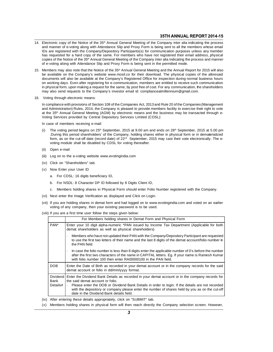- 35TH ANNUAL REPORT 2014-15<br>14. Electronic copy of the Notice of the 35<sup>th</sup> Annual General Meeting of the Company inter alia indicating the process<br>10g and manner of e-voting along with Attendance Slip and Proxy Form is bei **Electronic copy of the Notice of the 35<sup>th</sup> Annual General Meeting of the Company inter alia indicating the process and manner of e-voting along with Attendance Slip and Proxy Form is being sent to all the members whose e IDS ARE SERVIET 2014-15**<br>
IDs are registered with the Company/Depository Participants(s) for communication purposes unless any member<br>
IDs are registered with the Company/Depository Participants(s) for communication purpo **S5TH ANNUAL REPORT 2014-15**<br>Electronic copy of the Notice of the 35<sup>th</sup> Annual General Meeting of the Company inter alia indicating the process<br>and manner of e-voting along with Attendance Slip and Proxy Form is being se Electronic copy of the Notice of the 35<sup>th</sup> Annual General Meeting of the Company inter alia indicating the process<br>and manner of e-voting along with Attendance Slip and Proxy Form is being sent to all the members whose em and manner of e-voting along with Attendance Slip and Proxy Form is being sent to all the members whose email<br>IDs are registered with the Company/Depository Participants(s) for communication purposes unless any member<br>has
- 15. Members may also note that the Notice of the 35<sup>th</sup> Annual General Meeting and the Annual Report for 2015 will also<br>be available on the Company's website www.mosil.co for their download. The physical copies of the afor has requested for a hard copy of the same. For members who have not registered their email address, physical<br>copies of the Notice of the 35<sup>th</sup> Annual General Meeting of the Company inter alia indicating the process and ma copies of the Notice of the 35<sup>th</sup> Annual General Meeting of the Company inter alia indicating the process and manner<br>of e-voting along with Attendance Slip and Proxy Form is being sent in the permitted mode.<br>Members may a of e-voting along with Attendance Slip and Proxy Form is being sent in the permitted mode.<br>Members may also note that the Notice of the 35<sup>th</sup> Annual General Meeting and the Annual Report for 2015 will also<br>be available on Members may also note that the Notice of the 35<sup>th</sup> Annual General Meeting and the Annual Report for 2015 will also<br>be available on the Company's website www.mosil.co for their download. The physical copies of the aforesai Members riay also note that the Notice of the 33<sup>5</sup> Annual General Meeting and the Annual Report for 20<br>be available on the Company's website www.mosil.co for their download. The physical copies of the<br>documents will also on working days. Even after registering for e-communication, members are entitled to receive such communication<br>in physical form, upon making a request for the same, by post free of cost. For any communication, the shareho In physical form, upon making a request for the same, by post free of cost. For any communication, the shareholders<br>
may also send requests to the Company's investor email id: complianceatmillennium@gmail.com.<br>
Voting thro
- 

and Administration) Rules, 2014, the Company is pleased to provide members facility to exercise their right to vote<br>and Administration) Rules, 2014, the Company is pleased to provide members facility to exercise their righ Voting through electronic means:<br>In compliance with provisions of Section 108 of the Companies Act, 2013 and Rule 20 of the Companies (Management<br>and Administration) Rules, 2014, the Company is pleased to provide members f Voting through electronic means:<br>In compliance with provisions of Section 108 of the Companies Act, 2013 and Rule<br>and Administration) Rules, 2014, the Company is pleased to provide members fa<br>at the 35<sup>th</sup> Annual General M In compliance with provisions of Section 108<br>and Administration) Rules, 2014, the Compat the 35<sup>th</sup> Annual General Meeting (AGM<br>Voting Services provided by Central Depo<br>In case of members receiving e-mail:<br>(i) The voting p

- (i) The voting period begins on 25<sup>th</sup>, September, 2015 at 9.00 am and ends on 28<sup>th</sup> September, 2015 at 5.00 pm<br>(i) The voting period begins on 25<sup>th</sup> September, 2015 at 9.00 am and ends on 28<sup>th</sup> September, 2015 at 5.00 So Commistant Woolf Bernstein School Services Limited (CDSL):<br>Se of members receiving e-mail:<br>The voting period begins on 25<sup>th</sup> September, 2015 at 9.00 am and ends on 28<sup>th</sup> September, 2015 at 5.00 pm<br>During this period s g sorridge provided by Collinian Deposition, Services Ellimited (CDCD).<br>The voting period begins on 25<sup>th</sup> September, 2015 at 9.00 am and ends on 28<sup>th</sup> September, 2015 at 5.00 pm<br>During this period shareholders' of the Co se of members receiving e-mail:<br>The voting period begins on 25<sup>th</sup> September, 2015 at 9.00 am and<br>.During this period shareholders' of the Company, holding shares e<br>form, as on the cut-off date (record date) of 22<sup>nd</sup> Sept (i) The voting peric<br>
During this peri<br>
form, as on the<br>
voting module s<br>
(ii) Open e-mail<br>
(iii) Log on to the eform, as on the cut-off date (record date) of  $22^{\text{nd}}$  September, 2015 may cast their vote electronically. The e-<br>voting module shall be disabled by CDSL for voting thereafter.<br>(ii) Open e-mail<br>(iii) Log on to the e-vot
- 
- voting module shall be disabled k<br>
(ii) Open e-mail<br>
(iii) Log on to the e-voting website w<br>
(iv) Click on "Shareholders" tab.<br>
(v) Now Enter your User ID (ii) Open e-mail<br>(iii) Log on to the e-voting website www.<br>(iv) Click on "Shareholders" tab.<br>(v) Now Enter your User ID<br>a. For CDSL: 16 digits beneficiary
- 
- -
- (v) Now Enter your User ID<br>a. For CDSL: 16 digits beneficiary ID,<br>b. For NSDL: 8 Character DP ID followed by 8 Digits Client ID,
- Click on "Shareholders" tab.<br>B. For CDSL: 16 digits beneficiary ID,<br>b. For NSDL: 8 Character DP ID followed by 8 Digits Client ID,<br>c. Members holding shares in Physical Form should enter Folio Number registered with the Co
- 
- a. For CDSL: 16 digits beneficiary ID,<br>b. For NSDL: 8 Character DP ID followed by 8 Digits Client ID,<br>c. Members holding shares in Physical Form should enter Folio Num<br>(vi) Next enter the Image Verification as displayed an b. For NSDL: 8 Character DP ID followed by 8 Digits Client ID,<br>c. Members holding shares in Physical Form should enter Folio Number registered with the Company.<br>(vii) Next enter the Image Verification as displayed and Clic c. Members holding shares in Physical Form should enter Folio Num<br>Next enter the Image Verification as displayed and Click on Login.<br>If you are holding shares in demat form and had logged on to www.evot<br>voting of any compa (vi) Next enter the Image Verification as displayed and Click on Login.<br>(vii) If you are holding shares in demat form and had logged on to www.<br>voting of any company, then your existing password is to be used.

|                  | For Members holding shares in Demat Form and Physical Form                                                                                                                                                                                                                                                                                                                                         |
|------------------|----------------------------------------------------------------------------------------------------------------------------------------------------------------------------------------------------------------------------------------------------------------------------------------------------------------------------------------------------------------------------------------------------|
| PAN <sup>*</sup> | Enter your 10 digit alpha-numeric *PAN issued by Income Tax Department (Applicable for both<br>demat shareholders as well as physical shareholders)                                                                                                                                                                                                                                                |
|                  | Members who have not updated their PAN with the Company/Depository Participant are requested<br>$\bullet$<br>to use the first two letters of their name and the last 8 digits of the demat account/folio number in<br>the PAN field.                                                                                                                                                               |
|                  | In case the folio number is less than 8 digits enter the applicable number of 0's before the number<br>$\bullet$<br>after the first two characters of the name in CAPITAL letters. Eg. If your name is Ramesh Kumar<br>with folio number 100 then enter RA00000100 in the PAN field.                                                                                                               |
| DOB              | Enter the Date of Birth as recorded in your demat account or in the company records for the said<br>demat account or folio in dd/mm/yyyy format.                                                                                                                                                                                                                                                   |
| Bank<br>Details# | Dividend   Enter the Dividend Bank Details as recorded in your demat account or in the company records for<br>the said demat account or folio.<br>  Please enter the DOB or Dividend Bank Details in order to login. If the details are not recorded<br>with the depository or company please enter the number of shares held by you as on the cut-off<br>date in the Dividend Bank details field. |
|                  | After entering these details appropriately, click on "SUBMIT" tab.<br>Members holding shares in physical form will then reach directly the Company selection screen. However,                                                                                                                                                                                                                      |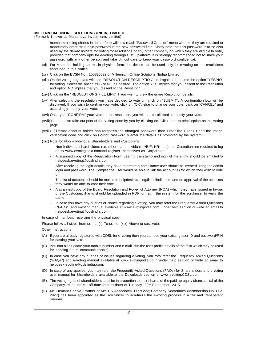# MILLENNIUM ONLINE SOLUTIONS (INDIA) LIMITED<br>(Formerly Known as Mahamaya Investments Limited) MILLENNIUM ONLINE SOLUTIONS (INDIA) LIMITED<br>(Formerly Known as Mahamaya Investments Limited)<br>members holding shares in demat form will now rea

**IIUM ONLINE SOLUTIONS (INDIA) LIMITED**<br>Known as Mahamaya Investments Limited)<br>members holding shares in demat form will now reach 'Password Creation' menu wherein they are required to<br>upod by the their login password in t **IIUM ONLINE SOLUTIONS (INDIA) LIMITED**<br>Known as Mahamaya Investments Limited)<br>members holding shares in demat form will now reach 'Password Creation' menu wherein they are required to<br>mandatorily enter their login passwor IUM ONLINE SOLUTIONS (INDIA) LIMITED<br>Known as Mahamaya Investments Limited)<br>members holding shares in demat form will now reach 'Password Creation' menu wherein they are required to<br>mandatorily enter their login password i Known as Mahamaya Investments Limited)<br>members holding shares in demat form will now reach 'Password Creation' menu wherein they are required to<br>mandatorily enter their login password in the new password field. Kindly note members holding shares in demat form will now reach 'Password Creation' menu wherein they are mandatorily enter their login password in the new password field. Kindly note that this password used by the demat holders for v mandatorily enter their login password in the new password field. Kindly note that this password is to be also<br>used by the demat holders for voting for resolutions of any other company on which they are eligible to vote,<br>p used by the demat holders for voting for resolutions of any other company on which they are eligible to vote,

- provided that company opts for e-voting through CDSL platform. It is strongly recommendee password with any other person and take utmost care to keep your password confidentia (xi) For Members holding shares in physical fo
- 
- password with any other person and take utmost care to keep your password confidential.<br>
(xii) For Members holding shares in physical form, the details can be used only for e-voting on the resolutions<br>
(xii) Olick on the E For Members holding shares in physical form, the details can be used only for e-voting on the resolutions contained in this Notice.<br>Click on the EVSN No : 150820032 of Millennium Online Solutions (India) Limited<br>On the vot contained in this Notice.<br>Click on the EVSN No : 150820032 of Millennium Online Solut<br>On the voting page, you will see "RESOLUTION DESCRIPTIO<br>for voting. Select the option YES or NO as desired. The option<br>and option NO imp (xii) Click on the EVSN No : 150820032 of Millennium Online Solutions (India) Limited<br>(xiii) On the voting page, you will see "RESOLUTION DESCRIPTION" and against the same the opt<br>for voting. Select the option YES or NO as (xli) On the voting page, you will see "RESOLUTION DESCRIPTION" and against the same the option "YES/NO"<br>for voting. Select the option YES or NO as desired. The option YES implies that you assent to the Resolution<br>and opti
- 
- for voting. Select the option YES or NO as desired. The option YES implies that you assent to the Resolution<br>and option NO implies that you dissent to the Resolution.<br>Click on the "RESOLUTIONS FILE LINK" if you wish to vie and option NO implies that you dis<br>Click on the "RESOLUTIONS FILE<br>After selecting the resolution you<br>displayed. If you wish to confirm y<br>accordingly modify your vote.<br>Once you "CONFIRM" your vote c (xv) Click on the RESOLUTIONS FILE LINK If you wish to view the entire Resolution details.<br>
(xv) After selecting the resolution you have decided to vote on, click on "SUBMIT". A confirmation bo<br>
displayed. If you wish to c (xv) After selecting the resolution you have decided to vote on, click on "SUBMIT". A confirmation box will be<br>displayed. If you wish to confirm your vote, click on "OK", else to change your vote, click on "CANCEL" and<br>acc
- 
- page. Volce you CONFIRM your vote on the resolution, you will not be allowed to modify your vote.<br>You can also take out print of the voting done by you by clicking on "Click here to print" option on th<br>page.<br>The Demat account ho
- accordingly modify your vote.<br>
(xvi) Once you "CONFIRM" your vote on the resolution, you will not be allowed to modify your vote.<br>
(xvii) You can also take out print of the voting done by you by clicking on "Click here to (xvii) You can also take out print of the voting done by you by clicking<br>page.<br>(xviii) If Demat account holder has forgotten the changed passwer<br>verification code and click on Forgot Password & enter the deta<br>(xix) Note fo by If Demat account holder has forgotten the changed password then Enter the User ID and the image<br>verification code and click on Forgot Password & enter the details as prompted by the system.<br>Note for Non-Individual Share
- -
- on to www.evotingindia.comand register the changed password then Enter the User ID and the image<br>verification code and click on Forgot Password & enter the details as prompted by the system.<br>Non-Individual Shareholders (i. helpdesk.evoting@cdslindia.com.
	- Non-Individual shareholders (i.e. other than Individuals, HUF, NRI etc.) and Custodian are required to log<br>on to www.evotingindia.comand register themselves as Corporates.<br>A scanned copy of the Registration Form bearing on to www.evotingindia.comand register themselves as Corporates.<br>A scanned copy of the Registration Form bearing the stamp and sign of the entity should be emailed to<br>helpdesk.evoting@cdslindia.com.<br>After receiving the log on. • After receiving the login details they have to create a compliance user should be created using the admin login and password. The Compliance user would be able to link the account(s) for which they wish to vote on.<br>• The After receiving the login details they have to create a compliance user should be created using the admin<br>login and password. The Compliance user would be able to link the account(s) for which they wish to vote<br>on.<br>The lis
	-
	- on.<br>The list of accounts should be mailed to helpdesk.evoting@cdslindia.com and on approval of the accounts<br>they would be able to cast their vote.<br>A scanned copy of the Board Resolution and Power of Attorney (POA) which th same. is a scanned copy of the Board Resolution and Power of Attorney (POA) which they have issued in favour<br>of the Custodian, if any, should be uploaded in PDF format in the system for the scrutinizer to verify the<br>same.<br>In cas A scanned copy of the Board Resolution and Power of Attorney (POA) which they have issued in favour<br>of the Custodian, if any, should be uploaded in PDF format in the system for the scrutinizer to verify the<br>same.<br>In case y
- helpdesk.evoting@cdslindia.com. same.<br>
In case you have any queries or issues regare<br>
("FAQs") and e-voting manual available at www.<br>
helpdesk.evoting@cdslindia.com.<br>
In case of members receiving the physical copy:<br>
Please follow all steps from sr. no. ( In case you have any queries or issues regarding e-voting, you may re<br>
("FAQs") and e-voting manual available at www.evotingindia.com, unc<br>
ln case of members receiving the physical copy:<br>
Please follow all steps from sr. helpdesk.evoting®<br>In case of members receiver<br>Please follow all steps from<br>Other Instructions<br>(A) If you are already regi

- (A) If you are already registered with CDSL for e-voting then you can use your existing user ID and password/PIN<br>(A) If you are already registered with CDSL for e-voting then you can use your existing user ID and password/ for casting and steps from srate follow all steps from srate if you are already registered for casting your vote.<br>The vote casting your vote.<br>You can also update your F instructions<br>If you are already registered with CDSL for<br>for casting your vote.<br>You can also update your mobile number a<br>for sending future communication(s).<br>In case you have any queries or issues i
- (A) If you are already registered with CDSL for e-voting then you can use your existing user ID and password/PIN<br>for casting your vote.<br>(B) You can also update your mobile number and e-mail Id in the user profile details o
- (A) If you are already registered with CDSL for e-voting then you can use your existing user ID and password/PIN<br>for casting your vote.<br>(B) You can also update your mobile number and e-mail Id in the user profile details o for casting your vote.<br>You can also update your mobile number and e-mail Id in the user profile details of the folio which may be used<br>for sending future communication(s).<br>In case you have any queries or issues regarding e helpdesk.evoting@cdslindia.com. The metal of Shareholders and available at www.evotingindia.co.in under help section or write an email to helpdesk.evoting manual available at www.evotingindia.co.in under help section or write an email to helpdesk.evoting In case you have any queries or issues regarding e-voting, you may refer the Frequently Asked Question<br>("FAQs") and e-voting manual available at www.evotingindia.co.in under help section or write an email the phelosk.evoti
- (FAQs) and e-voting manual available at www.evotingindia.co.in under help section or write an email to helpdesk.evoting@cdslindia.com.<br>
(D) In case of any queries, you may refer the Frequently Asked Questions (FAQs) for S neipaesk.evoting@casilinala.com.<br>In case of any queries, you may refer the Frequently Asked Questions (FAQs) for Shai<br>user manual for Shareholders available at the Downloads section of www.evoting.CD:<br>The voting rights of
- 
- (D) In case of any queries, you may refer the Frequently Asked Questions (FAQs) for Snareholders and e-voting<br>user manual for Shareholders available at the Downloads section of www.evoting.CDSL.com<br>(E) The voting rights of user manual for Shareholders available at the Downloads section of www.evoting.CDSL.com<br>The voting rights of shareholders shall be in proportion to their shares of the paid up equity share capital of the<br>Company as on the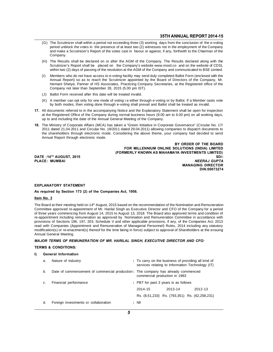- 35TH ANNUAL REPORT 2014-15<br>(G) The Scrutinizer shall within a period not exceeding three (3) working days from the conclusion of the e-voting<br>period unblock the votes in the presence of at least two (2) witnesses not in th **35TH ANNUAL REPORT 2014-15**<br>The Scrutinizer shall within a period not exceeding three (3) working days from the conclusion of the e-voting<br>period unblock the votes in the presence of at least two (2) witnesses not in the **35TH ANNUAL REPORT 2014-15**<br>The Scrutinizer shall within a period not exceeding three (3) working days from the conclusion of the e-voting<br>period unblock the votes in the presence of at least two (2) witnesses not in the Company. (G) The Scrutinizer shall within a period not exceeding three (3) working days from the conclusion of the e-voting<br>period unblock the votes in the presence of at least two (2) witnesses not in the employment of the Compan period unblock the votes in the presence of at least two (2) witnesses not in the employment of the Company<br>and make a Scrutinizer's Report of the votes cast in favour or against, if any, forthwith to the Chairman of the<br>C
- and make a Scrutinizer's Report of the votes cast in favour or against, if any, forthwith to the Chairman of the Company.<br>The Results shall be declared on or after the AGM of the Company. The Results declared along with th Company.<br>
(H) The Results shall be declared on or after the AGM of the Company. The Results declared along with the<br>
Scrutinizer's Report shall be placed on the Company's website www.mosil.co and on the website of CDSL<br>
wi
- The Results shall be declared on or after the AGM of the Company. The Results declared along with the<br>Scrutinizer's Report shall be placed on the Company's website www.mosil.co and on the website of CDSL<br>within two (2) day Scrutinizer's Report shall be placed on the Company's website www.mosil.co and on the website of CDSL<br>within two (2) days of passing of the resolution at the AGM of the Company and communicated to BSE Limited.<br>Members who within two (2) days of passing of the resolution at the AGM of the C<br>Members who do not have access to e-voting facility may send di<br>Annual Report) so as to reach the Scrutinizer appointed by the<br>Hemant Shetye, Partner of (I) Members who do not have access to e-voting facility may send<br>Annual Report) so as to reach the Scrutinizer appointed by<br>Hemant Shetye, Partner of HS Associates, Practicing Compa<br>Company not later than September 28, 201 Annual Report) so as to reach the Scrutinizer appointed by the Board of Directors of the Company, Mr.<br>Hemant Shetye, Partner of HS Associates, Practicing Company Secretaries, at the Registered office of the<br>Company not lat
- 
- Hemant Shetye, Patther of HS Associates, Practicing Company Secretaries, at the Registered office of<br>Company not later than September 28, 2015 (5.00 pm IST).<br>Ballot Form received after this date will be treated invalid.<br>A
- Company not later than September 28, 2015 (5.00 pm IST).<br>
(J) Ballot Form received after this date will be treated invalid.<br>
(K) A member can opt only for one mode of voting i.e either through e-voting or by Ballot. If a M (3) Ballot Form received arter this date will be treated invalid.<br>
(K) A member can opt only for one mode of voting i.e either through e-voting or by Ballot. If a Member casts vote<br>
by both modes, then voting done through (K) A member can opt only for one mode of voting i.e either through e-voting or<br>by both modes, then voting done through e-voting shall prevail and Ballot shall<br>documents referred to in the accompanying Notice and the Expla by both modes, then voting done through e-voting shall prevail and Ballot shall be treated as invalid.<br>
17. All documents referred to in the accompanying Notice and the Explanatory Statement shall be open for inspection<br>
a
- All documents referred to in the accompanying Notice and the Explanatory Statement shall be open for inspection<br>at the Registered Office of the Company during normal business hours (9.00 am to 6.00 pm) on all working days, at the Registered Office of the Company during normal business hours (9.00 am to 6.00 pm) on all working days,<br>up to and including the date of the Annual General Meeting of the Company.<br>The Ministry of Corporate Affairs (M up to and including the date of the Annual G<br>The Ministry of Corporate Affairs (MCA) has<br>2011 dated 21.04.2011 and Circular No. 18/2<br>the shareholders through electronic mode.<br>Annual Report through electronic mode. 2011 dated 21.04.2011 and Circular No. 18/2011 dated 29.04.2011) allowing companies to dispatch documents to<br>the shareholders through electronic mode. Considering the above theme, your company had decided to send<br>Annual Re

BY ORDER OF THE BOARD<br>FOR MILLENNIUM ONLINE SOLUTIONS (INDIA) LIMITED (FORMERLY KNOWN AS MAHAMAYA INVESTMENTS LIMITED) Annual Report through electronic mode.<br>Annual Report through electronic mode.<br>DATE :14<sup>TH</sup> AUGUST, 2015<br>DATE :14<sup>TH</sup> AUGUST, 2015<br>PLACE: MUMBAI MUSAI MUSAI MUSAI MUSAI MUSAI MUSAI MUSAI MUSAI MUSAI MUSAI MUSAI MERRAJ GUPTA BY ORDER OF THE BOARD<br>FOR MILLENNIUM ONLINE SOLUTIONS (INDIA) LIMITED<br>DATE :14™ AUGUST, 2015 (FORMERLY KNOWN AS MAHAMAYA INVESTMENTS LIMITED)<br>PLACE: MUMBAI MEERAJ GUPTA **NEERAJ GUPTA**<br>MANAGING DIRECTOR DIN:00073274

# EXPLANATORY STATEMENT<br>As required by Section 173 (2) of the ( EXPLANATORY STATEME<br>As required by Section 17<br><u>Item No. 3</u>

# EXPLANATORY STATEMENT<br>As required by Section 173 (2) of the Companies Act, 1956.

EXPLANATORY STATEMENT<br>As required by Section 173 (2) of the Companies Act, 1956.<br>The Board at their meeting held on 14<sup>th</sup> August, 2015 based on the recommendation of the Nomination and Remuneration<br>Committee approved re-a As required by Section 173 (2) of the Companies Act, 1956.<br>
Item No. 3<br>
The Board at their meeting held on 14<sup>th</sup> August, 2015 based on the recommendation of the Nomination and Remuneration<br>
Committee approved re-appointme The Board at their meeting held on  $14^{\text{th}}$  August, 2015 based on the recommendation of the Nomination and Remuneration<br>Committee approved re-appointment of Mr. Harilal Singh as Executive Director and CFO of the Company Item No. 3<br>The Board at their meeting held on 14<sup>th</sup> August, 2015 based on the recommendation of the Nomination and Remuneration<br>Committee approved re-appointment of Mr. Harilal Singh as Executive Director and CFO of the C The Board at their meeting held on 14<sup>th</sup> August, 2015 based on the recommendation of the Nomination and Remuneration<br>Committee approved re-appointment of Mr. Harilal Singh as Executive Director and CFO of the Company for The Board at their meeting field on 14<sup>22</sup> August, 2015 based on the recommendation of the Nomination and Remuneration<br>Committee approved re-appointment of Mr. Harilal Singh as Executive Director and CFO of the Company for Committee approved re-appointment of Mr. Hanila Singh as Executive Director and CPO of the Company for a period<br>of three years commencing from August 14, 2015 to August 13, 2018. The Board also approved terms and condition of thee years commencing me-appointment including rem<br>provisions of Sections 196, 1<br>read with Companies (Appoin<br>modification(s) or re-enactme<br>Annual General Meeting.<br>MAJOR TERMS OF REMUN provisions of Sections 196, 197, 203, Schedule V and other applicable provisions, if any, of the Companies Act, 2013<br>read with Companies (Appointment and Remuneration of Managerial Personnel) Rules, 2014 including any stat modification(s) or re-enactment(s) thereof for the time being in force) subject to approval of Shareholders at the ensuing<br>Annual General Meeting.<br>MAJOR TERMS OF REMUNERATION OF MR. HARILAL SINGH, EXECUTIVE DIRECTOR AND CF

#### MAJOR TERMS OF REMUNERATION OF MR. HARILAL SINGH, EXECUTIVE DIRECTOR AND CFO:

|    | JOR TERMS OF REMUNERATION OF MR. HARILAL SINGH, EXECUTIVE DIRECTOR AND CFO:      |                                                                                                         |         |         |  |
|----|----------------------------------------------------------------------------------|---------------------------------------------------------------------------------------------------------|---------|---------|--|
|    | IMS & CONDITIONS:                                                                |                                                                                                         |         |         |  |
|    | <b>General Information</b>                                                       |                                                                                                         |         |         |  |
| a. | Nature of industry                                                               | : To carry on the business of providing all kind of<br>services relating to Information Technology (IT) |         |         |  |
| b. | Date of commencement of commercial production: The company has already commenced | commercial production in 1983                                                                           |         |         |  |
| C. | Financial performance                                                            | : PBT for past 3 years is as follows                                                                    |         |         |  |
|    |                                                                                  | 2014-15                                                                                                 | 2013-14 | 2012-13 |  |
|    |                                                                                  | Rs. (8,51,233) Rs. (793,351) Rs. (62,258,231)                                                           |         |         |  |
| d. | Foreign investments or collaboration                                             | : Nil                                                                                                   |         |         |  |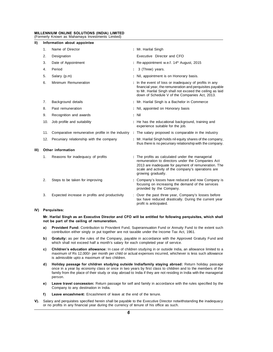# MILLENNIUM ONLINE SOLUTIONS (INDIA) LIMITED<br>(Formerly Known as Mahamaya Investments Limited) MILLENNIUM ONLINE SOLUTIONS (INDIA) LIMITED<br>(Formerly Known as Mahamaya Investments Limited)<br>II) Information about appointee

| II)  | Information about appointee                      |                                                                                                                                                                                                                                           |
|------|--------------------------------------------------|-------------------------------------------------------------------------------------------------------------------------------------------------------------------------------------------------------------------------------------------|
| 1.   | Name of Director                                 | : Mr. Harilal Singh                                                                                                                                                                                                                       |
| 2.   | Designation                                      | Executive Director and CFO                                                                                                                                                                                                                |
| 3.   | Date of Appointment                              | : Re-appointment w.e.f. 14 <sup>th</sup> August, 2015                                                                                                                                                                                     |
| 4.   | Period                                           | 3 (Three) years.                                                                                                                                                                                                                          |
| 5.   | Salary (p.m)                                     | : Nil, appointment is on Honorary basis.                                                                                                                                                                                                  |
| 6.   | Minimum Remuneration                             | : In the event of loss or inadequacy of profits in any<br>financial year, the remuneration and perquisites payable<br>to Mr. Harilal Singh shall not exceed the ceiling as laid<br>down of Schedule V of the Companies Act, 2013.         |
| 7.   | Background details                               | : Mr. Harilal Singh is a Bachelor in Commerce                                                                                                                                                                                             |
| 8.   | Past remuneration                                | : Nil, appointed on Honorary basis                                                                                                                                                                                                        |
| 9.   | Recognition and awards                           | $:$ Nil                                                                                                                                                                                                                                   |
| 10.  | Job profile and suitability                      | : He has the educational background, training and<br>experience suitable for the job.                                                                                                                                                     |
| 11.  | Comparative remunerative profile in the industry | . The salary proposed is comparable in the industry                                                                                                                                                                                       |
| 12.  | Pecuniary relationship with the company          | : Mr. Harilal Singh holds nil equity shares of the company,<br>thus there is no pecuniary relationship with the company.                                                                                                                  |
| III) | <b>Other information</b>                         |                                                                                                                                                                                                                                           |
| 1.   | Reasons for inadequacy of profits                | : The profits as calculated under the managerial<br>remuneration to directors under the Companies Act<br>2013 are inadequate for payment of remuneration. The<br>scale and activity of the company's operations are<br>growing gradually. |
| 2.   | Steps to be taken for improving                  | : Company's losses have reduced and now Company is<br>focusing on increasing the demand of the services<br>provided by the Company.                                                                                                       |
| 3.   | Expected increase in profits and productivity    | : Over the past three year, Company's losses before<br>tax have reduced drastically. During the current year<br>profit is anticipated.                                                                                                    |
| IV)  | Perquisites:                                     |                                                                                                                                                                                                                                           |

## IV) Perquisites:

Perquisites:<br>Mr. Harilal Singh as an Executive Director and<br>not be part of the ceiling of remuneration.<br>a) Provident Fund: Contribution to Provident Fu Perquisites:<br>Mr. Harilal Singh as an Executive Director and CFO will be entitled for following perquisites, which shall<br>not be part of the ceiling of remuneration.<br>a) Provident Fund: Contribution to Provident Fund, Superan Contribution as an Executive Director and CFO will be entitled for following perquisites,<br>a part of the ceiling of remuneration.<br>Provident Fund: Contribution to Provident Fund, Superannuation Fund or Annuity Fund to the<br>co

- **as per the rules of the ceiling of remuneration.**<br> **a)** Provident Fund: Contribution to Provident Fund, Superannuation Fund or Annuity Fund to the extent such contribution either singly or put together are not taxable und
- Provident Fund: Contribution to Provident Fund, Superannuation Fund or Annuity Fu<br>contribution either singly or put together are not taxable under the Income Tax Act, 19<br>Gratuity: as per the rules of the Company, payable i
- In contribution either singly or put together are not taxable under the Income Tax Act, 1961.<br> **b)** Gratuity: as per the rules of the Company, payable in accordance with the Approved Gratuity Fund and which shall not excee Gratuity: as per the rules of the Company, payable in accordance with the Approved Gratuity Fund and which shall not exceed half a month's salary for each completed year of service.<br>Children's education allowance: In case **Gratuity:** as per the rules of the Company, payat which shall not exceed half a month's salary for eachildren's education allowance: In case of children.<br>Thildren's education allowance: In case of children.<br>Thildren. at a which shall not exceed half a month's salary for each completed year of service.<br> **c)** Children's education allowance: In case of children studying in or outside India, an allowance limited to a<br>
maximum of Rs 12,000/- per
- **Children's education allowance:** In case of children studying in or outside India, an allowance limited to a<br>maximum of Rs 12,000/- per month per child or actual expenses incurred, whichever is less such allowance<br>is admi maximum of Rs 12,000/- per month per child or actual expenses incurred, whichever is less such allowance<br>is admissible upto a maximum of two children.<br>**Holiday passage for children studying outside India/family staying abr** person. Return holiday passage for children studying outside India/family staying abroad: Return holiday passage<br>once in a year by economy class or once in two years by first class to children and to the members of the<br>family from once in a year by economy class or once<br>family from the place of their study or stay<br>person.<br>Leave travel concession: Return passa<br>Company to any destination in India.<br>Leave encashment: Encashment of leav
- Framily from the place of their study or stay abroad to India if they are not reperson.<br> **Exave travel concession:** Return passage for self and family in accorda<br>
Company to any destination in India.<br> **F)** Leave encashment
- 
- Salary and perquisites specified herein shall be payable to the Executive Director notwithstanding the inadequacy<br>
Salary and perquisites specified herein shall be payable to the Executive Director notwithstanding the inad Company to any destination in India.<br> **F)** Leave encashment: Encashment of leave at the end of the tenure.<br>
Salary and perquisites specified herein shall be payable to the Executive Director not<br>
or no profits in any finan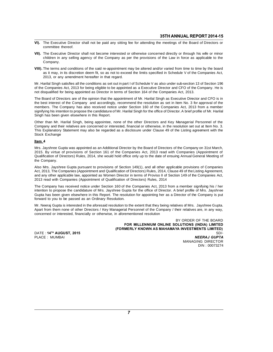- **The Executive Director shall not be paid any sitting fee for attending the meetings of the Board of Directors or committee thereof.** The Executive Director<br>committee thereof.<br>The Executive Director
- **THE EXECUTE DIRECT SHALL REPORT 2014-15**<br>
COMMITTED EXECUTIVE Director shall not be paid any sitting fee for attending the meetings of the Board of Directors or<br> **COMMITTED VII).** The Executive Director shall not become i The Executive Director shall not be paid any sitting fee for attending the meetings of the Board of Directors or<br>committee thereof.<br>The Executive Director shall not become interested or otherwise concerned directly or thro Company. VII). The Executive Director shall not become interested or otherwise concerned directly or through his wife or minor children in any selling agency of the Company as per the provisions of the Law in force as applicable to
- The Executive Director shall not become interested or otherwise concerned directly or through his wife or minor children in any selling agency of the Company as per the provisions of the Law in force as applicable to the C children in any selling agency of the Company as pe<br>Company.<br>The terms and conditions of the said re-appointment m<br>as it may, in its discretion deem fit, so as not to excee<br>2013, or any amendment hereafter in that regard.<br> VIII). The terms and conditions of the said re-appointment may be altered and/or varied from time to time by the board<br>as it may, in its discretion deem fit, so as not to exceed the limits specified in Schedule V of the Co

**VIII).** The terms and conditions of the said re-appointment may be altered and/or varied from time to time by the board as it may, in its discretion deem fit, so as not to exceed the limits specified in Schedule V of the as it may, in its discretion deem fit, so as not to exceed the limits specified in Schedule V of the Co<br>2013, or any amendment hereafter in that regard.<br>Mr. Harilal Singh satisfies all the conditions as set out in part I o Ecolo, or any amonalment neteater in that regard.<br>
Mr. Harilal Singh satisfies all the conditions as set out in part I of Schedule V as also under sub-section 13 of Section 196<br>
of the Companies Act, 2013 for being eligibl

Mr. Harilal Singh satisfies all the conditions as set out in part I of Schedule V as also under sub-section 13 of Section 196<br>of the Companies Act, 2013 for being eligible to be appointed as a Executive Director and CFO of of the Companies Act, 2013 for being eligible to be appointed as a Executive Director and CFO of the Company. He is<br>not disqualified for being appointed as Director in terms of Section 164 of the Companies Act, 2013.<br>The B not disqualified for being appointed as Director in terms of Section 164 of the Companies Act, 2013.<br>The Board of Directors are of the opinion that the appointment of Mr. Harilal Singh as Executive Director and CFO is in<br>t The Board of Directors are of the opinion that the apthe best interest of the Company and accordingly, members. The Company has also received notice isignifying his intention to propose the candidature of Ningh has been gi the best interest of the Company and accordingly, recommend the resolution as set in Item No. 3 for approval of the<br>members. The Company has also received notice under Section 160 of the Companies Act, 2013 from a member<br>s

members. The Company has also received notice under Section 160 of the Companies Act, 2013 from a member<br>signifying his intention to propose the candidature of Mr. Harilal Singh for the office of Director. A brief profile signifying his intention to propose the candidature of Mr. Harilal Singh for the office of Director. A brief profile of Mr. Harilal Singh has been given elsewhere in this Report.<br>Other than Mr. Harilal Singh, being appoint Singh has been given els<br>Other than Mr. Harilal Si<br>Company and their relativ<br>This Explanatory Stateme<br>Stock Exchange<br>Item 4

#### Item 4

Schipting and their Islames are sensember of interested, initiative of orientative, in the Islames of our at neutrities. See This Explanatory Statement may also be regarded as a disclosure under Clause 49 of the Listing ag 2015. By virtue of provisions of Section 161 of the Companies Act, 2013 read with Company on 31st March, 2015. By virtue of provisions of Section 161 of the Companies Act, 2013 read with Companies (Appointment of Qualifica **Item 4**<br>Mrs. Jayshree Gupta was appointed as an Additional Director by the Board of Directors of the Company on 31st March,<br>2015. By virtue of provisions of Section 161 of the Companies Act, 2013 read with Companies (Appo <u>Item\_4</u><br>Mrs. Jayshree Gup<br>2015. By virtue of<br>Qualification of Dir<br>the Company.<br>Also Mrs. Jayshree Mrs. Jayshree Gupta was appointed as an Additional Director by the Board of Directors of the Company on 31st March,<br>2015. By virtue of provisions of Section 161 of the Companies Act, 2013 read with Companies (Appointment o

2015. By virtue of provisions of Section 161 of the Companies Act, 2013 read with Companies (Appointment of Qualification of Directors) Rules, 2014, she would hold office only up to the date of ensuing Annual General Meeti Qualification of Directors) Rules, 2014, she would hold office only up to the date of ensuing Annual General Meeting of<br>the Company.<br>Also Mrs. Jayshree Gupta pursuant to provisions of Section 149(1), and all other applicab the Company.<br>Also Mrs. Jayshree Gupta pursuant to provisions of Section 149(1), and all other applicable<br>Act, 2013, The Companies (Appointment and Qualification of Directors) Rules, 2014, Clause 4<br>and any other applicable Also Mrs. Jayshree Gupta pursuant to provisions of Section 149(1), and all other applicable provisions of Companies<br>Act, 2013, The Companies (Appointment and Qualification of Directors) Rules, 2014, Clause 49 of the Listin

Act, 2013, The Companies (Appointment and Qualification of Directors) Rules, 2014, Clause 49 of the Listing Agreement,<br>and any other applicable law, appointed as Women Director in terms of Proviso II of Section 149 of the 2013 read with Companies (Appointment of Qualification of I<br>The Company has received notice under Section 160 of the<br>intention to propose the candidature of Mrs. Jayshree Gupta<br>Gupta has been given elsewhere in this Report The Company has received notice under Section 160 of the Companies Act, 2013 from a member signifying his / her<br>intention to propose the candidature of Mrs. Jayshree Gupta for the office of Director. A brief profile of Mrs

intention to propose the candidature of Mrs. Jayshree Gupta for the office of Director. A brief profile of Mrs. Jayshree Gupta has been given elsewhere in this Report. The resolution for appointing her as a Director of the Gupta has been given elsewhere in this Report. The resolution for appointing her as a l<br>forward to you to be passed as an Ordinary Resolution.<br>Mr. Neeraj Gupta is interested in the aforesaid resolution to the extent that t

to the extent that they being relatives of Mrs. Jayshree Gupta.<br>al Personnel of the Company / their relatives are, in any way,<br>ementioned resolution<br>**BY ORDER OF THE BOARD**<br>**FOR MILLENNIUM ONLINE SOLUTIONS (INDIA) LIMITED** FORMERLY KNOWN AS MAHAMAYA INVESTMENTS LIMITED<br>
(FORMERLY KNOWN AS MAHAMAYA INVESTMENTS LIMITED)<br>
SD/-<br>
NEERAJ GUPTA<br>
MANAGING DIRECTOR<br>DIN : 00073274 concerned or interested, financially or otherwise, in aforementioned resolution<br>
BY ORDER OF THE BOARD<br>
FOR MILLENNIUM ONLINE SOLUTIONS (INDIA) LIMITED<br>
(FORMERLY KNOWN AS MAHAMAYA INVESTMENTS LIMITED)<br>
PLACE : MUMBAI<br>
MAN BY ORDER OF THE BOARD<br>BY ORDER OF THE BOARD<br>DATE : 14<sup>TH</sup> AUGUST, 2015<br>PLACE : MUMBAI (FORMERLY KNOWN AS MAHAMAYA INVESTMENTS LIMITED)<br>PLACE : MUMBAI MANAGING DIRECTOR<br>MANAGING DIRECTOR TIONS (INDIA) LIMITED<br>TIONS (INDIA) LIMITED<br>WESTMENTS LIMITED)<br>NEERAJ GUPTA<br>MANAGING DIRECTOR<br>DIN : 00073274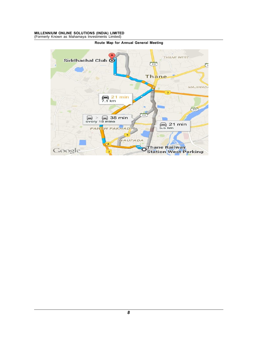# MILLENNIUM ONLINE SOLUTIONS (INDIA) LIMITED<br>(Formerly Known as Mahamaya Investments Limited) MILLENNIUM ONLINE SOLUTIONS (INDIA) LIMITED<br>(Formerly Known as Mahamaya Investments Limited)<br>Route Map for Annu



Route Map for Annual General Meeting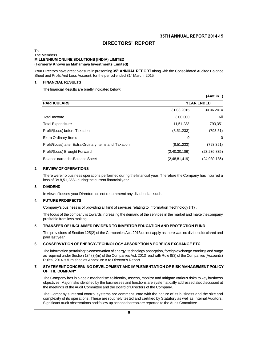# **SEPREMAN SERVE AND SETTLAN**<br>DIRECTORS' REPORT

## To, DIRECTORS' REP<br>The Members<br>MILLENNIUM ONLINE SOLUTIONS (INDIA) LIMITED<br>"Expressive Memory of Memory Investments Limited" (Formerly Known as Mahamaya Investments Limited) The Members<br>**MILLENNIUM ONLINE SOLUTIONS (INDIA) LIMITED**<br>(Formerly Known as Mahamaya Investments Limited)<br>Your Directors have great pleasure in presenting 35<sup>th</sup> ANNUAL REPORT along<br>Sheet and Profit And Loss Account, for

The Members<br>**MILLENNIUM ONLINE SOLUTIONS (INDIA) LIMITED**<br>**(Formerly Known as Mahamaya Investments Limited)**<br>Your Directors have great pleasure in presenting 35<sup>th</sup> ANNUAL REPORT along with the Consolidated Audited Balance Directors have great pleasure in presenting 35<sup>th</sup> ANNI<br>The financial Results are briefly indicated below:<br>The financial Results are briefly indicated below:

#### 1. FINANCIAL RESULTS

|                                                       |                   | (Amt in )      |  |
|-------------------------------------------------------|-------------------|----------------|--|
| <b>PARTICULARS</b>                                    | <b>YEAR ENDED</b> |                |  |
|                                                       | 31.03.2015        | 30.06.2014     |  |
| Total Income                                          | 3,00,000          | Nil            |  |
| <b>Total Expenditure</b>                              | 11,51,233         | 793,351        |  |
| Profit/(Loss) before Taxation                         | (8, 51, 233)      | (793, 51)      |  |
| <b>Extra Ordinary Items</b>                           | $\Omega$          | 0              |  |
| Profit/(Loss) after Extra Ordinary Items and Taxation | (8,51,233)        | (793,351)      |  |
| Profit/(Loss) Brought Forward                         | (2, 40, 30, 186)  | (23, 236, 835) |  |
| Balance carried to Balance Sheet                      | (2,48,81,419)     | (24,030,186)   |  |

#### 2. REVIEW OF OPERATIONS

loss of Rs 8,51,233/- during the current financial year. There were no business operations performed during the financial year. There<br>loss of Rs 8,51,233/- during the current financial year.<br>**DIVIDEND**<br>In view of losses your Directors do not recommend any dividend as such.<br>**FUTU** 

#### 3. DIVIDEND

#### 4. FUTURE PROSPECTS

**DIVIDEND**<br>In view of losses your Directors do not recommend any dividend as such.<br>**FUTURE PROSPECTS**<br>Company's business is of providing all kind of services relating to Information Technology (IT) .<br>The focus of the compa In view of losses your Directors do not recommend any dividend as such.<br> **FUTURE PROSPECTS**<br>
Company's business is of providing all kind of services relating to Information Technology (IT) .<br>
The focus of the company is to **FUTURE PROSPECTS**<br>Company's business is of provider<br>The focus of the company is towa<br>profitable from loss making.<br>TRANSFER OF UNCLAIMED D The focus of the company is towards increasing the demand of the services in the market and make the company<br>profitable from loss making.<br>**TRANSFER OF UNCLAIMED DIVIDEND TO INVESTOR EDUCATION AND PROTECTION FUND**<br>The provi

### 5. TRANSFER OF UNCLAIMED DIVIDEND TO INVESTOR EDUCATION AND PROTECTION FUND

Frie locas of the conservation<br>profitable from loss<br>TRANSFER OF UI<br>The provisions of S<br>paid last year<br>CONSERVATION

#### 6. CONSERVATION OF ENERGY-TECHNOLOGY ABSORPTION & FOREIGN EXCHANGE ETC

The provisions of Section 125(2) of the Companies Act, 2013 do not apply as there was no dividend declared and<br>paid last year<br>**CONSERVATION OF ENERGY-TECHNOLOGY ABSORPTION & FOREIGN EXCHANGE ETC**<br>The information pertaining paid last year<br> **CONSERVATION OF ENERGY-TECHNOLOGY ABSORPTION & FOREIGN EXCHANGE ETC**<br>
The information pertaining to conservation of energy, technology absorption, foreign exchange earnings and outgo<br>
as required under Sec Pala last year<br>
CONSERVATION OF ENERGY-TECHNOLOGY ABSORPTION<br>
The information pertaining to conservation of energy, technology at<br>
as required under Section 134 (3)(m) of the Companies Act, 2013 re<br>
Rules, 2014 is furnishe

#### 7. STATEMENT CONCERNING DEVELOPMENT AND IMPLEMENTATION OF RISK MANAGEMENT POLICY OF THE COMPANY

The Company has in place a mechanism to identify, assess, monitor and mitigate various risks to key business<br>The Company has in place a mechanism to identify, assess, monitor and mitigate various risks to key business<br>the Nates, 2014 IS Ramished as Almexate A to Blicetor 3 Report.<br> **STATEMENT CONCERNING DEVELOPMENT AND IMPLEMENTATION OF RISK MANAGEMENT POLICY**<br>
The Company has in place a mechanism to identify, assess, monitor and mitigate v The Company has in place a mechanism to identify, assess, monitor and mitigate various risks to key business objectives. Major risks identified by the businesses and functions are systematically addressed also discussed at The Company has in place a mechanism to identify, assess, monitor and mitigate various risks to key business<br>objectives. Major risks identified by the businesses and functions are systematically addressed also discussed at

The Company has in place a mechanism to identify, assess, monitor and mitigate various risks to key business<br>objectives. Major risks identified by the businesses and functions are systematically addressed alsodiscussed at<br> objectives. Major risks identified by the businesses and functions are systematically addressed al<br>the meetings of the Audit Committee and the Board of Directors of the Company.<br>The Company's internal control systems are c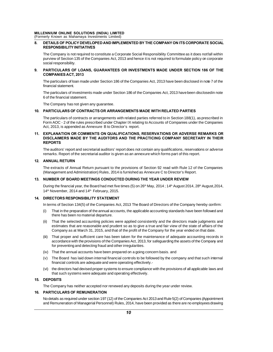# MILLENNIUM ONLINE SOLUTIONS (INDIA) LIMITED<br>(Formerly Known as Mahamaya Investments Limited)

## MILLENNIUM ONLINE SOLUTIONS (INDIA) LIMITED<br>(Formerly Known as Mahamaya Investments Limited)<br>8. DETAILS OF POLICY DEVELOPED AND IMPLEMEN 8. DETAILS OF POLICY DEVELOPED AND IMPLEMENTED BY THE COMPANY ON ITS CORPORATE SOCIAL **RESPONSIBILITY INITIATIVES**

ENNIUM ONLINE SOLUTIONS (INDIA) LIMITED<br>The Company as Mahamaya Investments Limited)<br>DETAILS OF POLICY DEVELOPED AND IMPLEMENTED BY THE COMPANY ON ITS CORPORATE SOCIAL<br>RESPONSIBILITY INITIATIVES<br>The Company is not required purity Khown as Manamaya Investments Limited)<br>DETAILS OF POLICY DEVELOPED AND IMPLEMENTED BY THE COMPANY ON ITS CORPORATE SOCIAL<br>RESPONSIBILITY INITIATIVES<br>The Company is not required to constitute a Corporate Social Respo **DETAILS OF POLICY DI<br>RESPONSIBILITY INITIJ**<br>The Company is not requ<br>purview of Section 135 o<br>social responsibility.<br>**PARTICULARS OF LO** RESPONSIBILITY INITIATIVES<br>The Company is not required to constitute a Corporate Social Responsibility Committee as it does notfall within<br>purview of Section 135 of the Companies Act, 2013 and hence it is not required to f

## **COMPANIES ACT, 2013** PARTICULARS OF LOANS, GUARANTEES OR INVESTMENTS MADE UNDER SECTION 186 OF THE<br>COMPANIES ACT, 2013<br>The particulars of loan made under Section 186 of the Companies Act, 2013 have been disclosed in note 7 of the<br>financial sta Social responsibility.<br>**PARTICULARS OF LC<br>COMPANIES ACT, 201**<br>The particulars of loan m<br>financial statement.

The particulars of loan made und<br>financial statement.<br>The particulars of investments n<br>6 of the financial statement.<br>The Company has not given any

The particulars of loan made under Section 186 of the Companies Act, 2013 have been disclosed in note 7 of the financial statement.<br>The particulars of loan made under Section 186 of the Companies Act, 2013 have been disclo financial statement.<br>The particulars of investments made under Section 186 of the Companies Act, 2013 have been disclosed in note<br>6 of the financial statement.<br>The Company has not given any guarantee.

#### 10. PARTICULARS OF CONTRACTS OR ARRANGEMENTS MADE WITH RELATED PARTIES

6 of the financial statement.<br>The Company has not given any guarantee.<br>**PARTICULARS OF CONTRACTS OR ARRANGEMENTS MADE WITH RELATED PARTIES**<br>The particulars of contracts or arrangements with related parties referred to in S The Company has not given any guarantee.<br>**PARTICULARS OF CONTRACTS OR ARRANGEMENTS MADE WITH RELATED PARTIES**<br>The particulars of contracts or arrangements with related parties referred to in Section 188(1), as prescribed i FIRE Company has not given any guarantee.<br>
The particulars of contracts or arrangements with related parties<br>
Form AOC - 2 of the rules prescribed under Chapter IX relating to<br>
Act, 2013, is appended as Annexure B to Direc

## 11. EXPLANATION OR COMMENTS ON QUALIFICATIONS, RESERVATIONS OR ADVERSE REMARKS OR The particulars of contracts or arrangements with related parties referred to in Section 188(1), as prescribed in<br>Form AOC - 2 of the rules prescribed under Chapter IX relating to Accounts of Companies under the Companies<br> **REPORTS** ACC, 2013, IS appended as Amiexate B to Briector's report.<br>EXPLANATION OR COMMENTS ON QUALIFICATIONS, RESERVATIONS OR ADVERSE REMARKS OR<br>DISCLAIMERS MADE BY THE AUDITORS AND THE PRACTICING COMPANY SECRETARY IN THEIR<br>REPORT EXPLANATION OR COMMENTS ON QUALIFICATIONS, RESERVATIONS OR ADVERSE REMATIONS DISCLAIMERS MADE BY THE AUDITORS AND THE PRACTICING COMPANY SECRETARY I<br>REPORTS<br>The auditors' report and secretarial auditors' report does not co

The auditors' report and secretarial auditors' report does not contain any qualifications, reservations or adverse<br>remarks. Report of the secretarial auditor is given as an annexure which forms part of this report.<br>**ANNUAL** 

### 12. ANNUAL RETURN

remarks. Report of the secretarial auditor is given as an annexure which forms part of this report.<br> **ANNUAL RETURN**<br>
The extracts of Annual Return pursuant to the provisions of Section 92 read with Rule 12 of the Companie

#### 13. NUMBER OF BOARD MEETINGS CONDUCTED DURING THE YEAR UNDER REVIEW

During the financial year, the Board had met five times (5) on 26<sup>th</sup> May, 2014; 14<sup>th</sup> August 2014, 28<sup>th</sup> August,2014,<br>14<sup>th</sup> November, 2014 and 14<sup>th</sup> February, 2015. The Solid Management and Administration) Rules, 2014 is full NUMBER OF BOARD MEETINGS CONDUCTED I<br>NUMBER OF BOARD MEETINGS CONDUCTED I<br>During the financial year, the Board had met five time<br>14<sup>th</sup> November, 2014 and 14<sup>th</sup> During the financial year, the Board had met five times (5) on 26<sup>th</sup> May, 2014; 14<sup>th</sup> August 2014, 28<sup>th</sup> August, 2014, 14<sup>th</sup> November, 2014 and 14<sup>th</sup> February, 2015.<br> **DIRECTORS RESPONSIBILITY STATEMENT**<br>
In terms of

### 14. DIRECTORS RESPONSIBILITY STATEMENT

- 14<sup>th</sup> November, 2014 and 14<sup>th</sup> February, 2015.<br> **DIRECTORS RESPONSIBILITY STATEMENT**<br>
In terms of Section 134(5) of the Companies Act, 2013 The Board of Directors of the Company hereby confirm:<br>
(i) That in the preparati **CTORS RESPONSIBILITY STATEMENT**<br>ms of Section 134(5) of the Companies Ac<br>That in the preparation of the annual accou<br>there has been no material departure.<br>That the selected accounting policies we
- (i) That in the preparation of the companies Act, 2013 The Board of Directors of the Company hereby confirm:<br>
(i) That in the preparation of the annual accounts, the applicable accounting standards have been followed and<br> ms of Section 134(5) of the Companies Act, 2013 The Board of Directors of the Company hereby confirm:<br>That in the preparation of the annual accounts, the applicable accounting standards have been followed and<br>there has bee That in the preparation of the annual accounts, the applicable accounting standards have been followed and<br>there has been no material departure.<br>That the selected accounting policies were applied consistently and the direc (ii) That the selected accounting policies were applied consistently and the directors made judgments and<br>estimates that are reasonable and prudent so as to give a true and fair view of the state of affairs of the<br>Company That the selected accounting policies were applied consistently and the directors made judgments and estimates that are reasonable and prudent so as to give a true and fair view of the state of affairs of the Company as at
- estimates that are reasonable and prudent so as to give a tru<br>Company as at March 31, 2015, and that of the profit of the Co<br>That proper and sufficient care has been taken for the maint<br>accordance with the provisions of th Company as at March 31, 2015, and that of the profit of the Company for the year ende<br>
(iii) That proper and sufficient care has been taken for the maintenance of adequate accordance with the provisions of the Companies Ac accordance with the provisions of the Companies Act, 2013, for safeguarding the assets of the Company and<br>for preventing and detecting fraud and other irregularities.<br>(iv) That the annual accounts have been prepared on a g
- 
- accordance with the provisions of the Companies Act, 2013, for sategrofor preventing and detecting fraud and other irregularities.<br>That the annual accounts have been prepared on a going concern b.<br>The Board has laid down i (iv) That the annual accounts have been prepared on a going concern basis. and<br>
(v) The Board has laid down internal financial controls to be followed by the company and that such internal<br>
financial controls are adequate That the annual accounts have been prepared on a going concerned The Board has laid down internal financial controls to be follow<br>financial controls are adequate and were operating effectively.<br>the directors had devised pr
- The Company has neither accepted nor renewed any deposits during the year under review.<br>
The Company has neither accepted nor renewed any deposits during the year under review.<br> **PARTICULARS OF REMUNERATION**

#### 15. DEPOSITS

### **16. PARTICULARS OF REMUNERATION**

**DEPOSITS**<br>The Company has neither accepted nor renewed any deposits during the year under review.<br>**PARTICULARS OF REMUNERATION**<br>No details as required under section 197 (12) of the Companies Act 2013 and Rule 5(2) of Comp The Company has neither accepted nor renewed any deposits during the year under review.<br> **PARTICULARS OF REMUNERATION**<br>
No details as required under section 197 (12) of the Companies Act 2013 and Rule 5(2) of Companies (Ap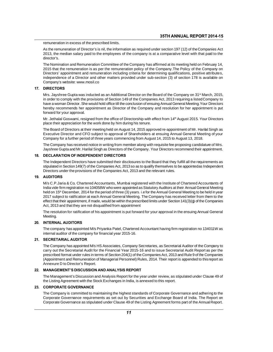remuneration in excess of the prescribed limits.<br>As the remuneration of Director's is nil, the information as required under section 197 (12) of the Companies Act **Example 19 STH ANNUAL REPORT 2014-15**<br>As the remuneration of Director's is nil, the information as required under section 197 (12) of the Companies Act<br>2013, the median salary paid to the employees of the company is at a **2014-15**<br>2013, the remuneration of Director's is nil, the information as required under section 197 (12) of the Companies Act<br>2013, the median salary paid to the employees of the company is at a comparative level with tha director's. remuneration in excess of the prescribed limits.<br>As the remuneration of Director's is nil, the information as required under section 197 (12) of the Companies Act<br>2013, the median salary paid to the employees of the compan

As the remuneration of Director's is nil, the information as required under section 197 (12) of the Companies Act<br>2013, the median salary paid to the employees of the company is at a comparative level with that paid to the 2013, the median salary paid to the employees of the company is at a comparative level with that paid to the director's.<br>The Nomination and Remuneration Committee of the Company has affirmed at its meeting held on February director's.<br>The Nomination and Remuneration Committee of the Company has affirmed at its meeting held on February 14,<br>2015 that the remuneration is as per the remuneration policy of the Company. The Policy of the Company o The Nomination and Remuneration Commit<br>2015 that the remuneration is as per the re<br>Directors' appointment and remuneration in<br>independence of a Director and other matt<br>Company's website: www.mosil.co<br>**DIRECTORS** Directors' appointment and remuneration including criteria for determining qualifications, positive attributes,<br>independence of a Director and other matters provided under sub-section (3) of section 178 is available on<br>Com

## 17. DIRECTORS

independence of a Director and other matters provided under sub-section (3) of section 178 is available on<br>Company's website: www.mosil.co<br>DIRECTORS<br>Mrs. Jayshree Gupta was inducted as an Additional Director on the Board o Company's website: www.mosil.co<br>
DIRECTORS<br>
Mrs. Jayshree Gupta was inducted as an Additional Director on the Board of the Company on 31<sup>st</sup> March, 2015,<br>
in order to comply with the provisions of Section 149 of the Compan **DIRECTORS**<br>Mrs. Jayshree Gupta was inducted as an Additional Director on the Board of the Company on 31<sup>st</sup> March, 2015,<br>in order to comply with the provisions of Section 149 of the Companies Act, 2013 requiring a listed Mrs. Jayshree Gupta was induin order to comply with the pro<br>have a woman Director. She wordereby recommends her approval.<br>forward for your approval.<br>Mr. Jethalal Goswami, resigne in order to comply with the provisions of Section 149 of the Companies Act, 2013 requiring a listed Company to have a woman Director. She would hold office till the conclusion of ensuing Annual General Meeting. Your Direct have a woman Director. She would hold office till the conclusion of ensuing<br>hereby recommends her appointment as Director of the Company ar<br>forward for your approval.<br>Mr. Jethalal Goswami, resigned from the office of Direc

hereby recommends her appointment as Director of the Company and resolution for her appointment is put<br>forward for your approval.<br>Mr. Jethalal Goswami, resigned from the office of Directorship with effect from 14<sup>th</sup> Augus forward for your approval.<br>Mr. Jethalal Goswami, resigned from the office of Directorship with effect from 14<sup>th</sup> August 2015. Your Directors<br>place their appreciation for the work done by him during his tenure.<br>The Board o Mr. Jethalal Goswami, resigned from the office of Directorship with effect from 14<sup>th</sup> August 2015. Your D<br>place their appreciation for the work done by him during his tenure.<br>The Board of Directors at their meeting held o place their appreciation for the work done by him during his tenure.<br>The Board of Directors at their meeting held on August 14, 2015 approved re-appointment of Mr. Harilal Singh as<br>Executive Director and CFO subject to app The Board of Directors at their meeting held on August 14, 2015 approved re-appointment of Mr. Harilal Singh as Executive Director and CFO subject to approval of Shareholders at ensuing Annual General Meeting of your Compa

Jayshree Gupta and Mr. Harilal Singh as Directors of the Company. Your Directors recommend their appointment.

#### 18. DECLARATION OF INDEPENDENT DIRECTORS

Company for a further period of three years commencing from August 14, 2015 to August 13, 2018.<br>The Company has received notice in writing from member along with requisite fee proposing candidature of Mrs.<br>Jayshree Gupta a The Independent Directors have submitted their disclosures to the Board that they fulfill all the requirements as

#### 19. AUDITORS

stipulated in Section 149(7) of the Companies Act, 2013 so as to qualify themselves to be appointedas Independent<br>Directors under the provisions of the Companies Act, 2013 and the relevant rules.<br>**AUDITORS**<br>M/s C.P.Jaria & stipulated in Section 149(7) of the Companies Act, 2013 so as to qualify themselves to be appointed as Independent<br>Directors under the provisions of the Companies Act, 2013 and the relevant rules.<br>AUDITORS<br>M/s C.P.Jaria & Directors under the provisions of the Companies Act, 2013 and the relevant rules.<br>**AUDITORS**<br>M/s C.P.Jaria & Co, Chartered Accountants, Mumbai registered with the Institute of Chartered Accountants of<br>India vide firm regis AUDITORS<br>M/s C.P.Jaria & Co, Chartered Accountants, Mumbai registered with the Institute of Chartered Accountants of<br>India vide firm registration no 104058W who were appointed as Statutory Auditors at their Annual General M/s C.P.Jaria & Co, Chartered Accountants, Mumbai registered with the Institute of Chartered Accountants of India vide firm registration no 104058W who were appointed as Statutory Auditors at their Annual General Meeting h M/s C.P. Jana & Co, Charlered Accountains, Munibal registered<br>India vide firm registration no 104058W who were appointed as Sta<br>held on 15<sup>th</sup> December, 2014 for the period of three (3) years. i.e fo<br>2017 subject to ratifi held on 15<sup>th</sup> December, 2014 for the period of three (3) years. i.e for the Annual General Meeting to be held in year 2017 subject to ratification at each Annual General Meeting. The Company has received letter from them

Meeting. The resolution for ratification of his appointment is put forward for your approval in the ensuing Annual General<br>Meeting.<br>INTERNAL AUDITORS<br>The company has appointed M/s Priyanka Patel, Chartered Accountant having firm re

#### 20. INTERNAL AUDITORS

The company has appointed M/s Priyanka Patel, Chartered Accountant having firm registration no 134011W as internal auditor of the company for financial year 2015-16.

## 21. SECRETARIAL AUDITOR

The company has appointed M/s Priyanka Patel, Chartered Accountant having firm registration no 134011W as<br>internal auditor of the company for financial year 2015-16.<br>SECRETARIAL AUDITOR<br>The Company has appointed M/s HS Ass The company has appointed M/s Priyanka Patel, Chartered Accountant having firm registration no 134011W as<br>internal auditor of the company for financial year 2015-16.<br>**SECRETARIAL AUDITOR**<br>The Company has appointed M/s HS A Internal auditor of the company for financial year 2015-16.<br>
SECRETARIAL AUDITOR<br>
The Company has appointed M/s HS Associates, Company Secretaries, as Secretarial Auditor of the Company to<br>
carry out the Secretarial Audit SECRETARIAL AUDITOR<br>The Company has appointed M/s HS Associates, Company Secretaries, as Secretarial Auditor of the Company to<br>carry out the Secretarial Audit for the Financial Year 2015-16 and to issue Secretarial Audit R The Company has appointed M/s HS A<br>carry out the Secretarial Audit for the<br>prescribed format under rules in terms<br>(Appointment and Remuneration of M<br>Annexure D to Director's Report.<br>**MANAGEMENT'S DISCUSSION AN** prescribed format under rules in terms of Section 204(1) of the Companies Act, 2013 and Rule 9 of the Companies<br>(Appointment and Remuneration of Managerial Personnel) Rules, 2014. Their report is appended to this report as

#### 22. MANAGEMENT'S DISCUSSION AND ANALYSIS REPORT

(Appointment and Remuneration of Managerial Personnel) Rules, 2014. I heir report is a<br>Annexure D to Director's Report.<br>**MANAGEMENT'S DISCUSSION AND ANALYSIS REPORT**<br>The Management's Discussion and Analysis Report for the

#### 23. CORPORATE GOVERNANCE

The Management's Discussion and Analysis Report for the year under review, as stipulated under Clause 49 of<br>the Listing Agreement with the Stock Exchanges in India, is annexed to this report.<br>**CORPORATE GOVERNANCE**<br>The Com The Management's Discussion and Analysis Report for the year under review, as stipulated under Clause 49 of<br>the Listing Agreement with the Stock Exchanges in India, is annexed to this report.<br>**CORPORATE GOVERNANCE**<br>The Com the Listing Agreement with the Stock Exchanges in India, is annexed to this report.<br> **CORPORATE GOVERNANCE**<br>
The Company is committed to maintaining the highest standards of Corporate Governance and adhering to the<br>
Corpor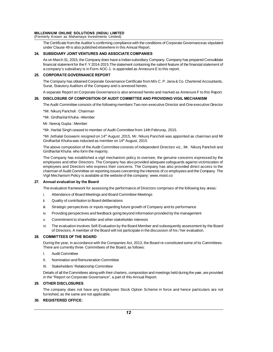# MILLENNIUM ONLINE SOLUTIONS (INDIA) LIMITED<br>(Formerly Known as Mahamaya Investments Limited) MILLENNIUM ONLINE SOLUTIONS (INDIA) LIMITED<br>(Formerly Known as Mahamaya Investments Limited)<br>The Certificate from the Auditor's confirming compliance

ENNIUM ONLINE SOLUTIONS (INDIA) LIMITED<br>nerly Known as Mahamaya Investments Limited)<br>The Certificate from the Auditor's confirming compliance with the conditions of Corporate Governanceas stipulated<br>under Clause 49 is also ENNIUM ONLINE SOLUTIONS (INDIA) LIMITED<br>herly Known as Mahamaya Investments Limited)<br>The Certificate from the Auditor's confirming compliance with the condition<br>under Clause 49 is also published elsewhere in this Annual Re

### 24. SUBSIDIARY JOINT VENTURES AND ASSOCIATE COMPANIES

The Certificate from the Auditor's confirming compliance with the conditions of Corporate Governanceas stipulated<br>under Clause 49 is also published elsewhere in this Annual Report.<br>**SUBSIDIARY JOINT VENTURES AND ASSOCIATE** I ne Certificate from the Auditor's confirming compilance with the conditions of Corporate Governanceas stipulated<br>under Clause 49 is also published elsewhere in this Annual Report.<br>**SUBSIDIARY JOINT VENTURES AND ASSOCIATE** under Clause 49 is also published elsewhere in this Annual Report.<br>**SUBSIDIARY JOINT VENTURES AND ASSOCIATE COMPANIES**<br>As on March 31, 2015, the Company does have a Indian subsidiary Company. Company has<br>financial statemen As on March 31, 2015, the Company does nave a Indian subsidiary Company. Company has prepared Consoldate<br>financial statement for the F.Y 2014-2015. The statement containing the salient feature of the financial statement of

#### 25. CORPORATE GOVERNANCE REPORT

financial statement for the F.Y 2014-2015. The statement containing the<br>a company's subsidiary is in Form AOC-1. is appended as Annexure<br>**CORPORATE GOVERNANCE REPORT**<br>The Company has obtained Corporate Governance Certifica CORPORATE GOVERNANCE REPORT<br>The Company has obtained Corporate Governance Certificate from M/s C. P. Jaria & Co. Chartered Accountants,<br>Surat, Statutory Auditors of the Company and is annexed hereto.<br>A separate Report on C Surat, Statutory Auditors of the Company and is annexed hereto.<br>A separate Report on Corporate Governance is also annexed hereto and marked as Annexure F to this Report.<br>DISCLOSURE OF COMPOSITION OF AUDIT COMMITTEE AND PRO

# A separate Report on Corporate Governa<br>**DISCLOSURE OF COMPOSITION OF A**<br>The Audit Committee consists of the follo<br>\*Mr. Nikunj Pancholi : Chairman<br>\*Mr. Girdharilal Khuha –Member

26. DISCLOSURE OF COMPOSITION OF AUDIT COMMITTEE AND PROVIDING VIGIL MECHANISM<br>The Audit Committee consists of the following members Two non-executive Director and One executive Director<br>\*Mr. Nikunj Pancholi : Chairman<br>\*Mr The Audit Committee consists of the following members Two non-executive Director and One executive Director<br>\*Mr. Nikunj Pancholi : Chairman<br>\*Mr. Girdharilal Khuha –Member<br>Mr. Neeraj Gupta : Member<br>\*Mr. Harilal Singh ceased

\*Mr. Nikunj Pancholi : Chairman<br>\*Mr. Girdharilal Khuha –Member<br>Mr. Neeraj Gupta : Member<br>\*Mr. Harilal Singh ceased to member of Audit Committee from 14th Februray, 2015.<br>\*Mr Jethalal Goswami resigned on 14<sup>th</sup> August ,2015 \*Mr. Girdharilal Khuha –Member<br>Mr. Neeraj Gupta : Member<br>\*Mr. Harilal Singh ceased to member of Audit Committee from 14th Februray, 2015.<br>\*Mr Jethalal Goswami resigned on 14<sup>th</sup> August ,2015, Mr. Nikunj Pancholi was appoin Mr. Neeraj Gupta : Member<br>\*Mr. Harilal Singh ceased to member of Audit Committee from 14th Februr<br>\*Mr Jethalal Goswami resigned on 14<sup>th</sup> August ,2015, Mr. Nikunj Pancho<br>Girdharilal Khuha was inducted as member on 14<sup>th</sup> A The above composition of the Audit Committee from 14th Februray, 2015.<br>\*Mr. Harilal Singh ceased to member of Audit Committee from 14th Februray, 2015.<br>\*Mr Jethalal Goswami resigned on 14<sup>th</sup> August, 2015, Mr. Nikunj Panch "Mr. Harilal Singh ceased to member of Audit"<br>"Mr Jethalal Goswami resigned on 14<sup>th</sup> Augu<br>Girdharilal Khuha was inducted as member of<br>The above composition of the Audit Committe<br>Girdharilal Khuha who form the majority.<br>Th

"Mr Jethalal Goswami resigned on 14" August ,2015, Mr. Nikunj Pancholi was appointed as chairman and Mr<br>Girdharilal Khuha was inducted as member on 14" August, 2015<br>The above composition of the Audit Committee consists of Girdharilal Khuha was inducted as member on 14" August, 2015<br>The above composition of the Audit Committee consists of independent Directors viz., Mr. Nikunj Pancholi and<br>Girdharilal Khuha who form the majority.<br>The Company The above composition of the Audit Committee consists of independent Directors viz., Mr. Nikunj Pancholi and<br>Girdharilal Khuha who form the majority.<br>The Company has established a vigil mechanism policy to oversee, the gen Girdharilal Khuha who form the majority.<br>The Company has established a vigil mechanism policy to oversee, the genuine concerns expressed by the<br>employees and other Directors. The Company has also provided adequate safeguar The Company has established a vigil mechanism policy to oversee, the genuine concerns expressed by the employees and Directors who express their concerns. The Company has also provided direct access to the chairman of Audit Committee on reporting issues concerning the interests of co employees and the Company. The Vigil Mec Vigil Mechanism Policy is available at the website of the company: www.mois<br> **Annual evaluation by the Board**<br>
The evaluation framework for assessing the performance of Directors comp<br>
i. Attendance of Board Meetings and B

#### 27. Annual evaluation by the Board

- 
- 
- **Annual evaluation by the Board**<br>The evaluation framework for assessing the performance<br>i. Attendance of Board Meetings and Board Committee<br>ii. Quality of contribution to Board deliberations<br>iii. Strategic perspectives or
- The evaluation framework for assessing the performance of Directors comprises of the following key are<br>i. Attendance of Board Meetings and Board Committee Meetings<br>ii. Quality of contribution to Board deliberations<br>iii. St
- 
- iv. Attendance of Board Meetings and Board Committee Meetings<br>
ii. Quality of contribution to Board deliberations<br>
iii. Strategic perspectives and feedback going beyond information provided by the management<br>
v. Commitment iii. Strategic perspectives or inputs regarding future growth of Company and its performance<br>iv. Providing perspectives and feedback going beyond information provided by the management<br>v. Commitment to shareholder and othe Strategic perspectives or inputs regarding future growth of Company and its performance<br>Providing perspectives and feedback going beyond information provided by the management<br>Commitment to shareholder and other stakeholde Vi. The evaluation involves Self-Evaluation by the Board Member and subsequently assessment by the Board<br>of Directors. A member of the Board will not participate in the discussion of his / her evaluation.<br>**COMMITTEES OF TH**

**28. COMMITTEES OF THE BOARD**<br>
During the year, in accordance with the Comp<br>
There are currently three Committees of the I.<br>
1. Audit Committee<br>
II. Nomination and Remuneration Committe vi. The evaluation involves Self-Evaluation by the Board Member<br>of Directors. A member of the Board will not participate in the d<br>**COMMITTEES OF THE BOARD**<br>During the year, in accordance with the Companies Act, 2013, the B Formin 1999 of the South During the year, in accordance with the Companies Act, it<br>There are currently three Committees of the Board, as for<br>I. Audit Committee<br>III. Stakeholders' Relationship Committee<br>III. Stakeholders' R There are currently three Committees of the Board, and There are currently three Committees of the Board, and Remuneration Committee<br>II. Nomination and Remuneration Committee<br>III. Stakeholders' Relationship Committee<br>Detai

- 
- 
- 

I. Audit Committee<br>II. Nomination and Remuneration Committee<br>III. Stakeholders' Relationship Committee<br>Details of all the Committees along with their charters, composition and meetings held during the year, are provided<br>in II. Nomination and Remuneration Committee<br>III. Stakeholders' Relationship Committee<br>Details of all the Committees along with their charters, composition and meetin<br>in the "Report on Corporate Governance", a part of this An

#### 29. OTHER DISCLOSURES

The company does not have any Employees Stock Option Scheme in force and hence particulars are not furnished, as the same are not applicable. in the "Report on Corporate Governance", a part of this Annual Report.<br> **OTHER DISCLOSURES**<br>
The company does not have any Employees Stock Option Scheme in force and hence particulars are not<br>
furnished, as the same are no

## 30. REGISTERED OFFICE: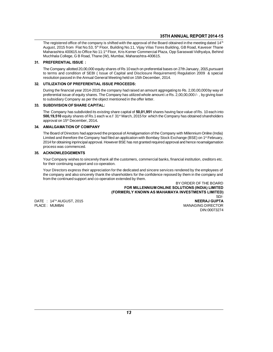**35TH ANNUAL REPORT 2014-15**<br>The registered office of the company is shifted with the approval of the Board obtained in the meeting dated 14<sup>th</sup><br>August, 2015 from Flat No.53, 5<sup>th</sup> Floor, Building No.11, Vijay Vilas Tores **Maharashtra 400615.to Office No 11:1st Floor, Kris Korner Commercial Plaza, Opp Saraswati Vidhyalya, Behind Muchhala College, G B Road, Thane (W), Mumbai, Maharashtra 400615.to Office No 11:1st Floor, Kris Korner Commerci 35TH ANNUAL REPORT 2014-15**<br>The registered office of the company is shifted with the approval of the Board obtained in the meeting dated 14<sup>th</sup><br>August, 2015 from Flat No.53, 5<sup>th</sup> Floor, Building No.11, Vijay Vilas Tores August, 2015 from Flat No.53, 5<sup>th</sup> Floor, Building No.11, Vijay Vilas Tores Building, GB Road, Kaveser Thane<br>Maharashtra 400615.to Office No 11:1ª Floor, Kris Korner Commercial Plaza, Opp Saraswati Vidhyalya, Behind<br>Muchh

## 31. PREFERENTIAL ISSUE:

Maharashtra 400615.to Office No 11:1<sup>s</sup> Floor, Kris Korner Commercial Plaza, Opp Saraswati Vidhyalya, Behind<br>Muchhala College, G B Road, Thane (W), Mumbai, Maharashtra-400615.<br>**PREFERENTIAL ISSUE**:<br>The Company allotted 20, muchiala College, G B Road, Thane (W), Mumbal, Maharashtra-400615.<br> **PREFERENTIAL ISSUE**:<br>
The Company allotted 20,00,000 equity shares of Rs 10 each on preferential bases on to<br>
to terms and condition of SEBI (Issue of Ca The Company allotted 20,00,000 equity shares of Rs 10 each on preferential bases on 27th January, 2015,pursuant<br>to terms and condition of SEBI ( Issue of Capital and Disclosure Requirement) Regulation 2009 & special<br>resolu

## 32. UTILIZATION OF PREFERENTIAL ISSUE PROCEEDS:

to terms and condition of SEBI (ISsue of Capital and Disclosure Requirement) Regulation 2009 & special<br>resolution passed in the Annual General Meeting held on 15th December, 2014.<br>**UTILIZATION OF PREFERENTIAL ISSUE PROCEED** resolution passed in the Annual General Meeting held on 15th December,<br> **UTILIZATION OF PREFERENTIAL ISSUE PROCEEDS:**<br>
During the financial year 2014-2015 the company had raised an amount ag<br>
preferential issue of equity s During the financial year 2014-2015 the company had raised an amount aggregating to Rs. 2,00,00,000 by way of<br>preferential issue of equity shares. The Company has utilized whole amount i.e Rs. 2,00,00,000 /- , by giving lo

### 33. SUBDIVISION OF SHARE CAPITAL:

preferential issue of equity shares. The Company has utilized whole amount i.e Rs. 2,00,00,000/- , by giving loan<br>to subsidiary Company as per the object mentioned in the offer letter.<br>**SUBDIVISION OF SHARE CAPITAL:**<br>The C to subsidiary Company as per the object ments<br>
33. SUBDIVISION OF SHARE CAPITAL:<br>
The Company has subdivided its existing share<br>
500,19,510 equity shares of Rs.1 each w.e.f 31<br>
approval on 15<sup>th</sup> December, 2014.<br>
34. AMALG 500,19,510 equity shares of Rs.1 each w.e.f 31<sup>st</sup> March, 2015 for which the Company has obtained shareholders<br>approval on 15<sup>th</sup> December, 2014.<br>34. **AMALGAMATION OF COMPANY**<br>The Board of Directors had approved the propos

500,19,510 equity shares of Rs.1 each w.e.f 31<sup>st</sup> March, 2015 for which the Company has obtained shareholders<br>approval on 15<sup>th</sup> December, 2014.<br>**AMALGAMATION OF COMPANY**<br>The Board of Directors had approved the proposal o approval on 15" December, 2014.<br>**AMALGAMATION OF COMPANY**<br>The Board of Directors had approved the proposal of Amalgamation of the Company with Millennium Online (India)<br>Limited and therefore the Company had filed an applic **AMALGAMATION OF COMPA<br>The Board of Directors had appr<br>Limited and therefore the Comp<br>2014 for obtaining inprincipal approcess was commenced.<br>ACKNOWLEDGEMENTS** Limited and therefore the Company had filed an application with Bombay Stock Exchange (BSE) on 1<sup>st</sup> February,<br>2014 for obtaining inprincipal approval. However BSE has not granted required approval and hence noamalgamation

### 35. ACKNOWLEDGEMENTS

2014 for obtaining inprincipal approval. However BS<br>process was commenced.<br>**ACKNOWLEDGEMENTS**<br>Your Company wishes to sincerely thank all the cu<br>for their continuing support and co-operation.<br>Your Directors express their ap

**ACKNOWLEDGEMENTS**<br>Your Company wishes to sincerely thank all the customers, commercial banks, financial institution, creditors etc.<br>for their continuing support and co-operation.<br>Your Directors express their appreciation The company wishes to sincerely thank all the customers, commercial banks, financial institution, creditors etc.<br>for their continuing support and co-operation.<br>Your Directors express their appreciation for the dedicated an Your Company wishes to sincerely thank all the customers, commer<br>for their continuing support and co-operation.<br>Your Directors express their appreciation for the dedicated and sinc<br>the company and also sincerely thank the endered by the employees of<br>BY ORDER OF THE BOARD<br>BY ORDER OF THE BOARD<br>DLUTIONS (INDIA) LIMITED<br>A INVESTMENTS LIMITED)

FOR MILLENNIUM ONLINE SOLUTIONS (INDIA) LIMITED (FORMERLY KNOWN AS MAHAMAYA INVESTMENTS LIMITED) Hom the contrided support and co-operation extended by them:<br>
FOR MILLENNIUM ONLINE SOLUTIONS (INDIA) LIMITED<br>
(FORMERLY KNOWN AS MAHAMAYA INVESTMENTS LIMITED)<br>
DATE : 14™ AUGUST, 2015<br>
PLACE : MUMBAI MANAGING DIRECTOR<br>
M FOR MILLENNIUM ONLINE SOLUTIONS (INDIA) LIMITED<br>(FORMERLY KNOWN AS MAHAMAYA INVESTMENTS LIMITED<br>SD/-<br>PLACE : MUMBAI MANAGING DIRECTOR<br>DIN:00073274

SD/-<br>NEERAJ GUPTA DIN:00073274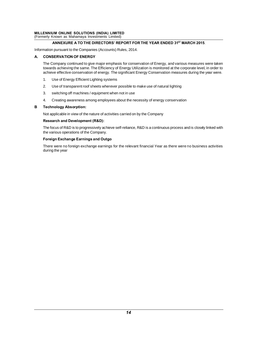# MILLENNIUM ONLINE SOLUTIONS (INDIA) LIMITED<br>(Formerly Known as Mahamaya Investments Limited) MILLENNIUM ONLINE SOLUTIONS (INDIA) LIMITED<br>(Formerly Known as Mahamaya Investments Limited)<br>ANNEXURE A TO THE DIRECTORS' REPORT MILLENNIUM ONLINE SOLUTIONS (INDIA) LIMITED<br>
(Formerly Known as Mahamaya Investments Limited)<br>
ANNEXURE A TO THE DIRECTORS' REPORT FOI<br>
Information pursuant to the Companies (Accounts) Rules, 2014.<br>
A. CONSERVATION OF ENER

## ANNEXURE A TO THE DIRECTORS' REPORT FOR THE YEAR ENDED 31ST MARCH 2015.

## **CONSERVATION OF ENERGY**

ANNEXURE A TO THE DIRECTORS' REPORT FOR THE YEAR ENDED 31<sup>st</sup> MARCH 2015.<br>
Ination pursuant to the Companies (Accounts) Rules, 2014.<br> **CONSERVATION OF ENERGY**<br>
The Company continued to give major emphasis for conservation nation pursuant to the Companies (Accounts) Rules, 2014.<br>**CONSERVATION OF ENERGY**<br>The Company continued to give major emphasis for conservation of Energy, and various measures were taken<br>towards achieving the same. The Eff ration parsuant to the companies (Accounts) Kules, 2014.<br> **CONSERVATION OF ENERGY**<br>
The Company continued to give major emphasis for conservation of Energy, and various measures were taken<br>
towards achieving the same. The The Company continued to give major emphasis for correctional The Company continued to give major emphasis for correctional achieving the same. The Efficiency of Energy achieve effective conservation of energy. The signifi 2. towards achieving the same. The Efficiency of Energy Utilization is monitored at the corporate level, in order to<br>achieve effective conservation of energy. The significant Energy Conservation measures during the year we

- 
- 2. Use of transparent roof sheets wherever possible to make use of natural lighting<br>3. switching off machines / equipment when not in use<br>4. Creating awareness among employees about the necessity of energy conservation
- 
- 1. Use of Energy Efficient Lighting systems<br>2. Use of transparent roof sheets wherever possible to make use of natural lighting<br>3. switching off machines / equipment when not in use<br>4. Creating awareness among employees ab 3. switching off machines / equipment when not in use<br>4. Creating awareness among employees about the necessity of energy conser<br>**Technology Absorption:**<br>Not applicable in view of the nature of activities carried on by the

#### **B** Technology Absorption:

#### **Research and Development (R&D):**

Not applicable in view of the nature of activities carried on by the Company<br>
Research and Development (R&D):<br>
The focus of R&D is to progressively achieve self-reliance, R&D is a continuous process and is closely linked w Not applicable in view of the nature of activities carrie<br>**Research and Development (R&D):**<br>The focus of R&D is to progressively achieve self-relia<br>the various operations of the Company.<br>**Foreign Exchange Earnings and Outg** the various operations of the Company.

There were no foreign exchange earnings for the relevant financial Year as there were no business activities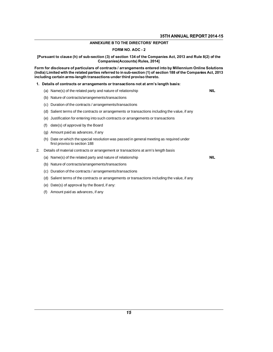## **ANNEXURE B TO THE DIRECTORS' REPORT**

## FORM NO. AOC - 2

[Pursuant to clause (h) of sub-section (3) of section 134 of the Companies Act, 2013 and Rule 8(2) of the **Companies(Accounts) Rules, 2014]** 

Form for disclosure of particulars of contracts / arrangements entered into by Millennium Online Solutions (India) Limited with the related parties referred to in sub-section (1) of section 188 of the Companies Act, 2013<br>including certain arms-length transactions under third proviso thereto.<br>1. Details of contracts or arrangeme including certain arms-length transactions under third proviso thereto.

1. Details of contracts or arrangements or transactions not at arm's length basis: **Details of contracts or arrangements or transactions not at arr**<br>(a) Name(s) of the related party and nature of relationship<br>(b) Nature of contracts/arrangements/transactions<br>(c) Duration of the contracts / arrangements/t

- (a) Name(s) of the related party and nature of relationship<br>(b) Nature of contracts/arrangements/transactions<br>(c) Duration of the contracts / arrangements/transactions
- 
- (c) Duration of the contracts / arrangements/t<br>(d) Salient terms of the contracts or arrangem<br>(e) Justification for entering into such contrac<br>(f) date(s) of approval by the Board<br>(g) Amount paid as advances, if any
- (a) Name(s) of the related party and nature of relationship<br>
(b) Nature of contracts/arrangements/transactions<br>
(c) Duration of the contracts or arrangements or transactions including the value, if any<br>
(e) Justification f (b) Nature of contracts/arrangements/transactions<br>
(c) Duration of the contracts / arrangements/transactions<br>
(d) Salient terms of the contracts or arrangements or transactions including the value, if a<br>
(e) Justification
- 
- 
- 
- (d) Salient terms of the contracts or arranger<br>(e) Justification for entering into such contraction<br>(f) date(s) of approval by the Board<br>(g) Amount paid as advances, if any<br>(h) Date on which the special resolution was (e) Justification for entering into such contracts or arrangements or transactions<br>
(f) date(s) of approval by the Board<br>
(g) Amount paid as advances, if any<br>
(h) Date on which the special resolution was passed in general date(s) of approval by the Board<br>Amount paid as advances, if any<br>Date on which the special resolution<br>first proviso to section 188<br>ails of material contracts or arrangen 2. Details of material contracts or arrangement or transactions at arm's length basis<br>
2. Details of material contracts or arrangement or transactions at arm's length basis<br>
2. Details of material contracts or arrangement (h) Date on which the special resolution was passed in general meeting as required under<br>first proviso to section 188<br>Details of material contracts or arrangement or transactions at arm's length basis<br>(a) Name(s) of the re
- first proviso to section 188<br>Details of material contracts or arrangement or transactions<br>(a) Name(s) of the related party and nature of relationship<br>(b) Nature of contracts/arrangements/transactions<br>(c) Duration of the co
	-
	- (b) Nature of contracts/arrangements/transactio<br>(c) Duration of the contracts / arrangements/tran<br>(d) Salient terms of the contracts or arrangemen<br>(e) Date(s) of approval by the Board, if any:<br>(f) Amount paid as advances,
	- (c) Duration of the contracts / arrang<br>(d) Salient terms of the contracts or<br>(e) Date(s) of approval by the Board<br>(f) Amount paid as advances, if any
	- Details of material contracts or arrangement or transactions at arm<br>(a) Name(s) of the related party and nature of relationship<br>(b) Nature of contracts/arrangements/transactions<br>(c) Duration of the contracts / arrangements (a) Name(s) of the related party and nature of relationship<br>
	(b) Nature of contracts/arrangements/transactions<br>
	(c) Duration of the contracts or arrangements or transactions<br>
	(d) Salient terms of the contracts or arrangeme
	-
	-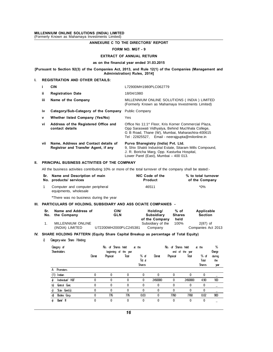# MILLENNIUM ONLINE SOLUTIONS (INDIA) LIMITED<br>(Formerly Known as Mahamaya Investments Limited) MILLENNIUM ONLINE SOLUTIONS (INDIA) LIMITED<br>(Formerly Known as Mahamaya Investments Limited)<br>ANNEXURE C TO THE

# NS (INDIA) LIMITED<br>
nyestments Limited)<br>
ANNEXURE C TO THE DIRECTORS' REPORT<br>
FORM NO MCT - 0 IMITED<br>nited)<br>? TO THE DIRECTORS' REPORT<br>FORM NO. MGT - 9<br>CT OF ANNUAL BETURN EMITTED<br>
ENTS Limited)<br>
XURE C TO THE DIRECTORS' REPORT<br>
FORM NO. MGT - 9<br>
EXTRACT OF ANNUAL RETURN<br>
n the financial vear ended 31.03.2015

# FORM NO. MGT - 9<br>EXTRACT OF ANNUAL RETURN<br>as on the financial year ended 31.03.2015

FORM NO. MGT - 9<br>EXTRACT OF ANNUAL RETURN<br>as on the financial year ended 31.03.2015<br>[Pursuant to Section 92(3) of the Companies Act, 2013, and Rule 12(1) of the Companies (Management and<br>Administration) Rules, 2014] XTRACT OF ANNUAL RETURN<br>the financial year ended 31.03.2015<br>anies Act, 2013, and Rule 12(1) of the C<br>Administration) Rules, 2014]<br>u.s. as on the financia<br>[Pursuant to Section 92(3) of the Companies Act, 2<br>Administrat<br>I. REGISTRATION AND OTHER DETAILS:

|      |                                                                                                             | Administration) Rules, 2014]                                                                                                                                                                                                 |                     |
|------|-------------------------------------------------------------------------------------------------------------|------------------------------------------------------------------------------------------------------------------------------------------------------------------------------------------------------------------------------|---------------------|
|      | <b>REGISTRATION AND OTHER DETAILS:</b>                                                                      |                                                                                                                                                                                                                              |                     |
| i.   | <b>CIN</b>                                                                                                  | L72900MH1980PLC062779                                                                                                                                                                                                        |                     |
| ii.  | <b>Registration Date</b>                                                                                    | 18/04/1980                                                                                                                                                                                                                   |                     |
| iii. | Name of the Company                                                                                         | MILLENNIUM ONLINE SOLUTIONS (INDIA) LIMITED<br>(Formerly Known as Mahamaya Investments Limited)                                                                                                                              |                     |
| iv   | Category/Sub-Category of the Company                                                                        | <b>Public Company</b>                                                                                                                                                                                                        |                     |
| V    | Whether listed Company (Yes/No)                                                                             | Yes                                                                                                                                                                                                                          |                     |
| ٧i   | Address of the Registered Office and<br>contact details                                                     | Office No 11:1 <sup>st</sup> Floor, Kris Korner Commercial Plaza,<br>Opp Saraswati Vidhyalya, Behind Muchhala College,<br>G B Road, Thane (W), Mumbai, Maharashtra-400615<br>Tel: 22825527, Email - neerajgupta@milonline.in |                     |
| vii  | Name, Address and Contact details of<br>Registrar and Transfer Agent, if any                                | Purva Sharegistry (India) Pvt. Ltd.<br>9, Shiv Shakti Industrial Estate, Sitaram Mills Compound,<br>J. R. Boricha Marg, Opp. Kasturba Hospital,<br>Lower Parel (East), Mumbai - 400 013.                                     |                     |
|      | PRINCIPAL BUSINESS ACTIVITIES OF THE COMPANY                                                                |                                                                                                                                                                                                                              |                     |
|      | All the business activities contributing 10% or more of the total turnover of the company shall be stated:- |                                                                                                                                                                                                                              |                     |
|      | Sr. Name and Description of main                                                                            | NIC Code of the                                                                                                                                                                                                              | % to total turnover |

### II. PRINCIPAL BUSINESS ACTIVITIES OF THE COMPANY

|     |                                                                                                             |                                                            |             | Lower Parel (East), Mumbai - 400 013. |                         |                                       |  |  |  |  |
|-----|-------------------------------------------------------------------------------------------------------------|------------------------------------------------------------|-------------|---------------------------------------|-------------------------|---------------------------------------|--|--|--|--|
| ΙΙ. |                                                                                                             | PRINCIPAL BUSINESS ACTIVITIES OF THE COMPANY               |             |                                       |                         |                                       |  |  |  |  |
|     | All the business activities contributing 10% or more of the total turnover of the company shall be stated:- |                                                            |             |                                       |                         |                                       |  |  |  |  |
|     |                                                                                                             | Sr. Name and Description of main<br>No. products/ services |             | NIC Code of the<br>Product            |                         | % to total turnover<br>of the Company |  |  |  |  |
|     | 1                                                                                                           | Computer and computer peripheral<br>equipments, wholesale  |             | 46511                                 |                         | $*0\%$                                |  |  |  |  |
|     |                                                                                                             | *There was no business during the year                     |             |                                       |                         |                                       |  |  |  |  |
|     | III. PARTICULARS OF HOLDING. SUBSIDIARY AND ASS OCIATE COMPANIES  -                                         |                                                            |             |                                       |                         |                                       |  |  |  |  |
|     | Sr.<br>No.                                                                                                  | Name and Address of<br>the Company                         | CIN/<br>GLN | Holding/<br><b>Subsidiary</b>         | $%$ of<br><b>Shares</b> | Applicable<br><b>Section</b>          |  |  |  |  |

|            | *There was no business during the year |                                                                                        |                                                 |                               |                                  |
|------------|----------------------------------------|----------------------------------------------------------------------------------------|-------------------------------------------------|-------------------------------|----------------------------------|
|            |                                        | III. PARTICULARS OF HOLDING, SUBSIDIARY AND ASS OCIATE COMPANIES -                     |                                                 |                               |                                  |
| Sr.<br>No. | Name and Address of<br>the Company     | CIN/<br><b>GLN</b>                                                                     | Holding/<br><b>Subsidiary</b><br>of the Company | % of<br><b>Shares</b><br>held | Applicable<br><b>Section</b>     |
|            | MILLENNIUM ONLINE<br>(INDIA) LIMITED   | U72200MH2000PLC245381                                                                  | Subsidiary of the<br>Company                    | 100%                          | $2(87)$ of<br>Companies Act 2013 |
| I)         | Category-wise Share Holding            | IV. SHARE HOLDING PATTERN (Equity Share Capital Breakup as percentage of Total Equity) |                                                 |                               |                                  |
|            | Category of                            | No. of Sheres held<br>at the                                                           |                                                 | No. of Shares held            | %<br>at the                      |

| RE HOLDING PATTERN (Equity Share Capital Breakup as percentage of Total Equity)<br>Category-wise Share Holding |       |                    |                       |                                   |         |                    |                 |                                  |                       |
|----------------------------------------------------------------------------------------------------------------|-------|--------------------|-----------------------|-----------------------------------|---------|--------------------|-----------------|----------------------------------|-----------------------|
| Category of<br><b>Shareholders</b>                                                                             |       | No. of Sheres held | beginning of the year | at the                            |         | No. of Shares held | end of the year | at the                           | %<br>(hange           |
|                                                                                                                | Demat | Physical           | Total                 | $%$ of<br>Tot al<br><b>Shares</b> | Demat   | Physical           | Total           | $%$ of<br>Total<br><b>Shares</b> | during<br>the<br>year |
| <b>Promoters</b><br>A                                                                                          |       |                    |                       |                                   |         |                    |                 |                                  |                       |
| (1)<br>Indian                                                                                                  | 0     | $\mathbf{0}$       | $\Omega$              | 0                                 | 0       | 0                  | 0               | $\mathbf{0}$                     |                       |
| Individual HUF<br>a                                                                                            | 0     | $\mathbf{0}$       | 0                     | 0                                 | 2450000 | 0                  | 2450000         | 4.90                             | 100                   |
| Central Covt.<br>b)                                                                                            | 0     | $\mathbf{0}$       | 0                     | 0                                 | 0       | 0                  | $\mathbf{0}$    | $\mathbf{0}$                     |                       |
| Sizte Covt(s).<br>d                                                                                            | 0     | 0                  | 0                     | 0                                 | 0       | 0                  | $\bf{0}$        | $\mathbf{0}$                     |                       |
| d)<br>Bodies Corp.                                                                                             | 0     | 776                | 776                   | 0.03                              | 0       | 7760               | 7760            | 0.02                             | 900                   |
| Bank/ FI<br>e                                                                                                  | 0     | 0                  | $\mathbf{0}$          | 0                                 | 0       | 0                  | 0               | 0                                |                       |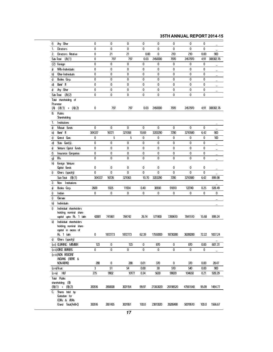## 35TH ANNUAL REPORT 2014-15

| f)  | Any Other                                        | 0      | 0       | 0       | 0     | 0        | 0        | 0        | 0     |           |
|-----|--------------------------------------------------|--------|---------|---------|-------|----------|----------|----------|-------|-----------|
| 1.  | Directors                                        | 0      | 0       | 0       | 0     | 0        | 0        | 0        | 0     |           |
| 2.  | Directors Relative                               | 0      | 21      | 21      | 0.00  | 0        | 210      | 210      | 0.00  | 900       |
|     | (A(1)<br>Sub-Total                               | 0      | 797     | 797     | 0.03  | 2450000  | 7970     | 2457970  | 4.91  | 308302.76 |
| (2) | Foreign                                          | 0      | 0       | 0       | 0     | 0        | 0        | 0        | 0     |           |
| a   | NPs-Individuals                                  | 0      | 0       | 0       | 0     | 0        | 0        | 0        | 0     |           |
| b)  | Other-Individuals                                | 0      | 0       | 0       | 0     | 0        | 0        | 0        | 0     |           |
| d   | Bodies Corp.                                     | 0      | 0       | 0       | 0     | 0        | 0        | 0        | 0     |           |
| d)  | Bank⁄ Fl                                         | 0      | 0       | 0       | 0     | 0        | 0        | 0        | 0     |           |
| e)  | Any Other                                        | 0      | 0       | 0       | 0     | 0        | 0        | 0        | 0     |           |
|     | Sub-Total $(A)(2)$                               | 0      | 0       | 0       | 0     | 0        | 0        | 0        | 0     |           |
|     | Total shareholding of                            |        |         |         |       |          |          |          |       |           |
|     | Promoter                                         |        |         |         |       |          |          |          |       |           |
|     | $(A) (A(1) + (A(2))$                             | 0      | 797     | 797     | 0.03  | 2450000  | 7970     | 2457970  | 4.91  | 308302.76 |
| В.  | <b>Public</b>                                    |        |         |         |       |          |          |          |       |           |
|     | Shareholding                                     |        |         |         |       |          |          |          |       |           |
| 1.  | Institutions                                     |        |         |         |       |          |          |          |       |           |
| a   | Mutual Funds                                     | 0      | 0       | 0       | 0     | 0        | 0        | 0        | 0     |           |
| b)  | Bank⁄ Fl                                         | 304337 | 16721   | 321058  | 10.69 | 3203290  | 7290     | 3210580  | 6.42  | 900       |
| d   | Central Covt.                                    | 0      | 5       | 5       | 0     | 0        | 0        | 0        | 0     | 100       |
| d)  | $\text{Gate}$ $\text{Got}(s)$ .                  | 0      | 0       | 0       | 0     | 0        | 0        | 0        | 0     |           |
| e)  | Venture Capital Funds                            | 0      | 0       | 0       | 0     | 0        | 0        | 0        | 0     |           |
| f)  | Insurance Companies                              | 0      | 0       | 0       | 0     | 0        | 0        | 0        | 0     |           |
| g)  | fils                                             | 0      | 0       | 0       | 0     | 0        | 0        | 0        | 0     |           |
| h)  | Foreign Venture                                  |        |         |         |       |          |          |          |       |           |
|     | Capital Funds                                    | 0      | 0       | 0       | 0     | 0        | 0        | 0        | 0     |           |
| i)  | Cthers (specify)                                 | 0      | 0       | 0       | 0     | 0        | 0        | 0        | 0     |           |
|     | $Sub$ Total $(B(1)$                              | 304337 | 16726   | 321063  | 10.70 | 3203290  | 7290     | 3210580  | 6.42  | 899.98    |
| 2.  | Non- Institutions                                |        |         |         |       |          |          |          |       |           |
| a   | Bodies Corp.                                     | 2609   | 9325    | 11934   | 0.40  | 30930    | 91810    | 122740   | 0.25  | 928.49    |
| i)  | Indian                                           | 0      | 0       | 0       | 0     | 0        | 0        | 0        | 0     | 0         |
| i)  | Querseas                                         |        |         |         |       |          |          |          |       |           |
| b)  | Individuals                                      |        |         |         |       |          |          |          |       |           |
| i)  | Individual shareholders                          |        |         |         |       |          |          |          |       |           |
|     | holding nominal share                            |        |         |         |       |          |          |          |       |           |
|     | capital upto Rs. 1 lakh                          | 42881  | 741861  | 784742  | 26.14 | 571900   | 7269610  | 7841510  | 15.68 | 899.24    |
| ii) | Individual shareholders<br>holding nominal share |        |         |         |       |          |          |          |       |           |
|     | capital in excess of                             |        |         |         |       |          |          |          |       |           |
|     | Rs. 1 lakh                                       | 0      | 1872773 | 1872773 | 62.39 | 17550000 | 18730280 | 36280280 | 72.22 | 1837.24   |
| d   | Cthers (specify)                                 |        |         |         |       |          |          |          |       |           |
|     | (c-i) (LEARING MEMBER                            | 123    | 0       | 123     | 0     | 870      | 0        | 870      | 0.00  | 607.31    |
|     | (c-ii)OFICE BEARERS                              | 0      | 0       | 0       | 0     | 0        | 0        | 0        | 0     |           |
|     | (c-iii)NON RESIDENT                              |        |         |         |       |          |          |          |       |           |
|     | INDIANS (REPAT &                                 |        |         |         |       |          |          |          |       |           |
|     | NON-REPAT)                                       | 288    | 0       | 288     | 0.01  | 370      | 0        | 370      | 0.00  | 28.47     |
|     | (c-iv)Trust                                      | 3      | 51      | 54      | 0.00  | 30       | 510      | 540      | 0.00  | 900       |
|     | $(c-iv)$ HUF                                     | 275    | 9902    | 10177   | 0.34  | 5630     | 99020    | 104650   | 0.21  | 928.29    |
|     | Total Public                                     |        |         |         |       |          |          |          |       |           |
|     | shareholding (B)                                 |        |         |         |       |          |          |          |       |           |
|     | $(B(1) + (B(2))$                                 | 350516 | 2650638 | 3001154 | 99.97 | 21363020 | 26198520 | 47561540 | 95.09 | 1484.77   |
| C.  | Shares held by<br>Custodian for                  |        |         |         |       |          |          |          |       |           |
|     | ODRs & ADRs                                      |        |         |         |       |          |          |          |       |           |
|     | Grand Total(A+B+Q                                | 350516 | 2651435 | 3001951 | 100.0 | 23813020 | 26206490 | 50019510 | 100.0 | 1566.67   |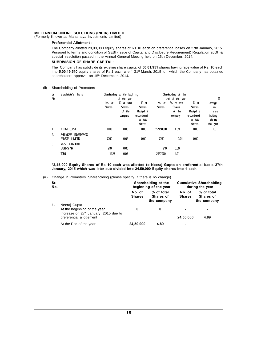UM ONLINE SOLUTIONS (INDIA) LIMITED<br>
Known as Mahamaya Investments Limited)<br>
Preferential Allotment :<br>
The Company allotted 20,00,000 equity shares of Rs 10 each on preferential bases on 27th January, 2015.<br>
Pursuant to te UM ONLINE SOLUTIONS (INDIA) LIMITED<br>
Known as Mahamaya Investments Limited)<br>
Preferential Allotment :<br>
The Company allotted 20,00,000 equity shares of Rs 10 each on preferential bases on 27th January, 2015.<br>
Pursuant to te Known as Mahamaya Investments Limited)<br> **Preferential Allotment**:<br>
The Company allotted 20,00,000 equity shares of Rs 10 each on preferential bases on 27th J<br>
Pursuant to terms and condition of SEBI (Issue of Capital and D **Preferential Allotment :**<br>The Company allotted 20,00,000 equity shares<br>Pursuant to terms and condition of SEBI (Issue<br>special resolution passed in the Annual Gener<br>SUBDIVISION OF SHARE CAPITAL:<br>The Company has subdivide i The Company allotted 20,00,000 equity shares of Rs 10 each on preferential bases on 27th January, 2015.<br>Pursuant to terms and condition of SEBI (Issue of Capital and Disclosure Requirement) Regulation 2009 &<br>special resolu

Pursuant to terms and condition of SEBI (Issue of Capital and Disclosure Requirement) Regulation 2009 &<br>special resolution passed in the Annual General Meeting held on 15th December, 2014.<br>**SUBDIVISION OF SHARE CAPITAL:**<br>T special resolution passed in the Annual General Me<br> **SUBDIVISION OF SHARE CAPITAL:**<br>
The Company has subdivide its existing share capita<br>
into 5,00,19,510 equity shares of Rs.1 each w.e.f 3<br>
shareholders approval on 15<sup>th</sup> into 5,00,19,510 equity shares of Rs.1 each w.e.f  $31^{st}$  March, 2015 for which the Company has obtained shareholders approval on  $15^{th}$  December, 2014.<br>
(ii) Shareholding of Promoters

| Sr       | Shareholder's Name                                                              |                         | Shareholding at the beginning                    |                                                                        | Shareholding at the     |                                                  |                                                                        |                                                        |
|----------|---------------------------------------------------------------------------------|-------------------------|--------------------------------------------------|------------------------------------------------------------------------|-------------------------|--------------------------------------------------|------------------------------------------------------------------------|--------------------------------------------------------|
| Nb       |                                                                                 |                         | of the year                                      |                                                                        |                         | end of the year                                  |                                                                        | %                                                      |
|          |                                                                                 | No. of<br><b>Shares</b> | % of total<br><b>Shares</b><br>of the<br>company | $%$ of<br><b>Shares</b><br>Redged /<br>enambered<br>to total<br>shares | No. of<br><b>Shares</b> | % of total<br><b>Shares</b><br>of the<br>company | $%$ of<br><b>Shares</b><br>Redged /<br>enambered<br>to total<br>shares | change<br>in<br>share<br>holding<br>during<br>the year |
| 1.       | NERAJ CUPTA                                                                     | 0.00                    | 0.00                                             | 0.00                                                                   | $*2450000$              | 4.89                                             | 0.00                                                                   | 100                                                    |
| 2.<br>3. | SHELADEEP INVESTIVENTS<br>PRIVATE LIMITED<br>MRS ARUNDHATI<br><b>BALKRISHNA</b> | 7760<br>210             | 0.02<br>0.00                                     | 0.00                                                                   | 7760<br>210             | 0.01<br>0.00                                     | 0.00                                                                   |                                                        |
|          | <b>TOTAL</b>                                                                    | 1127                    | 0.03                                             |                                                                        | 2457970                 | 4.91                                             |                                                                        |                                                        |

*\**2,45,000 Equity Shares of Rs 10 each was allotted to Neeraj Gupta or January, 2015 which was later sub divided into 24,50,000 Equity shares in (iii) Change in Promoters' Shareholding (please specify, if there is no cha January, 2015 which was later sub divided into 24,50,000 Equity shares into 1 each.

|  | iii) Change in Promoters' Shareholding (please specify, if there is no change) |  |  |  |  |
|--|--------------------------------------------------------------------------------|--|--|--|--|
|--|--------------------------------------------------------------------------------|--|--|--|--|

|            | Change in Promoters' Shareholding (please specify, if there is no change)                           |                         |                                              |                  |                                                   |
|------------|-----------------------------------------------------------------------------------------------------|-------------------------|----------------------------------------------|------------------|---------------------------------------------------|
| Sr.<br>No. |                                                                                                     |                         | Shareholding at the<br>beginning of the year |                  | <b>Cumulative Shareholding</b><br>during the year |
| 1.         | Neeraj Gupta                                                                                        | No. of<br><b>Shares</b> | % of total<br>Shares of<br>the company       | No. of<br>Shares | % of total<br>Shares of<br>the company            |
|            | At the beginning of the year<br>Increase on $27th$ January, 2015 due to<br>preferential allottement | 0                       | 0                                            | 24,50,000        | 4.89                                              |
|            | At the End of the year                                                                              | 24,50,000               | 4.89                                         |                  |                                                   |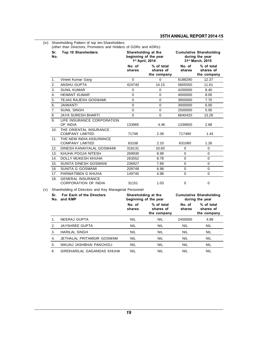| (iv)       | Shareholding Pattern of top ten Shareholders                                           |                  |                                                                 |                  |                                                                       |
|------------|----------------------------------------------------------------------------------------|------------------|-----------------------------------------------------------------|------------------|-----------------------------------------------------------------------|
| Sr.<br>No. | (other than Directors, Promoters and Holders of GDRs and ADRs):<br>Top 10 Shareholders |                  | Shareholding at the<br>beginning of the year<br>1st April, 2014 |                  | <b>Cumulative Shareholding</b><br>during the year<br>31st March, 2015 |
|            |                                                                                        | No. of<br>shares | % of total<br>shares of<br>the company                          | No. of<br>shares | % of total<br>shares of<br>the company                                |
| 1.         | Vineet Kumar Garg                                                                      | $\Omega$         | 0                                                               | 6188290          | 12.37                                                                 |
| 2.         | <b>ANSHU GUPTA</b>                                                                     | 424740           | 14.15                                                           | 5805550          | 11.61                                                                 |
| 3.         | <b>SUNIL KUMAR</b>                                                                     | 0                | 0                                                               | 4200000          | 8.40                                                                  |
| 4.         | <b>HEMANT KUMAR</b>                                                                    | 0                | 0                                                               | 4000000          | 8.00                                                                  |
| 5.         | TEJAS RAJESH GOSWAMI.                                                                  | 0                | 0                                                               | 3850000          | 7.70                                                                  |
| 6.         | JAIWANTI                                                                               | 0                | 0                                                               | 3000000          | 6.00                                                                  |
| 7.         | <b>SUNIL SINGH</b>                                                                     | 0                | 0                                                               | 2500000          | 5.00                                                                  |
| 8          | <b>JAYA SURESH BHARTI</b>                                                              | $\Omega$         | $\Omega$                                                        | 6640420          | 13.28                                                                 |
| 9.         | LIFE INSURANCE CORPORATION<br>OF INDIA                                                 | 133965           | 4.46                                                            | 1339650          | 2.68                                                                  |
|            | 10. THE ORIENTAL INSURANCE<br><b>COMPANY LIMITED</b>                                   | 71748            | 2.39                                                            | 717480           | 1.43                                                                  |
|            | 11. THE NEW INDIA ASSURANCE<br><b>COMPANY LIMITED</b>                                  | 63108            | 2.10                                                            | 631080           | 1.26                                                                  |
| 12.        | DINESH KANAIYALAL GOSWAMI                                                              | 318131           | 10.60                                                           | 0                | 0                                                                     |
| 13.        | KHUHA POOJA NITESH                                                                     | 269930           | 8.99                                                            | 0                | 0                                                                     |
| 14.        | DOLLY MUKESH KHUHA                                                                     | 263552           | 8.78                                                            | 0                | 0                                                                     |
| 15.        | SUNITA DINESH GOSWANI                                                                  | 236927           | 7.89                                                            | 0                | 0                                                                     |
| 16         | SUNITA G GOSWAMI                                                                       | 209748           | 6.98                                                            | 0                | 0                                                                     |
| 17.        | PARWATIBEN G KHUHA                                                                     | 149745           | 4.98                                                            | 0                | $\Omega$                                                              |
| 18.        | <b>GENERAL INSURANCE</b><br><b>CORPORATION OF INDIA</b>                                | 31151            | 1.03                                                            | 0                | 0                                                                     |
| (v)        | Shareholding of Directors and Key Managerial Personnel:                                |                  |                                                                 |                  |                                                                       |
| Sr.        | For Each of the Directors<br>No. and KMP                                               |                  | Shareholding at the<br>beginning of the year                    |                  | <b>Cumulative Shareholding</b><br>during the year                     |
|            |                                                                                        | No. of<br>shares | % of total<br>shares of<br>the company                          | No. of<br>shares | % of total<br>shares of<br>the company                                |
| 1.         | NEERAJ GUPTA                                                                           | <b>NIL</b>       | NIL                                                             | 2450000          | 4.89                                                                  |
| 2.         | <b>JAYSHREE GUPTA</b>                                                                  | NIL              | <b>NIL</b>                                                      | <b>NIL</b>       | <b>NIL</b>                                                            |
| 3.         | <b>HARILAL SINGH</b>                                                                   | NIL              | NIL                                                             | NIL              | NIL                                                                   |
| 4.         | JETHALAL PRITAMGIR GOSWAM                                                              | <b>NIL</b>       | NIL                                                             | NIL              | NIL                                                                   |
| 5.         | NIKUNJ JASHBHAI PANCHOLI                                                               | <b>NIL</b>       | NIL                                                             | NIL              | NIL                                                                   |
| 6          | GIRDHARILAL GAGANDAS KHUHA                                                             | NIL              | NIL                                                             | NIL              | NIL                                                                   |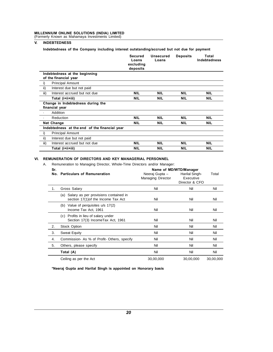MILLENNIUM ONLINE SOLUTIONS (INDIA) LIMITED<br>(Formerly Known as Mahamaya Investments Limited) MILLENNIUM ONLINE SOLUTIONS (INDIA) LIMITED<br>(Formerly Known as Mahamaya Investments Limited)<br>V. INDEBTEDNESS

## V. INDEBTEDNESS

ENNIUM ONLINE SOLUTIONS (INDIA) LIMITED<br>
IMPEBTEDNESS<br>
INDEBTEDNESS<br>
Indebtedness of the Company including interest outstanding/accrued but not due for payment<br>
Secured Uneceured Penesite Tatel

|                   |                                                        | <b>Secured</b><br>Loans<br>excluding<br>deposits | Unsecured<br>Loans | <b>Deposits</b> | Total<br><b>Indebtedness</b> |
|-------------------|--------------------------------------------------------|--------------------------------------------------|--------------------|-----------------|------------------------------|
|                   | Indebtedness at the beginning<br>of the financial year |                                                  |                    |                 |                              |
| i)                | <b>Principal Amount</b>                                |                                                  |                    |                 |                              |
| ii)               | Interest due but not paid                              |                                                  |                    |                 |                              |
| iii)              | Interest accrued but not due                           | <b>NIL</b>                                       | <b>NIL</b>         | <b>NIL</b>      | <b>NIL</b>                   |
|                   | Total (i+ii+iii)                                       | <b>NIL</b>                                       | <b>NIL</b>         | <b>NIL</b>      | <b>NIL</b>                   |
|                   | Change in Indebtedness during the<br>financial year    |                                                  |                    |                 |                              |
|                   | Addition                                               |                                                  |                    |                 |                              |
|                   | Reduction                                              | <b>NIL</b>                                       | <b>NIL</b>         | <b>NIL</b>      | <b>NIL</b>                   |
|                   | Net Change                                             | <b>NIL</b>                                       | <b>NIL</b>         | <b>NIL</b>      | <b>NIL</b>                   |
|                   |                                                        |                                                  |                    |                 |                              |
|                   | Indebtedness at the end of the financial year          |                                                  |                    |                 |                              |
|                   | <b>Principal Amount</b>                                |                                                  |                    |                 |                              |
|                   | Interest due but not paid                              |                                                  |                    |                 |                              |
| i)<br>ii)<br>iii) | Interest accrued but not due                           | <b>NIL</b>                                       | <b>NIL</b>         | <b>NIL</b>      | <b>NIL</b>                   |

|     | Total (i+ii+iii)                                                                 | NIL<br>NIL                                 | NIL                                                                     | <b>NIL</b> |
|-----|----------------------------------------------------------------------------------|--------------------------------------------|-------------------------------------------------------------------------|------------|
|     | EMUNERATION OF DIRECTORS AND KEY MANAGERIAL PERSONNEL                            |                                            |                                                                         |            |
|     | Remuneration to Managing Director, Whole-Time Directors and/or Manager:          |                                            |                                                                         |            |
| Sr. | No. Particulars of Remuneration                                                  | Neeraj Gupta -<br><b>Managing Director</b> | Name of MD/WTD/Manager<br>Harilal Singh-<br>Executive<br>Director & CFO | Total      |
| 1.  | Gross Salary                                                                     | Nil                                        | Nil                                                                     | Nil        |
|     | (a) Salary as per provisions contained in<br>section 17(1) of the Income Tax Act | Nil                                        | Nil                                                                     | Nil        |
|     | (b) Value of perquisites u/s 17(2)<br>Income Tax Act. 1961                       | Nil                                        | Nil                                                                     | Nil        |
|     | Profits in lieu of salary under<br>(c)<br>Section 17(3) IncomeTax Act, 1961      | Nil                                        | Nil                                                                     | Nil        |
| 2.  | Stock Option                                                                     | Nil                                        | Nil                                                                     | Nil        |
| 3.  | <b>Sweat Equity</b>                                                              | Nil                                        | Nil                                                                     | Nil        |
| 4.  | Commission- As % of Profit-Others, specify                                       | Nil                                        | Nil                                                                     | Nil        |
| 5.  | Others, please specify                                                           | Nil                                        | Nil                                                                     | Nil        |
|     | Total (A)                                                                        | Nil                                        | Nil                                                                     | Nil        |
|     | Ceiling as per the Act                                                           | 30,00,000                                  | 30,00,000                                                               | 30,00,000  |

\*Neeraj Gupta and Harilal Singh is appointed on Honorary basis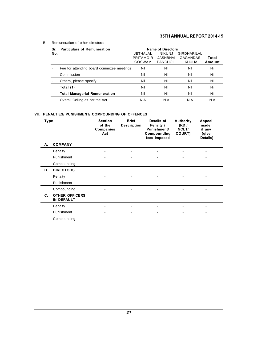| В. | Remuneration of other directors: |                                            |                                 |                                                                   |                                         |     |  |  |  |  |  |
|----|----------------------------------|--------------------------------------------|---------------------------------|-------------------------------------------------------------------|-----------------------------------------|-----|--|--|--|--|--|
|    | Sr.<br>No.                       | <b>Particulars of Remuneration</b>         | JETHALAL<br>PRITAMGIR<br>GOSWAM | <b>Name of Directors</b><br><b>NIKUNJ</b><br>JASHBHAI<br>PANCHOLI | GIRDHARILAL<br>GAGANDAS<br><b>KHUHA</b> |     |  |  |  |  |  |
|    |                                  | Fee for attending board committee meetings | Nil                             | Nil                                                               | Nil                                     | Nil |  |  |  |  |  |
|    |                                  | Commission                                 | Nil                             | Nil                                                               | Nil                                     | Nil |  |  |  |  |  |
|    | ٠                                | Others, please specify                     | Nil                             | Nil                                                               | Nil                                     | Nil |  |  |  |  |  |
|    |                                  | Total (1)                                  | Nil                             | Nil                                                               | Nil                                     | Nil |  |  |  |  |  |
|    |                                  | <b>Total Managerial Remuneration</b>       | Nil                             | Nil                                                               | Nil                                     | Nil |  |  |  |  |  |
|    |                                  | Overall Ceiling as per the Act             | N.A                             | N.A                                                               | N.A                                     | N.A |  |  |  |  |  |

# Overall Celling as per the Act<br>VII. PENALTIES/ PUNISHMENT/ COMPOUNDING OF OFFENCES

|           | Overall Ceiling as per the Act                 |                                              |                                    | N.A<br>N.A                                                            | N.A                                  | N.A                                            |
|-----------|------------------------------------------------|----------------------------------------------|------------------------------------|-----------------------------------------------------------------------|--------------------------------------|------------------------------------------------|
|           | PENALTIES/ PUNISHMENT/ COMPOUNDING OF OFFENCES |                                              |                                    |                                                                       |                                      |                                                |
| Type      |                                                | <b>Section</b><br>of the<br>Companies<br>Act | <b>Brief</b><br><b>Description</b> | Details of<br>Penalty /<br>Punishment/<br>Compounding<br>fees imposed | Authority<br>[RD/<br>NCLT/<br>COURT] | Appeal<br>made,<br>if any<br>(give<br>Details) |
| А.        | <b>COMPANY</b>                                 |                                              |                                    |                                                                       |                                      |                                                |
|           | Penalty                                        |                                              |                                    |                                                                       |                                      |                                                |
|           | Punishment                                     |                                              |                                    |                                                                       |                                      |                                                |
|           | Compounding                                    |                                              |                                    |                                                                       |                                      |                                                |
| <b>B.</b> | <b>DIRECTORS</b>                               |                                              |                                    |                                                                       |                                      |                                                |
|           | Penalty                                        |                                              |                                    |                                                                       |                                      |                                                |
|           | Punishment                                     |                                              |                                    |                                                                       |                                      |                                                |
|           | Compounding                                    |                                              |                                    |                                                                       |                                      |                                                |
| C.        | <b>OTHER OFFICERS</b><br>IN DEFAULT            |                                              |                                    |                                                                       |                                      |                                                |
|           | Penalty                                        |                                              |                                    |                                                                       |                                      |                                                |
|           | Punishment                                     |                                              |                                    |                                                                       |                                      |                                                |
|           | Compounding                                    |                                              |                                    |                                                                       |                                      |                                                |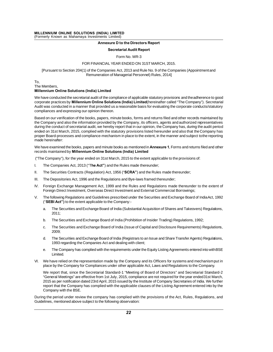# **Annexure D to the Directors Report** ed)<br>**D to the Directors Repo<br>etarial Audit Report**<br>Form No. MR-3<br>AR ENDED ON 31ST MA

#### **Secretarial Audit Report**

Annexure D to the Directors Report<br>Secretarial Audit Report<br>Form No. MR-3<br>FOR FINANCIAL YEAR ENDED ON 31ST MARCH, 2015.<br>(1) of the Companies Act, 2013 and Rule No. 9 of the Companie Secretarial Audit Report<br>Form No. MR-3<br>FOR FINANCIAL YEAR ENDED ON 31ST MARCH, 2015.<br>[Pursuant to Section 204(1) of the Companies Act, 2013 and Rule No. 9 of the Companies (Appointment and<br>Remuneration of Managerial Person Form No. MR-3<br>Remuneration of Managerial Personnel) Rules, 2015.<br>The Companies Act, 2013 and Rule No. 9 of the Compa<br>Remuneration of Managerial Personnel) Rules, 2014] FORTINATIONE TEAR ENDINEMENT (Pursuant to Section 204(1) of the Companies Act, 20<br>Remuneration of Manager<br>To,<br>Millennium Online Solutions (India) Limited

To,

We have conducted the secretarial audit of the compliance of applicable statutory provisions and the adherence to good<br>We have conducted the secretarial audit of the compliance of applicable statutory provisions and the ad To,<br>The Members,<br>**Millennium Online Solutions (India) Limited**<br>We have conducted the secretarial audit of the compliance of applicable statutory provisions and the adherence to good<br>corporate practices by **Millennium Onlin** The Members,<br>**Millennium Online Solutions (India) Limited**<br>We have conducted the secretarial audit of the compliance of applicable statutory provisions and the adherence to good<br>corporate practices by **Millennium Online So Millennium Online Solutions (India) Limited**<br>We have conducted the secretarial audit of the compliar<br>corporate practices by **Millennium Online Solutions**<br>Audit was conducted in a manner that provided us a re<br>compliances a We have conducted the secretarial audit of the compliance of applicable statutory provisions and the adherence to good<br>corporate practices by **Millennium Online Solutions (India) Limited** (hereinafter called "The Company")

corporate practices by **Millennium Online Solutions (India) Limited**(hereinafter called "The Company"). Secretarial<br>Audit was conducted in a manner that provided us a reasonable basis for evaluating the corporate conducts/ Audit was conducted in a manner that provided us a reasonable basis for evaluating the corporate conducts/statutory<br>compliances and expressing our opinion thereon.<br>Based on our verification of the books, papers, minute boo compliances and expressing our opinion thereon.<br>Based on our verification of the books, papers, minute books, forms and returns filed and other records maintained by<br>the Company and also the information provided by the Com Based on our verification of the books, papers, minute books, forms and returns filed and other records maintained by<br>the Company and also the information provided by the Company, its officers, agents and authorized repres Based on our vernication<br>the Company and also<br>during the conduct of s<br>ended on 31st March,<br>proper Board-process<br>made hereinafter:<br>We have examined the during the conduct of secretarial audit, we hereby report that in our opinion, the Company has, during the audit period<br>ended on 31st March, 2015, complied with the statutory provisions listed hereunder and also that the C ended on 31st March, 2015, complied with the statutory provisions listed hereur<br>proper Board-processes and compliance-mechanism in place to the extent, in the<br>made hereinafter:<br>We have examined the books, papers and minute

Me have examined the books, papers and minute books as mentioned in **Annexure 1**, Forms and returns filed records maintained by **Millennium Online Solutions (India) Limited**<br>("The Company"), for the year ended on 31st Marc We have examined the books, papers and minute books as mentioned in **Annexure**<br>records maintained by **Millennium Online Solutions (India) Limited**<br>("The Company"), for the year ended on 31st March, 2015 to the extent appli records maintained by **Millennium Online Solutions (India) Limited**<br>
("The Company"), for the year ended on 31st March, 2015 to the extent applicable to the provisions of:<br>
I. The Companies Act, 2013 ("The **Act**") and the

- 
- 
- 
- ("The Company"), for the year ended on 31st March, 2015 to the extent applicable to the pronduction.<br>I. The Companies Act, 2013 ("The Act") and the Rules made thereunder;<br>II. The Securities Contracts (Regulation) Act, 1956 I. The Companies Act, 2013 ("The Act") and the Rules made thereunder;<br>II. The Securities Contracts (Regulation) Act, 1956 ("SCRA") and the Rules made thereunder;<br>III. The Depositories Act, 1996 and the Regulations and Bye-The Securities Contracts (Regulation) Act, 1956 ("**SCRA**") and the Rules made thereunder;<br>The Depositories Act, 1996 and the Regulations and Bye-laws framed thereunder;<br>Foreign Exchange Management Act, 1999 and the Rules a
- V. The Depositories Act, 1996 and the Regulations and Bye-laws framed thereunder;<br>
V. Foreign Exchange Management Act, 1999 and the Rules and Regulations made thereunder to the extent of<br>
Foreign Direct Investment, Oversea Foreign Exchange Management Act, 1999 and the Rules and Sydney Foreign Direct Investment, Overseas Direct Investment and The following Regulations and Guidelines prescribed under the Company:-<br>("SEBI Act") to the extent ap The following Regulations and Guidelines prescribed under the Securities and Exchange Board of India Act, 1992<br>("SEBI Act") to the extent applicable to the Company:-<br>a. The Securities and Exchange Board of India (Substanti
	- 2011;
	- b. The Securities and Exchange Board of India (Prohibition of Insider Trading) Regulations, 1992;<br>c. The Securities and Exchange Board of India (Issue of Capital and Disclosure Requirements) R
	- c. The Securities and Exchange Board of India (Substantial Acquisition of Shares and Takeovers) Regulations,<br>2011;<br>b. The Securities and Exchange Board of India (Prohibition of Insider Trading) Regulations, 1992;<br>c. The Se 2009; d. The Securities and Exchange Board of India (Prohibition of Insider Trading) Regulations, 1992;<br>
	c. The Securities and Exchange Board of India (Issue of Capital and Disclosure Requirements) Regulations,<br>
	2009;<br>
	d. The Se The Securities and Exchange Board of India (I formulation of institution of the Securities and Exchange Board of India (Issue of Capital a 2009;<br>The Securities and Exchange Board of India (Registrars to an Iss<br>1993 regardi
	- d. The Securities and Exchange Board of India (Registrars to an Issue and Share Transfer Agents) Regulations,<br>1993 regarding the Companies Act and dealing with client;<br>e. The Company has complied with the requirements unde
	- Limited. place by the Company has complied with the requirements under the Equity Listing Agreements entered into with BSE<br>Limited.<br>We have relied on the representation made by the Company and its Officers for systems and mechanism
- Figures and Exchange Board of made (registrats to antissue and order Hansier Agents) regarders,<br>1993 regarding the Companies Act and dealing with client;<br>Emitted.<br>We have relied on the representation made by the Company an

E. The Company has complied with the requirements thee Equity Eisting Agreements entered into with DSE<br>
We have relied on the representation made by the Company and its Officers for systems and mechanism put in<br>
place by t We have relied on the representation made by the Company and its Officers for systems and mechanismput in place by the Company for Compliances under other applicable Act, Laws and Regulations to the Company.<br>We report that We have relied on the representation made by the Company and its Officers for systems and mechanismput in<br>place by the Company for Compliances under other applicable Act, Laws and Regulations to the Company.<br>We report that place by the Company for Compliances under other applicable Act, Laws and Regulations to the Company.<br>We report that, since the Secretarial Standard-1 "Meeting of Board of Directors" and Secretarial Standard-2<br>"General Mee We report that, since the Secondal Meetings" are effection date<br>2015 as per notification date<br>report that the Company has<br>Company with the BSE.<br>Ig the period under review the "General Meetings" are effective from 1st July, 2015, compliance are not required for the year ended31st March,<br>2015 as per notification dated 23rd April, 2015 issued by the Institute of Company Secretaries of India. We fu 2015 as per notification dated 23rd April, 2015 issued by the Institute of Company Secretaries of India. We further<br>report that the Company has complied with the applicable clauses of the Listing Agreement entered into by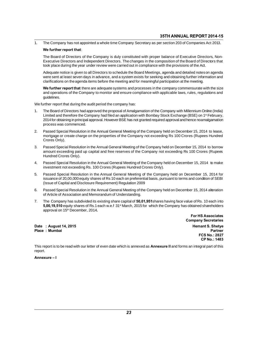1. The Company has not appointed a whole time Company Secretary as per section 203 of Companies Act 2013.<br>We further report that:

35TH ANNUAL REPORT 2014-15<br>
The Company has not appointed a whole time Company Secretary as per section 203 of Companies Act 2013.<br>
We further report that:<br>
The Board of Directors of the Company is duly constituted with pr The Company has not appointed a whole time Company Secretary as per section 203 of Companies Act 2013.<br>We further report that:<br>The Board of Directors of the Company is duly constituted with proper balance of Executive Dire The Board of Directors of the Company is duly constituted with proper balance of Executive Directors,<br>Executive Directors and Independent Directors. The changes in the composition of the Board of Director<br>took place during We rui ther report that.<br>The Board of Directors of the Company is duly constituted with proper balance of Executive Directors, Non-<br>Executive Directors and Independent Directors. The changes in the composition of the Board

Executive Directors and Independent Directors. The changes in the composition of the Board of Directors that took place during the year under review were carried out in compliance with the provisions of the Act.<br>Adequate n Adequate notice is given to all Directors to schedule the Board Meetings, agenda and detailed notes on agenda took place daring the year ander review were earned out in compilatios with the provisions of the Ad.<br>Adequate notice is given to all Directors to schedule the Board Meetings, agenda and detailed notes on agenda<br>were sent Adequate notice is given to all Directors to schedule the Board Meetings, agenda and detailed notes on agenda<br>were sent at least seven days in advance, and a system exists for seeking and obtaining further information and<br>

guidelines. We further report that there are adequate systems and proce<br>and operations of the Company to monitor and ensure compli<br>guidelines.<br>We further report that during the audit period the company has:<br>1. The Board of Directors h

- The Board of Directors had approved the proposal of Amalgamation of the Company with Nillennium Online (India)<br>1. The Board of Directors had approved the proposal of Amalgamation of the Company with Millennium Online (Indi and operations of the Company to moment and choute compilance with applicable laws, rates, regulations and<br>guidelines.<br>The Board of Directors had approved the proposal of Amalgamation of the Company with Millennium Online guidences.<br>2014 for operation of Directors had approved the proposal of Amalgamation of the Company with Millennium Online (India)<br>2014 for obtaining in principal approval. However BSE has not granted required approval and rrher report that during the audi<br>The Board of Directors had appr<br>Limited and therefore the Comp<br>2014 for obtaining in principal approcess was commenced.<br>Passed Special Resolution in th 2. Passed Special Resolution in the Annual General Meeting of the Company with Millennium Online (India)<br>2014 for obtaining in principal approval. However BSE has not granted required approval and hence noamalgamation<br>2. P Limited and therefore the Company had filed an application with Bombay Stock Exchange (BSE) on 1<sup>st</sup> February, 2014 for obtaining in principal approval. However BSE has not granted required approval and hence noamalgamatio
- 2014 for obtaining in<br>process was comr<br>Passed Special Re<br>mortgage or creat<br>Crores Only).<br>Passed Special Re 2. Passed Special Resolution in the Annual General Meeting of the Company held on December 15, 2014 to lease,<br>mortgage or create charge on the properties of the Company not exceeding Rs 100 Crores (Rupees Hundred<br>Crores On
- Passed Special Resolution in the Annual General Meeting of the Company held on December 15, 2014 to lease, mortgage or create charge on the properties of the Company not exceeding Rs 100 Crores (Rupees Hundred Crores Only) mortgage or create charge<br>Crores Only).<br>Passed Special Resolution i<br>amount exceeding paid up<br>Hundred Crores Only).<br>Passed Special Resolution i 2. Passed Special Resolution in the Annual General Meeting of the Company held on December 15, 2014 to borrow<br>amount exceeding paid up capital and free reserves of the Company not exceeding Rs 100 Crores (Rupees<br>Hundred Cr amount exceeding paid up capital and free reserves of the Company not exceeding Rs 100 Crores (Rupees<br>Hundred Crores Only).<br>Passed Special Resolution in the Annual General Meeting of the Company held on December 15, 2014 t
- 
- Fundred Crores Only).<br>
4. Passed Special Resolution in the Annual General Meeting of the Company held on December 15, 2014 to make<br>
investment not exceeding Rs. 100 Crores (Rupees Hundred Crores Only).<br>
5. Passed Special R Francied Crores Omy).<br>Passed Special Resolution in the Annual General Meeting of the Company held on December 15, 2014 to make<br>investment not exceeding Rs. 100 Crores (Rupees Hundred Crores Only).<br>Passed Special Resolution Passed Special Resolution in the Annual General Meeting of the Comparent investment not exceeding Rs. 100 Crores (Rupees Hundred Crores Only<br>Passed Special Resolution in the Annual General Meeting of the Com<br>issuance of 20 Frassed Special Resolution in the Annual General Meeting of the Company held on December 15, 2014 for<br>issuance of 20,00,000 equity shares of Rs 10 each on preferential basis, pursuant to terms and condition of SEBI<br>(Issue Passed Special Resolution in the Annual General Meeting of thissuance of 20,00,000 equity shares of Rs 10 each on preferential (Issue of Capital and Disclosure Requirement) Regulation 2009<br>Passed Special Resolution in the
- 
- Fissuance of 20,00,000 equity shares of Ks. 10 each of pheterential basis, pursuant to terms and condition of DLD<br>(Issue of Capital and Disclosure Requirement) Regulation 2009<br>6. Passed Special Resolution in the Annual Gen rissue of Caphiarand Disclosure Requirement) Regulation 2009<br>Passed Special Resolution in the Annual General Meeting of the Company held on December 15, 2014 alteration<br>of Article of Association and Memorandum of Understan Passed Special Resolution in the Annual General Meeting of the Company held on December 15, 2014 alteration<br>of Article of Association and Memorandum of Understanding.<br>The Company has subdivided its existing share capital o

|               | Date: August 14, 2015 | <b>Hemant S. Shetve</b> |
|---------------|-----------------------|-------------------------|
| Place: Mumbai |                       | Partner                 |

**Company Secretaries Hemant S. Shetye FCS No.: 2827 CP No.: 1483** 

Partner<br>FCS No.: 2827<br>CP No.: 1483<br>This report is to be read with our letter of even date which is annexed as Annexure II and forms an integral part of this report.

Annexure-I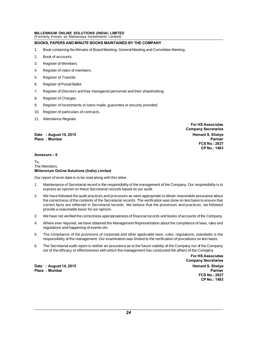# MILLENNIUM ONLINE SOLUTIONS (INDIA) LIMITED<br>(Formerly Known as Mahamaya Investments Limited) MILLENNIUM ONLINE SOLUTIONS (INDIA) LIMITED<br>(Formerly Known as Mahamaya Investments Limited)<br>BOOKS, PAPERS AND MINUTE BOOKS MAINTAINED E

# BOOKS, PAPERS AND MINUTE BOOKS MAINTAINED BY THE COMPANY (Formerly Known as Maham<br>**BOOKS, PAPERS AND MIN**<br>1. Book of accounts.<br>2. Book of accounts.

- MILLENNIUM ONLINE SOLUTIONS (INDIA) LIMITED<br>(Formerly Known as Mahamaya Investments Limited)<br>BOOKS, PAPERS AND MINUTE BOOKS MAINTAINED BY THE COMPANY<br>1. Book containing the Minutes of Board Meeting, General Meeting and Com
- 
- 
- **BOOKS, PAPERS AND MINUT**<br>1. Book containing the Minute<br>2. Book of accounts.<br>3. Register of Members.<br>4. Register of index of memb 1. Book containing the Minutes of Boa<br>2. Book of accounts.<br>3. Register of Members.<br>4. Register of index of members.<br>5. Register of Transfer. 2. Book of accounts.<br>3. Register of Members.<br>4. Register of index of meml<br>5. Register of Transfer.<br>6. Register of Postal Ballot 3. Register of Members.<br>4. Register of index of member<br>5. Register of Transfer.<br>6. Register of Postal Ballot<br>7. Register of Directors and Ke
- 
- 
- 9. Register of Iransfer.<br>1. Register of Postal Ballot<br>1. Register of Postal Ballot<br>1. Register of Directors and Key managerial personnel and their shareholding.<br>1. Register of Charges. 5. Register of Transfer.<br>6. Register of Postal Ballot<br>7. Register of Directors and<br>8. Register of Charges.<br>9. Register of investments o 9. Register of Postal Ballot<br>1. Register of Directors and Key managerial personnel and their shareholding.<br>1. Register of investments or loans made, guarantee or security provided.<br>10. Register of particulars of contracts.
- 
- 7. Register of Directors and Key manageria<br>10. Register of Charges.<br>10. Register of investments or loans made,<br>10. Register of particulars of contracts.<br>11. Attendance Register. 8. Register of Charges.<br>9. Register of investments o<br>10. Register of particulars of o<br>11. Attendance Register.
- 
- 

 Place: Mumbai

**For HS Associates Company Secretaries FCS No.: 2827 CP No.: 1483** 

#### Annexure - II

# To,<br>The Members, Annexure – II<br>To,<br>The Members,<br>Millennium Online Solutions (India) Limited

Our report of even date is to be read along with this letter.<br>1. Maintenance of Secretarial record is the responsibility

- 1. The Members,<br>**Millennium Online Solutions (India) Limited**<br>Our report of even date is to be read along with this letter.<br>1. Maintenance of Secretarial record is the responsibility of the management of the Company. Our r nnium Online Solutions (India) Limited<br>eport of even date is to be read along with this letter.<br>Maintenance of Secretarial record is the responsibility of the management<br>express an opinion on these Secretarial records base
- express an opinion on these Secretarial records based on our audit.<br>2. We have followed the audit practices and processes as were appropriate to obtain reasonable assurance about<br>1. the correctness of the contents of the S Maintenance of Secretarial record is the responsibility of the management of the Company. Our responsibility is to express an opinion on these Secretarial records based on our audit.<br>We have followed the audit practices an Maintenance of Secretarial record is the responsibility of the management of the Company. Our responsibility is to express an opinion on these Secretarial records based on our audit.<br>We have followed the audit practices an express an opinion on these Secretarial record:<br>We have followed the audit practices and proce<br>the correctness of the contents of the Secretaria<br>correct facts are reflected in Secretarial recor<br>provide a reasonable basis f 2. We have followed the audit practices and processes as were appropriate to obtain reasonable assurance about<br>the correctness of the contents of the Secretarial records. The verification was done on test basis to ensure t Fraction of the solutions of the solutions of the solutions. The verification was done of test basis to chstre that<br>correct facts are reflected in Secretarial records. We believe that the processes and practices, we follow
- 
- provide a reasonable basis for our opinion.<br>We have not verified the correctness appropriations and happening of events etc.<br>The compliance of the provisions of corporal 5. We have not verified the correctness appropriateness of financial records and books of accounts of the Company.<br>
4. Where ever required, we have obtained the Management Representation about the compliance of laws, rules responsibility of the management. Our examination was limited to the compliance of laws, rules and regulations and happening of events etc.<br>The compliance of the provisions of corporate and other applicable laws, rules, re
- The compliance of the provisions of corporate and other applicable laws, rules, regulations, standards is the<br>responsibility of the management. Our examination was limited to the verification of procedures on test basis.<br>T
- Fractions and happening of events etc.<br>
5. The compliance of the provisions of corporate and other applicable laws, rules, regulations, standards is the<br>
responsibility of the management. Our examination was limited to the

Date : August 14, 2015 **Market 2018** and 2019 and 2019 and 2019 and 2019 and 2019 and 2019 and 2019 and 2019 and 2019 and 2019 and 2019 and 2019 and 2019 and 2019 and 2019 and 2019 and 2019 and 2019 and 2019 and 2019 and 2 Place : Mumbai **Partner** Partner New York 1999 and 2009 and 2009 and 2009 and 2009 and 2009 and 2009 and 2009 and 2009 and 2009 and 2009 and 2009 and 2009 and 2009 and 2009 and 2009 and 2009 and 2009 and 2009 and 2009 and

**For HS Associates Company Secretaries FCS No.: 2827** CP No.: 1483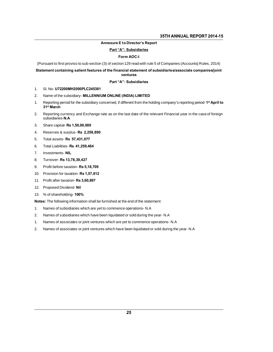## **Annexure E to Director's Report**

#### Part "A": Subsidiaries

## Form AOC-I

# Annexure E to Director's Report<br>
Part "A": Subsidiaries<br>
Form AOC-I<br>
Statement to first proviso to sub-section (3) of section 129 read with rule 5 of Companies (Accounts) Rules, 2014)<br>
Statement containing salient features ventures ventures<br>2. SI. No- U72200MH2000PLC245381<br>2. Name of the subsidiary- MILLENNIUM ONLINE (INDIA) LIMITED<br>2. Reporting period for the subsidiary concerned, if different from the holding comp

#### Part "A": Subsidiaries

- 
- 
- Part "A": Subsidiaries<br>1. SI. No- U72200MH2000PLC245381<br>2. Name of the subsidiary- MILLENNIUM ONLINE (INDIA) LIMITED<br>1. Reporting period for the subsidiary concerned, if different from the holding company's reporting perio <sup>st</sup> April to 31<sup>st</sup> March 2. Name of the subsidiary- **MILLENNIUM ONLINE (INDIA) LIMITED**<br>1. Reporting period for the subsidiary concerned, if different from the holding company's reporting period-1<sup>st</sup> April to<br>31<sup>st</sup> March<br>2. Reporting currency an
- subsidiaries-N.A 31<sup>st</sup> March<br>2. Reporting currency and Exchange rate<br>subsidiaries-N.A<br>3. Share capital-Rs 1,50,00,000<br>4. Reserves & surplus-Rs 2,258,890 2. Reporting currency and Exchange rate as or<br>subsidiaries-N.A<br>3. Share capital-Rs 1,50,00,000<br>4. Reserves & surplus-Rs 2,258,890<br>5. Total assets-Rs 57,431,077
- 
- subsidiaries**-N.A**<br>3. Share capital- **Rs 1,50,00,000**<br>4. Reserves & surplus- **Rs 2,258,890**<br>5. Total assets- **Rs 57,431,077**<br>6. Total Liabilities- **Rs 41,259,464** 3. Share capital- **Rs 1,50,00,000**<br>4. Reserves & surplus- **Rs 2,258,890**<br>5. Total assets- **Rs 57,431,077**<br>6. Total Liabilities- **Rs 41,259,464**<br>7. Investments- **NIL**
- 
- 
- 7. Investments-
- 8. Turnover- Rs 13,78,39,427
- 6. Total Liabilities- **Rs 41,259,464**<br>7. Investments- **NIL**<br>8. Turnover- **Rs 13,78,39,427**<br>9. Profit before taxation- **Rs 5,18,709**<br>10. Provision for taxation- **Rs 1,57,812**
- 7. Investments- **NIL**<br>8. Turnover- **Rs 13,78,39,427**<br>9. Profit before taxation- **Rs 5,18,709**<br>10. Provision for taxation- **Rs 1,57,812**<br>11. Profit after taxation- **Rs 3,60,897** 8. Turnover- **Rs 13,78,39,427**<br>9. Profit before taxation- **Rs 5,18,709**<br>10. Provision for taxation- **Rs 1,57,812**<br>11. Profit after taxation- **Rs 3,60,897**<br>12. Proposed Dividend- **Nil** 9. Profit before taxation- **Rs 5,1**<br>10. Provision for taxation- **Rs 1,**<br>11. Profit after taxation- **Rs 3,60**<br>12. Proposed Dividend- **Nil**<br>13. % of shareholding- **100%**
- 
- 
- 

10. Provision for taxation- **Rs 1,57,812**<br>11. Profit after taxation- **Rs 3,60,897**<br>12. Proposed Dividend- **Nil**<br>13. % of shareholding- **100%**<br>Notes: The following information shall be furn 11. Profit after taxation- **Rs 3,60,897**<br>12. Proposed Dividend- **Nil**<br>13. % of shareholding- 100%<br>**Notes:** The following information shall be furnished at the end of the statement:<br>1. Names of subsidiaries which are yet to

- 
- 12. Proposed Dividend- Nil<br>13. % of shareholding- 100%<br>Notes: The following information shall be furnished at the end of the statement:<br>1. Names of subsidiaries which are yet to commence operations- N.A<br>2. Names of subsidi
- 13. % of shareholding- 100%<br>
Notes: The following information shall be furnished at the end of the statement:<br>
1. Names of subsidiaries which have been liquidated or sold during the year- N.A<br>
1. Names of associates or joi
- Notes: The following information shall be furnished at the end of the statement:<br>1. Names of subsidiaries which are yet to commence operations- N.A<br>2. Names of associates or joint ventures which are yet to commence operati 1. Names of subsidiaries which are yet to commence operations- N.A<br>2. Names of subsidiaries which have been liquidated or sold during the year- N.A<br>1. Names of associates or joint ventures which have been liquidated or sol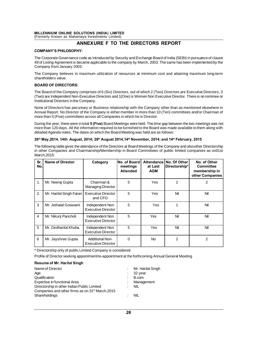# MILLENNIUM ONLINE SOLUTIONS (INDIA) LIMITED<br>(Formerly Known as Mahamaya Investments Limited) MILLENNIUM ONLINE SOLUTIONS (INDIA) LIMITED<br>(Formerly Known as Mahamaya Investments Limited)<br>**ANNEXURE F TO THE**

# OLUTIONS (INDIA) LIMITED<br>amaya Investments Limited)<br>ANNEXURE F TO THE DIRECTORS REPORT<br>HY:

### **COMPANY'S PHILOSOPHY:**

(Formerly Known as Mahamaya Investments Limited)<br> **ANNEXURE F TO THE DIRECTORS REPORT**<br>
The Corporate Governance code as introduced by Security and Exchange Board of India (SEBI) in pursuance of clause<br>
49 of Listing Agree **49 of Listing Agreement is became applicable to the company by March, 2003.** The same has been implemented by the Corporate Governance code as introduced by Security and Exchange Board of India (SEBI) in pursuance of clau COMPANY'S PHILOSOPHY:<br>The Corporate Governance code a:<br>49 of Listing Agreement is became<br>Company from January 2003.<br>The Company believes in maxim The Corporate Governance code as introduced by Security and Exchange Board of India (SEBI) in pursuance of clause<br>49 of Listing Agreement is became applicable to the company by March, 2003. The same has been implemented by The Corporate Governan<br>49 of Listing Agreement i<br>Company from January :<br>The Company believes<br>shareholders value.<br>**BOARD OF DIRECTOR** 

#### **BOARD OF DIRECTORS:**

The Company believes in maximum utilization of resources at minimum cost and attaining maximum long-term<br>shareholders value.<br>**BOARD OF DIRECTORS:**<br>The Board of the Company comprises of 6 (Six) Directors, out of which 2 (Tw (Two) are Independent Non-Executive Directors and 1(One) is Women Non-Executive Director. There is no nominee or<br>Institutional Directors in the Company comprises of 6 (Six) Directors, out of which 2 (Two) Directors are Exe BOARD OF DIRECTORS:<br>
The Board of the Company comprises of 6<br>
(Two) are Independent Non-Executive Directors in the Company.<br>
None of Directors has pecuniary or Busine DOAND OF DIRECTORS.<br>The Board of the Company comprises of 6 (Six) Directors, out of which 2 (Two) Directors are Executive Directors, 3<br>(Two) are Independent Non-Executive Directors and 1(One) is Women Non Executive Directo

The Board of the Company comprises of 6 (Six) Directors, out of which 2 (Two) Directors are Executive Directors, 3 (Two) are Independent Non-Executive Directors and 1(One) is Women Non Executive Director. There is no nomin (Two) are Independent Non-Executive Directors and 1(One) is Women Non Execu<br>Institutional Directors in the Company.<br>None of Directors has pecuniary or Business relationship with the Company ot<br>Annual Report. No Director of mandational Directors in the Company.<br>
None of Directors has pecuniary or Business relationship with the Company other than as mentioned elsewhere in<br>
Annual Report. No Director of the Company is either member in more than

None of Directors has pecuniary or Business relationship with the Company other than as mentioned elsewhere in<br>Annual Report. No Director of the Company is either member in more than 10 (Ten) committees and/or Chairman of<br> Annual Report. No Director of the Company is either member in more than 10 (Ten) comm<br>more than 5 (Five) committees across all Companies in which he is Director.<br>During the year, there were in total **5 (Five)** Board Meetin

#### 26th May, 2014, 14th August, 2014; 28th August 2014, 14th November, 2014; and 14th February, 2015

During the year, there were intotal 5 (Title) Board Meetings were held. The time gap Between the two hiectings was not<br>more than 120 days. All the information required to be furnished to the Board was made available to the Inder than 120 days. An the information required to be furnished to the Doard was made available to them along with<br>detailed Agenda notes. The dates on which the Board Meeting was held are as follows:<br>**26<sup>th</sup> May,2014, 14t** March,2015:

| Sr.<br>No.                         | <b>Name of Director</b>                                                                                                                                         | Category                                     | No. of Board<br>meetings<br><b>Attended</b> | <b>Attendance</b><br>at Last<br><b>AGM</b> | No. Of Other<br>Directorship* | No. of Other<br><b>Committee</b><br>membership in<br>other Companies |  |  |
|------------------------------------|-----------------------------------------------------------------------------------------------------------------------------------------------------------------|----------------------------------------------|---------------------------------------------|--------------------------------------------|-------------------------------|----------------------------------------------------------------------|--|--|
| 1.                                 | Mr. Neeraj Gupta                                                                                                                                                | Chairman &<br><b>Managing Director</b>       | 5                                           | Yes                                        | 2                             | 2                                                                    |  |  |
| 2.                                 | Mr. Harilal Singh Faran                                                                                                                                         | <b>Executive Director</b><br>and CFO         | 5                                           | Yes                                        | Nil                           | Nil                                                                  |  |  |
| 3                                  | Mr. Jethalal Goswami                                                                                                                                            | Independent Non<br><b>Executive Director</b> | 5                                           | Yes                                        | 1                             | Nil                                                                  |  |  |
| $\overline{4}$                     | Mr. Nikunj Pancholi                                                                                                                                             | Independent Non<br><b>Executive Director</b> | 5                                           | Yes                                        | Nil                           | Nil                                                                  |  |  |
| 5                                  | Mr. Girdharilal Khuha.                                                                                                                                          | Independent Non<br><b>Executive Director</b> | 5                                           | Yes                                        | Nil                           | Nil                                                                  |  |  |
| 6                                  | Mr. Jayshree Gupta                                                                                                                                              | <b>Additional Non-</b><br>Executive Director | $\Omega$                                    | <b>No</b>                                  | $\mathcal{P}$                 | 2                                                                    |  |  |
|                                    | * Directorship only of public Limited Company is considered<br>Profile of Director seeking appointment/re-appointment at the forthcoming Annual General Meeting |                                              |                                             |                                            |                               |                                                                      |  |  |
| <b>Resume of Mr. Harilal Singh</b> |                                                                                                                                                                 |                                              |                                             |                                            |                               |                                                                      |  |  |

#### **Resume of Mr. Harilal Singh**

| * Directorship only of public Limited Company is considered                            |                   |
|----------------------------------------------------------------------------------------|-------------------|
| Profile of Director seeking appointment/re-appointment at the forthcoming Annual Gener |                   |
| Resume of Mr. Harilal Singh                                                            |                   |
| Name of Director                                                                       | Mr. Harilal Singh |
| Age                                                                                    | 32 year           |
| Qualification                                                                          | B.com             |
| Expertise in functional Area                                                           | Management        |
| Directorship in other Indian Public Limited                                            | <b>NIL</b>        |
| Companies and other firms as on 31 <sup>st</sup> March, 2015                           |                   |
| Shareholdings                                                                          | <b>NIL</b>        |
|                                                                                        |                   |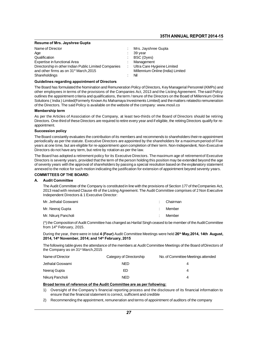## **Resume of Mrs. Jayshree Gupta**

|                                                                                                                                                                                                          | <b>35TH ANNUAL REPC</b>                                                                                                               |
|----------------------------------------------------------------------------------------------------------------------------------------------------------------------------------------------------------|---------------------------------------------------------------------------------------------------------------------------------------|
| <b>Resume of Mrs. Jayshree Gupta</b>                                                                                                                                                                     |                                                                                                                                       |
| Name of Director<br>Age<br>Qualification<br>Expertise in functional Area<br>Directorship in other Indian Public Limited Companies<br>and other firms as on 31 <sup>st</sup> March, 2015<br>Shareholdings | Mrs. Jayshree Gupta<br>39 year<br>BSC (Dyes)<br>Management<br>Ultra Care Hygieine Limited<br>Millennium Online (India) Limited<br>Nil |

#### Guidelines regarding appointment of Directors

Directorship in other Indian Public Limited Companies<br>
and other firms as on 31<sup>st</sup> March,2015 [Stephen in Online (India) Limited<br>
Shareholdings<br> **Guidelines regarding appointment of Directors**<br>
The Board has formulated th and other firms as on 31<sup>st</sup> March,2015<br>
Shareholdings<br> **Guidelines regarding appointment of Directors**<br>
The Board has formulated the Nomination and Remuneration Policy of Directors, Key Managerial Personnel (KMPs) and<br>
ot Shareholdings<br> **Guidelines regarding appointment of Directors**<br>
The Board has formulated the Nomination and Remuneration Policy of Directors, Key Managerial Personnel (KMPs) and<br>
other employees in terms of the provisions Guidelines regarding appointment of Directors<br>The Board has formulated the Nomination and Remuneration Policy of Directors, Key Managerial Personnel (KMPs) and<br>other employees in terms of the provisions of the Companies Ac The Board has formulated the Nomination and Remuneration Policy of Directors, Key Managerial Pers<br>other employees in terms of the provisions of the Companies Act, 2013 and the Listing Agreement<br>outlines the appointment cri outlines the appointment criteria and qualifications, the term / tenure of the Directors on the Board of Millennium Online<br>Solutions (India ) Limited(Formerly Known As Mahamaya Investments Limited) and the matters relatedt

#### **Membership term**

Solutions (India) Limited(Formerly Known As Mahamaya Investments Limited) and the matters relatedto remuneration<br>of the Directors. The said Policy is available on the website of the company: www.mosil.co<br>**Membership term**<br> appointment. As per the Articles of Association of the Company, at least two-thirds of the Board of Directors should be retiring<br>Directors. One-third of these Directors are required to retire every year and if eligible, the retiring Di

#### **Succession policy**

Directors. One-third of these Directors are required to retire every year and if eligible, the retiring Directors qualify for re-<br>appointment.<br>The Board constantly evaluates the contribution of its members and recommends t appointment.<br>The Board constantly evaluates the contribution of its members and recommends to shareholders their re-appointment<br>periodically as per the statute. Executive Directors are appointed by the shareholders for a m **Succession policy**<br>The Board constantly evaluates the contribution of its members and recon<br>periodically as per the statute. Executive Directors are appointed by the<br>years at one time, but are eligible for re-appointment The Board constantly evaluates the contribution of its members and recommends to shareholders their re-appointment<br>periodically as per the statute. Executive Directors are appointed by the shareholders for a maximum period

periodically as per the statute. Executive Directors are appointed by the shareholders for a maximum period of Five<br>years at one time, but are eligible for re-appointment upon completion of their term. Non-Independent, Non years at one time, but are eligible for re-appointment upon completion of their term. Non-Independent, Non-Executive<br>Directors do not have any term, but retire by rotation as per the law.<br>The Board has adopted a retirement Directors do not have any term, but retire by rotation as per the law.<br>The Board has adopted a retirement policy for its Executive Directors. The maximum age of retirement of Executive<br>Directors is seventy years, provided

## **COMMITTEES OF THE BOARD:**

#### **A** Audit Committee

venty years with the approval of shareholders by passing a special resolution based on the explanatory statement<br>wed to the notice for such motion indicating the justification for extension of appointment beyond seventy ye xed to the notice for such motion indicating the justification for extension of appointment beyond seventy years.<br>**MITTEES OF THE BOARD:**<br>**Audit Committee**<br>The Audit Committee of the Company is constituted in line with the MITTEES OF THE BOARD:<br>Audit Committee<br>The Audit Committee of the Company is constituted<br>2013 read with revised Clause 49 of the Listing Agr<br>Independent Directors & 1 Executive Director:<br>Mr. Jethalal Goswami Audit Committee<br>
The Audit Committee of the Company is constituted in line with the provisions of Section 177 of the<br>
2013 read with revised Clause 49 of the Listing Agreement. The Audit Committee comprises of Independent

| <u>, Tho Addition in McCo of the Company is constituted in line with the provisions or Cootion The Original Inco Addi</u><br>2013 read with revised Clause 49 of the Listing Agreement. The Audit Committee comprises of 2 Non Executive<br>Independent Directors & 1 Executive Director: |   |          |  |
|-------------------------------------------------------------------------------------------------------------------------------------------------------------------------------------------------------------------------------------------------------------------------------------------|---|----------|--|
| Mr. Jethalal Goswami                                                                                                                                                                                                                                                                      |   | Chairman |  |
| Mr. Neeraj Gupta                                                                                                                                                                                                                                                                          |   | Member   |  |
| Mr. Nikuni Pancholi                                                                                                                                                                                                                                                                       | ۰ | Member   |  |
| (*) the Composition of Audit Committee has changed as Harilal Singh ceased to be member of the Audit Committee<br>from 14 <sup>th</sup> February, 2015.                                                                                                                                   |   |          |  |
| During the year, there were in total 4 (Four) Audit Committee Meetings were held 26 <sup>th</sup> May, 2014, 14th August,                                                                                                                                                                 |   |          |  |

Mr. Nikunj Pancholi<br>(\*) the Composition of Audit Committee has changed as Harilal Singh ceased to be member of the Audit Committee<br>from 14<sup>th</sup> February, 2015.<br>During the year, there were in total **4 (Four)** Audit Committee

2014, 14<sup>th</sup> November, 2014; and 14<sup>th</sup> February, 2015

The following table gives the attendance of the members at Audit Committee Meetings were held 26<sup>th</sup> May,2014, 14th August,<br>2014, 14<sup>th</sup> November, 2014; and 14<sup>th</sup> February, 2015<br>The following table gives the attendance of The Contrary, 2013.<br>
During the year, there were in total 4 (Four) A<br>
2014, 14<sup>th</sup> November, 2014; and 14<sup>th</sup> Februa<br>
The following table gives the attendance of the<br>
the Company as on 31<sup>st</sup> March,2015<br>
Name of Director

| 2014, 14th November, 2014; and 14th February, 2015                    |                          | During the year, there were in total + (I but I main bornmitted meanings were not zo may, zo i+, i+th August,    |
|-----------------------------------------------------------------------|--------------------------|------------------------------------------------------------------------------------------------------------------|
| the Company as on $31st$ March, 2015                                  |                          | The following table gives the attendance of the members at Audit Committee Meetings of the Board of Directors of |
| Name of Director                                                      | Category of Directorship | No. of Committee Meetings attended                                                                               |
| Jethalal Goswami                                                      | <b>NED</b>               | 4                                                                                                                |
| Neeraj Gupta                                                          | ED                       | 4                                                                                                                |
| Nikuni Pancholi                                                       | NED.                     | 4                                                                                                                |
| Broad terms of reference of the Audit Committee are as per following: |                          |                                                                                                                  |

#### Broad terms of reference of the Audit Committee are as per following:

1) Oversight of the Company's financial reporting process and the disclosure of its financial information to<br>ensure that the financial statement is correct, sufficient and credible<br>2) Recommending the appointment, remunera in Pancholi<br>
Alterms of reference of the Audit Committee are as per following:<br>
Oversight of the Company's financial reporting process and the disclosure<br>
ensure that the financial statement is correct, sufficient and cred **Example 1999 Stream Set of the Audit Committee are as per following:**<br>2) Oversight of the Company's financial reporting process and the disclosure of its financial informa<br>2) Recommending the appointment, remuneration and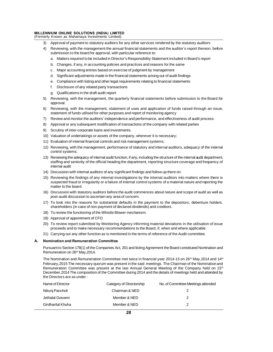# MILLENNIUM ONLINE SOLUTIONS (INDIA) LIMITED<br>(Formerly Known as Mahamaya Investments Limited) MILLENNIUM ONLINE SOLUTIONS (INDIA) LIMITED<br>(Formerly Known as Mahamaya Investments Limited)<br>3) Approval of payment to statutory auditors for any

- 
- 3) Approval of payment to statutory auditors for any other services rendered by the statutory auditors<br>3) Approval of payment to statutory auditors for any other services rendered by the statutory auditors<br>4) Reviewing, wi 1) ENNIUM ONLINE SOLUTIONS (INDIA) LIMITED<br>
Herly Known as Mahamaya Investments Limited<br>
3) Approval of payment to statutory auditors for any other services rendered by the statutory auditors<br>
4) Reviewing, with the manage **IUM ONLINE SOLUTIONS (INDIA) LIMITED**<br>Known as Mahamaya Investments Limited)<br>Approval of payment to statutory auditors for any other services rende<br>Reviewing, with the management the annual financial statements an<br>submiss Rifown as Mahamaya investments Emited)<br>Approval of payment to statutory auditors for any other services rendered by the statutory auditors<br>Reviewing, with the management the annual financial statements and the auditor's re Approval or payment to statutory auditors for any other services rendered by the statutory at<br>Reviewing, with the management the annual financial statements and the auditor's report th<br>submission to the board for approval, Reviewing, with the management the annual financial statements and the audito<br>submission to the board for approval, with particular reference to:<br>a. Matters required to be included in Director's Responsibility Statement in submission to the board for approval, with particular reference to:<br>
a. Matters required to be included in Director's Responsibility Statement included in Board's report<br>
b. Changes, if any, in accounting policies and prac
	-
	-
	- F. Changes, it any, in accounting policies and practices<br>c. Major accounting entries based on exercise of judgn<br>d. Significant adjustments made in the financial stateme<br>e. Compliance with listing and other legal requiremen
	- e. Materis required to be included in birector 3 recsponsionly otatentrimentated in board 3 rep.<br>
	Changes, if any, in accounting policies and practices and reasons for the same<br>
	c. Major accounting entries based on exercis
	-
	-
	-
- g. Major accounting cities based of exercic<br>d. Significant adjustments made in the finance.<br>F. Disclosure of any related party transactio<br>g. Qualifications in the draft audit report<br>Reviewing, with the management, the quar 5) Reviewing, with the management, the quarterly financial statements before submission to the Board for approval. approval. 6) Reviewing, with the management, the quarterly financial statements before submission to the Board for approval.<br>6) Reviewing, with the management, the quarterly financial statements before submission to the Board for ap g. Qualifications in the draft audit report<br>Reviewing, with the management, the quarterly financial statements before submiss<br>approval.<br>Reviewing, with the management, statement of uses and application of funds raise<br>state 7) Reviewing, with the management, the quarterly financial statements before submission to the Board for approval.<br>
6) Reviewing, with the management, statement of uses and application of funds raised through an issue stat
- 8) Approval.<br>8) Reviewing, with the management, statement of uses and application of funds raised through an<br>8) Statement of funds utilised for other purposes and report of monitoring agency<br>8) Review and monitor the audit 8) Reviewing, with the management, statement of uses<br>statement of funds utilised for other purposes and repo<br>7) Review and monitor the auditors' independence and pe<br>8) Approval or any subsequent modification of transactior
- 11) Review and monitor the auditors' independence and performance, and effectivenes<br>
20) Approval or any subsequent modification of transactions of the company with relate<br>
20) Scrutiny of inter-corporate loans and investm
- 
- 
- 
- 
- 11) The view and monitor the additions independence and performance, and energy<br>
11) Approval or any subsequent modification of transactions of the company wi<br>
11) Valuation of undertakings or assets of the company, wherev 12) Scrutiny of inter-corporate loans and investments.<br>
10) Valuation of undertakings or assets of the company, wherever it is necessary;<br>
11) Evaluation of internal financial controls and risk management systems;<br>
12) Rev 9) Scrutiny of inter-corporate loans and investments.<br>
10) Valuation of undertakings or assets of the company, wherever it is necessary;<br>
11) Evaluation of internal financial controls and risk management systems;<br>
12) Revi
- To a valuation of undertakings or assets of the company, wherever it is necessary;<br>
11) Evaluation of internal financial controls and risk management systems;<br>
12) Reviewing, with the management, performance of statutory a Reviewing, with t<br>control systems;<br>Reviewing the ade<br>staffing and senic<br>internal audit<br>Discussion with ir 14) Discussion with internal audit function, if any, including the structure of the internal atfing and seniority of the official heading the department, reporting structure coverainternal audit<br>14) Discussion with interna 13) Reviewing the adequacy of internal audit function, if any, including the structure of the internal audit department, staffing and seniority of the official heading the department, reporting structure coverage and frequ
- 
- staffing and seniority of the official heading the department, reporting structure coverage and frequency of<br>internal audit<br>Discussion with internal auditors of any significant findings and follow up there on.<br>Reviewing th internal audit<br>Discussion with internal<br>Reviewing the findings<br>suspected fraud or irreg<br>matter to the board.<br>Discussion with statutor 14) Discussion with internal auditors of any significant findings and follow up there on.<br>
15) Reviewing the findings of any internal investigations by the internal auditors into matters where there is<br>
16) Discussion with Reviewing the findings of any internal investigations by the suspected fraud or irregularity or a failure of internal control matter to the board.<br>Discussion with statutory auditors before the audit commer post-audit discu suspected fraud or irregularity or a failure of internal control systems of a material nature and reporting the<br>matter to the board.<br>16) Discussion with statutory auditors before the audit commences about nature and scope
- matter to the board.<br>Discussion with statutory auditors before the audit commences about nature an<br>post-audit discussion to ascertain any area of concern.<br>To look into the reasons for substantial defaults in the payment to 16) Discussion with statutory auditors before the audit commences<br>post-audit discussion to ascertain any area of concern.<br>17) To look into the reasons for substantial defaults in the paym<br>shareholders (in case of non-payme
- post-audit discussion to ascertain any area of<br>17) To look into the reasons for substantial def<br>shareholders (in case of non-payment of decl<br>18) To review the functioning of the Whistle Blowe<br>19) Approval of appointment of
- 
- 
- 10) Shareholders (in case of non-payment of declared dividends) and creditors.<br>
20) To review the functioning of the Whistle Blower mechanism.<br>
20) Approval of appointment of CFO<br>
20) To review report submitted by Monitori shareholders (in case of non-payment of declared dividends) and creditors.<br>To review the functioning of the Whistle Blower mechanism.<br>Approval of appointment of CFO<br>To review report submitted by Monitoring Agency informing 21) To review the functioning of the Whistle Blower mechanism.<br>
20) Approval of appointment of CFO<br>
20) To review report submitted by Monitoring Agency informing material deviations in the utilisation of<br>
21) Carrying out
- 

#### A. Nomination and Remuneration Committee

proceeds and to make necessary recommendations to the Board, if, when and where applicable.<br>
21) Carrying out any other function as is mentioned in the terms of reference of the Audit committee.<br> **Nomination and Remunerat** 21) Carrying out any other function a<br>**Nomination and Remuneration Co**<br>Pursuant to Section 178(1) of the Com<br>Remuneration on 26<sup>th</sup> May,2014.<br>The Nomination and Remuneration (

Nomination and Remuneration Committee<br>Pursuant to Section 178(1) of the Companies Act, 201 and listing Agreement the Board constituted Nomination and<br>Remuneration on 26<sup>th</sup> May,2014.<br>The Nomination and Remuneration Committ Pursuant to Section 178(1) of the Companies Act, 201 and listing Agreement the Board constituted Nomination and<br>Remuneration on 26<sup>th</sup> May,2014.<br>The Nomination and Remuneration Committee met twice in financial year 2014-15 The Nomination and Remuneration Committee met twice in financial year 2014-15 on 26<sup>th</sup> May, 2014 and 14<sup>th</sup> February, 2015 The necessary quorum was present in the said meetings. The Chairman of the Nomination and Remuner Remuneration Committee was present at the last Annual General Meeting of the Company held on  $15<sup>th</sup>$ December, 2014 The composition of the Committee during 2014 and the details of meetings held and attended by

| the Directors are as under: |                          |                                    |
|-----------------------------|--------------------------|------------------------------------|
| Name of Director            | Category of Directorship | No. of Committee Meetings attended |
| Nikunj Pancholi             | Chairman & NED           |                                    |
| Jethalal Goswmi             | Member & NED             | 2                                  |
| Girdharilal Khuha           | Member & NED             | 2                                  |
|                             | 28                       |                                    |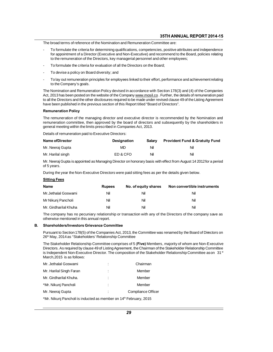- The broad terms of reference of the Nomination and Remuneration Committee are:<br>- To formulate the criteria for determining qualifications, competencies, positive attributes and independence<br>for appointment of a Director (E **FORT 2014-15**<br>The broad terms of reference of the Nomination and Remuneration Committee are:<br>To formulate the criteria for determining qualifications, competencies, positive attributes and independence<br>for appointment of The broad terms of reference of the Nomination and Remuneration Committee are:<br>
To formulate the criteria for determining qualifications, competencies, positive attributes a<br>
for appointment of a Director (Executive and No
- 
- 
- To formulate the criteria for evaluation of all the Directors on the Board;<br>To devise a policy on Board diversity; and<br>To lay out remuneration principles for employees linked to their effort, performance and achievement re To formulate the criteria for e<br>To devise a policy on Board<br>To lay out remuneration princ<br>to the Company's goals.<br>Nomination and Remuneratio

To devise a policy on Board diversity; and<br>
To lay out remuneration principles for employees linked to their effort, performance and achievement relating<br>
to the Company's goals.<br>
The Nomination and Remuneration Policy dev To devise a policy of Board diversity, and<br>
To lay out remuneration principles for employees linked to their effort, performance and achievement relating<br>
The Nomination and Remuneration Policy devised in accordance with S To lay out remuneration principles for employees linked to their effort, performance and achievement relating<br>to the Company's goals.<br>The Nomination and Remuneration Policy devised in accordance with Section 178(3) and (4) to the Company's goals.<br>The Nomination and Remuneration Policy devised in accordance with Section 178(3) and<br>Act, 2013 has been posted on the website of the Company www.mosil.co. Further, the detain<br>to all the Directors an

#### **Remuneration Policy**

The remuneration of the managing director and executive director is recommended by the Listing Agreement<br>The remuneration Policy<br>The remuneration of the managing director and executive director is recommended by the Nomina remuneration Policy<br>The remuneration Policy<br>The remuneration of the managing director and executive director is recommended by the Nomination and<br>remuneration committee, then approved by the board of directors and subseque Remuneration Policy<br>The remuneration of the managing director and executive director is remuneration committee, then approved by the board of directors and<br>general meeting within the limits prescribed in Companies Act, 201 The remuneration of the managing director and executementeration committee, then approved by the board general meeting within the limits prescribed in Companie:<br>Details of remuneration paid to Executive Directors:<br>Name of

| general meeting within the limits prescribed in Companies Act, 2013.                                                             |                    |        |                                           |
|----------------------------------------------------------------------------------------------------------------------------------|--------------------|--------|-------------------------------------------|
| Details of remuneration paid to Executive Directors:                                                                             |                    |        |                                           |
| Name of Director                                                                                                                 | <b>Designation</b> | Salary | <b>Provident Fund &amp; Gratuity Fund</b> |
| Mr. Neeraj Gupta                                                                                                                 | MD                 | Nil    | Nil                                       |
| Mr. Harilal singh                                                                                                                | ED & CFO           | Nil    | Nil                                       |
| Mr. Neeraj Gupta is appointed as Managing Director on honorary basis with effect from August 14 2012 for a period<br>of 5 years. |                    |        |                                           |
| During the year the Non-Executive Directors were paid sitting fees as per the details given below.                               |                    |        |                                           |

Mr. Harilal singh<br>
During the year the Non-Executive Directors were paid sitting fees as per the details given below.<br>
Sitting fees as per the details given below.<br>
Sitting Fees

#### **Sitting Fees**

| During the year the Non-Executive Directors were paid sitting fees as per the details given below. |               |                      |                                                                                                           |
|----------------------------------------------------------------------------------------------------|---------------|----------------------|-----------------------------------------------------------------------------------------------------------|
| <b>Sitting Fees</b>                                                                                |               |                      |                                                                                                           |
| Name                                                                                               | <b>Rupees</b> | No. of equity shares | Non convertible instruments                                                                               |
| Mr.Jethalal Goswami                                                                                | Nil           | Nil                  | Nil                                                                                                       |
| Mr Nikunj Pancholi                                                                                 | Nil           | Nil                  | Nil                                                                                                       |
| Mr. Girdharilal Khuha                                                                              | Nil           | Nil                  | Nil                                                                                                       |
| otherwise mentioned in this annual report.                                                         |               |                      | The company has no pecuniary relationship or transaction with any of the Directors of the company save as |
| <b>Shareholders/Investors Grievance Committee</b>                                                  |               |                      |                                                                                                           |

The company has no pecuniary relationship or transaction with any of the Directors of the company save as<br>otherwise mentioned in this annual report.<br>**Shareholders/Investors Grievance Committee**<br>Pursuant to Section 178(5) o

#### **B.** Shareholders/Investors Grievance Committee

otherwise mentioned in this annual report.<br> **Shareholders/Investors Grievance Committee**<br>
Pursuant to Section 178(5) of the Companies Act, 2013, the Committee was renamed by the Board of Directors on<br>
26<sup>th</sup> May, 2014 as "

Shareholders/Investors Grievance Committee<br>Pursuant to Section 178(5) of the Companies Act, 2013, the Committee was renamed by the Board of Directors on<br>26<sup>th</sup> May, 2014 as "Stakeholders' Relationship Committee<br>The Stakeho Directors. As required by the Companies Act, 2013, the Committee was renamed by the Board of Directors on 26<sup>th</sup> May, 2014 as "Stakeholders' Relationship Committee<br>The Stakeholder Relationship Committee comprises of 5 (**Fi** Pursuant to Section 178(5) of the Companies Act, 2013, the Committee was renamed by the Board of Directors on 26<sup>th</sup> May, 2014 as "Stakeholders' Relationship Committee<br>The Stakeholder Relationship Committee comprises of 5 The Stakeholder Relationship Committee comprises of 5 (**Five)** Members, m<br>Directors. As required by clause 49 of Listing Agreement, the Chairman of the S<br>is Independent Non-Executive Director. The composition of the Stakeh

| Directors. As required by clause 40 or Listing Agreement, the Ondimidiror the Oi<br>is Independent Non-Executive Director. The composition of the Stakeholder F<br>March, 2015 is as follows: |   |                    |
|-----------------------------------------------------------------------------------------------------------------------------------------------------------------------------------------------|---|--------------------|
| Mr. Jethalal Goswami                                                                                                                                                                          |   | Chairman           |
| Mr. Harilal Singh Faran                                                                                                                                                                       |   | Member             |
| Mr. Girdharilal Khuha.                                                                                                                                                                        | t | Member             |
| *Mr. Nikunj Pancholi                                                                                                                                                                          |   | Member             |
| Mr. Neeraj Gupta                                                                                                                                                                              |   | Compliance Officer |
| *Mr. Nikunj Pancholi is inducted as member on 14 <sup>th</sup> February, 2015                                                                                                                 |   |                    |
|                                                                                                                                                                                               |   |                    |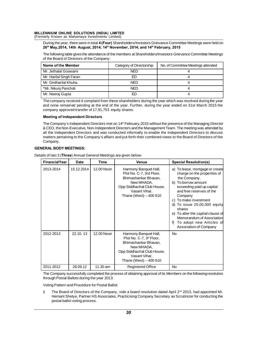# MILLENNIUM ONLINE SOLUTIONS (INDIA) LIMITED<br>(Formerly Known as Mahamaya Investments Limited) MILLENNIUM ONLINE SOLUTIONS (INDIA) LIMITED<br>(Formerly Known as Mahamaya Investments Limited)<br>During the year, there were in total 4 (Four) Sharehold

ENNIUM ONLINE SOLUTIONS (INDIA) LIMITED<br>nerly Known as Mahamaya Investments Limited)<br>During the year, there were in total 4 (Four) Shareholders/Investors Grievance Committee Meetings were held on<br>26<sup>th</sup> May,2014, 14th Augu 26<sup>th</sup> May,2014, 14th August, 2014; 14<sup>th</sup> November, 2014; and 14<sup>th</sup> February, 2015

ENNIUM ONLINE SOLUTIONS (INDIA) LIMITED<br>
nerly Known as Mahamaya Investments Limited)<br>
During the year, there were in total 4 (Four) Shareholders/Investors Grievance Committee Meetings were held on<br>
26<sup>th</sup> May, 2014, 14th of the Board of Directors Chine<br>
During the year, there were in total 4 (Four) Shand 26<sup>th</sup> May, 2014, 14th August, 2014; 14<sup>th</sup> Nove<br>
The following table gives the attendance of the motor the Board of Directors of the Com

| of the Board of Directors of the Company:                                                                                                                                                                                                                                       |                          |                                    |
|---------------------------------------------------------------------------------------------------------------------------------------------------------------------------------------------------------------------------------------------------------------------------------|--------------------------|------------------------------------|
| Name of the Member                                                                                                                                                                                                                                                              | Category of Directorship | No. of Committee Meetings attended |
| Mr. Jethalal Goswami                                                                                                                                                                                                                                                            | <b>NED</b>               |                                    |
| Mr. Harilal Singh Faran                                                                                                                                                                                                                                                         | ED                       |                                    |
| Mr. Girdharilal Khuha.                                                                                                                                                                                                                                                          | <b>NED</b>               | 4                                  |
| *Mr. Nikunj Pancholi                                                                                                                                                                                                                                                            | <b>NED</b>               | 4                                  |
| Mr. Neeraj Gupta                                                                                                                                                                                                                                                                | ED                       | 4                                  |
| The company received 4 complaint from these shareholders during the year which was resolved during the year<br>and none remained pending at the end of the year. Further, during the year ended on 31st March 2015 the<br>company approved transfer of 17,91,753 equity shares. |                          |                                    |

NED<br>
Mr. Neeraj Gupta ED<br>
The company received 4 complaint from these shareholders<br>
and none remained pending at the end of the year. Further<br>
company approved transfer of 17,91,753 equity shares.<br> **Meeting of Independent** 

#### **Meeting of Independent Directors**

The Company's lodependent of 17,91,753 equity shares.<br> **Meeting of Independent Directors**<br> **The Company's Independent Directors**<br>
The Company's Independent Directors met on 14<sup>th</sup> February,2015 without the presence of the Exercise Central Central Central Central Central Central Central Central Central Central Central Central Central Central Central Central Central Central Central Central Central Central Central Central Central Central Of th Meeting of Independent Directors<br>The Company's Independent Directors<br>& CEO, the Non-Executive, Non-Independent Directors and the Management Team. The meeting was attended by<br>all the Independent Directors and was conducted Meeting of Independent Directors<br>The Company's Independent Directors met on 14<sup>th</sup> February,2015 without the presence of the Managing Director<br>& CEO, the Non-Executive, Non-Independent Directors and the Management Team. Th Company. all the Independent Directors and was conducted informally to enable the Independent Directors to discuss<br>matters pertaining to the Company's affairs and put forth their combined views to the Board of Directors of the<br>Comp

#### **GENERAL BODY MEETINGS:**

| <b>Financial Year</b> | <b>Date</b> | <b>Time</b> | Venue                                                                                                                                                            | <b>Special Resolution(s)</b>                                                                                                                                                                                                                                                                                                                                                |
|-----------------------|-------------|-------------|------------------------------------------------------------------------------------------------------------------------------------------------------------------|-----------------------------------------------------------------------------------------------------------------------------------------------------------------------------------------------------------------------------------------------------------------------------------------------------------------------------------------------------------------------------|
| 2013-2014             | 15.12.2014  | 12.00 Noon  | Harmony Banquet Hall,<br>Plot No. C-7, 3rd Floor,<br>Bhimashankar Bhavan.<br>New MHADA.<br>Opp Siddhachal Club House,<br>Vasant Vihar.<br>Thane (West) - 400 610 | a) To lease, mortgage or create<br>charge on the properties of<br>the Company.<br>b) To borrow amount<br>exceeding paid up capital<br>and free reserves of the<br>Company<br>c) To make investment<br>d) To issue $20,00,000$ equity<br>shares<br>e) To alter the capital clause of<br>Memorandum of Association<br>To adopt new Articles of<br>f<br>Association of Company |
| 2012-2013             | 22.10.13    | 12.00 Noon  | Harmony Banquet Hall,<br>Plot No. C-7, 3rd Floor,<br>Bhimashankar Bhavan.<br>New MHADA,<br>Opp Siddhachal Club House,<br>Vasant Vihar.<br>Thane (West) - 400 610 | <b>No</b>                                                                                                                                                                                                                                                                                                                                                                   |
| 2011-2012             | 28.09.12    | 11.30 am    | <b>Registered Office</b>                                                                                                                                         | <b>No</b>                                                                                                                                                                                                                                                                                                                                                                   |

2011-2012 28.09.12 11.30 am<br>The Company successfully completed the process of<br>through Postal Ballots during the year 2013:<br>Voting Pattern and Procedure for Postal Ballot:<br>i) The Board of Directors of the Company, vide

The Company successfully completed the process of obtaining approval of its Members on the following resolution<br>through Postal Ballots during the year 2013:<br>Voting Pattern and Procedure for Postal Ballot:<br>i) The Board of D through Postal Ballots during the year 2013:<br>Voting Pattern and Procedure for Postal Ballot:<br>i) The Board of Directors of the Company, vide a board resolution dated April 2<sup>nd</sup> 2013, had appointed Mr.<br>Hemant Shetye, Partne postal ballot voting process.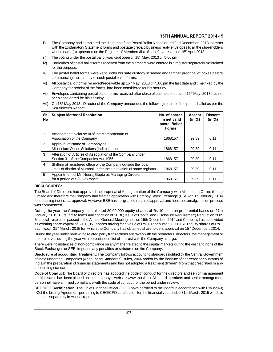- ii) The Company had completed the dispatch of the Postal Ballot Notice dated 2nd December, 2013 together<br>with the Explanatory Statement, forms and postage prepaid business reply envelopes to all the sharehdders **35TH ANNUAL REPORT 2014-15**<br>The Company had completed the dispatch of the Postal Ballot Notice dated 2nd December, 2013 together<br>with the Explanatory Statement,forms and postage prepaid business reply envelopes to all the **35TH ANNUAL REPORT 2014-**<br>With the Explanatory Statement, forms and postage prepaid business reply envelopes to all the shareholde<br>whose name(s) appeared on the Register of Members/list of beneficiaries as on 15<sup>th</sup> April **35 IH ANNUAL REPT**<br>
ii) The Company had completed the dispatch of the Postal Ballot Notice dated 2nd December,<br>
with the Explanatory Statement, forms and postage prepaid business reply envelopes to all the<br>
whose name(s) ii) The Company had completed the dispatch of the Postal Ballot Notice dated 2nd December, 2013 together with the Explanatory Statement, forms and postage prepaid business reply envelopes to all the sharehdders whose name
- 
- with the Explanatory<br>whose name(s) appe<br>The voting under the<br>Particulars of postal t<br>for the purpose.<br>The postal ballot for whose name(s) appeared on the Register of Members/list of beneficiaries as on 15" April,2013<br>iii) The voting under the postal ballot was kept open till 15<sup>th</sup> May, 2013 till 5.00 pm<br>iv) Particulars of postal ballot forms r The voting under the postal ballot was kept open till 15<sup>th</sup> M<br>Particulars of postal ballot forms received from the Member<br>for the purpose.<br>The postal ballot forms were kept under his safe custody<br>commencing the scrutiny o
- iv) Particulars of postal ballot forms received from the Members were entered in a register separately maintained<br>for the purpose.<br>The postal ballot forms were kept under his safe custody in sealed and tamper proof ballot for the purpose.<br>The postal ballot forms were kept under his safe custody in sealed and tamper proof ballot boxes before<br>commencing the scrutiny of such postal ballot forms.<br>All postal ballot forms received/receivable up
- v) The postal ballot forms were kept under his safe custody in sealed and tamper proof ballot boxes before<br>commencing the scrutiny of such postal ballot forms.<br>Wi) All postal ballot forms received/receivable up 15<sup>th</sup> May, commencing the scrutiny of such posi<br>All postal ballot forms received/receiv<br>Company for receipt of the forms, had<br>Envelopes containing postal ballot for<br>been considered for his scrutiny.<br>On 18<sup>th</sup> May 2013 , Director of t
- vi) All postal ballot forms received/receivable up 15<sup>th</sup> May, 2013 till 5.00 pm the last date and time fixed by the Company for receipt of the forms, had been considered for his scrutiny.<br>
vii) Envelopes containing posta Company for receipt of the<br>Envelopes containing pose<br>been considered for his s<br>On 18<sup>th</sup> May 2013 , Direc<br>Scrutinizer's Report:<br>**Subject Matter of Reso**
- 

| Sr.<br>No      | <b>Subject Matter of Resolution</b>                                                                                                      | No. of shares<br>in net valid<br>postal Ballot<br><b>Forms</b> | <b>Assent</b><br>(in %) | <b>Dissent</b><br>(in %) |
|----------------|------------------------------------------------------------------------------------------------------------------------------------------|----------------------------------------------------------------|-------------------------|--------------------------|
| 1              | Amendment to clause III of the Memorandum of<br>Association of the Company                                                               | 1868157                                                        | 99.89                   | 0.11                     |
| 2              | Approval of Name of Company as<br>Millennium Online Solutions (India) Limited                                                            | 1868157                                                        | 99.89                   | 0.11                     |
| 3              | Alteration of Articles of Association of the Company under<br>Section 31 of the Companies Act, 1956                                      | 1868157                                                        | 99.89                   | 0.11                     |
| $\overline{4}$ | Shifting of registered office of the Company outside the local<br>limits of district of Mumbai under the jurisdiction of same registrar. | 1868157                                                        | 99.89                   | 0.11                     |
| 5              | Appointment of Mr. Neeraj Gupta as Managing Director<br>for a period of 5(Five) Years                                                    | 1868157                                                        | 99.89                   | 0.11                     |
|                | <b>CLOSURES:</b>                                                                                                                         |                                                                |                         |                          |

## **DISCLOSURES:**

The Board of Directors had approved the proposal of Amalgamation of the Company with Millennium Online (India)<br>Limited and therefore the Company had filed an application with Bombay Stock Exchange (BSE) on 1<sup>st</sup> February, Manuson of States of States of States of States of States of Amalgamation of the Company with Millennium Online (India)<br>
The Board of Directors had approved the proposal of Amalgamation of the Company with Millennium Onlin For a period of 5 (Five) Years<br>
DISCLOSURES:<br>
The Board of Directors had approved the proposal of Amalgamation of the Company with Millennium Online (India)<br>
Limited and therefore the Company had filed an application with was commenced<br>During the year the Company has allotted 20,00,000 equity shares of Rs 10 each on preferential bases on 27th The Board of Directors had approved the proposal of Amalgamation of the Company with Millennium Online (India)<br>Limited and therefore the Company had filed an application with Bombay Stock Exchange (BSE) on 1<sup>st</sup> February,

Limited and therefore the Company had filed an application with Bombay Stock Exchange (BSE) on 1ª February, 2014<br>for obtaining inprincipal approval. However BSE has not granted required approval and hence no amalgamation p for obtaining inprincipal approval. However BSE has not granted required approval and hence no amalgamation process<br>was commenced<br>During the year the Company has allotted 20,00,000 equity shares of Rs 10 each on preferenti its existing share capital of 50,01,951 shares having face value of Rs. 10 each on preferential bases on 27th January, 2015. Pursuant to terms and condition of SEBI (Issue of Capital and Disclosure Requirement) Regulation During the year the Company has allotted 20,00,000 equity shares of Rs 10 each on preferential bases on 27th January, 2015. Pursuant to terms and condition of SEBI (Issue of Capital and Disclosure Requirement) Regulation 2 & special resolution passed in the Annual General Meeting held on 15th December, 2014 and Company has subdivided its existing share capital of 50,01,951 shares having face value of Rs. 10 each into 5,00,19,510 equity shar

each w.e.f 31<sup>st</sup> March, 2015 for which the Company has obtained shareholders app<br>During the year under review, no related party transactions are taken with the promote<br>their relatives during the year with potential confli

its existing share capital of 50,01,951 shares having face value of Rs. 10 each into 5,00,19,510 equity shares of Rs.1<br>each w.e.f 31<sup>st</sup> March, 2015 for which the Company has obtained shareholders approval on 15<sup>th</sup> Decemb

During the year under review, no related party transactions are taken with the promoters, directors, the management or<br>their relatives during the year with potential conflict of interest with the Company at large.<br>There we their relatives during the year with potential conflict of interest with the Company at large.<br>There were no instances of non-compliance on any matter related to the capital markets during the year and none of the<br>Stock Ex There were no instances of non-compliance on any matter related to the capital markets during the year and none of the Stock Exchanges or SEBI imposed any penalties or strictures on the Company.<br>**Disclosure of accounting T** Stock Exchanges or SEBI imposed any penalties or strictures on the Company.<br> **Disclosure of accounting Treatment**: The Company follows accounting standards notified by the Central Government<br>
of India under the Companies ( **Disclosure of accounting Treatment**: The Company follows accounting standards notified by the Central Government<br>of India under the Companies (Accounting Standards) Rules, 2006 and/or by the institute of chartered account

Code of Conduct: The Board of Directors has adopted the code of conduct for the directors and senior management and the same has been placed on the company's website www.mosil.co .All board members and senior management pe India in the preparation of financial statements and has not adopted a treatment different from<br>accounting standard.<br>**Code of Conduct**: The Board of Directors has adopted the code of conduct for the directors and the same accounting standard.<br> **Code of Conduct**: The Board of Directors has adopted the code of conduct for the directors and senior management<br>
and the same has been placed on the company's website <u>www.mosil.co</u> .All board membe Code of Conduct: The Board of Directors has adopted the code of conduct for the directors and senior management<br>and the same has been placed on the company's website <u>www.mosil.co</u> .All board members and senior management<br>

and the same has been placed on the<br>personnel have affirmed compliance<br>**CEO/CFO Certification**: The Chief  $|X\rangle$  of the Listing Agreement pertaining<br>annexed separately in Annual report.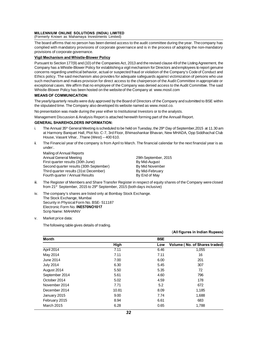# MILLENNIUM ONLINE SOLUTIONS (INDIA) LIMITED<br>(Formerly Known as Mahamaya Investments Limited)

MILLENNIUM ONLINE SOLUTIONS (INDIA) LIMITED<br>(Formerly Known as Mahamaya Investments Limited)<br>The board affirms that no person has been denied access<sup>1</sup> MILLENNIUM ONLINE SOLUTIONS (INDIA) LIMITED<br>(Formerly Known as Mahamaya Investments Limited)<br>The board affirms that no person has been denied access to the audit committee during the year. The company has<br>complied with man MILLENNIUM ONLINE SOLUTIONS (INDIA) LIMITED<br>(Formerly Known as Mahamaya Investments Limited)<br>The board affirms that no person has been denied access to the audit committee during the year. The company has<br>complied with man MILLENNIUM ONLINE SOLUTIONS (IN<br>(Formerly Known as Mahamaya Investme<br>The board affirms that no person has bee<br>complied with mandatory provisions of c<br>provisions of corporate governance.<br>Vigil Mechanism and Whistle-Blower F The board affirms that no person has been denied access to the audit committee during the year. The company has<br>complied with mandatory provisions of corporate governance and is in the process of adopting the non-mandatory

#### Vigil Mechanism and Whistle-Blower Policy

complied with mandatory provisions of corporate governance and is in the process of adopting the non-mandatory<br>provisions of corporate governance.<br>**Vigil Mechanism and Whistle-Blower Policy**<br>Pursuant to Section 177(9) and provisions of corporate governance.<br>**Vigil Mechanism and Whistle-Blower Policy**<br>Pursuant to Section 177(9) and (10) of the Companies Act, 2013 and the revised clause 49 of the Listing Agreement, the<br>Company has a Whistle-B **Vigil Mechanism and Whistle-Blower Policy**<br>Pursuant to Section 177(9) and (10) of the Companies Act, 2013 and the revised clause 49 of the Listing Agreement, the<br>Company has a Whistle-Blower Policy for establishing a vigi Fursuant to Section 177(9) and (10) of the Companies Act, 2013 and the revised clause 49 of the Listing Agreement, the<br>Company has a Whistle-Blower Policy for establishing a vigil mechanism for Directors and employees to r Company has a Whistle-Blower Policy for establishing a vigil mechanism for Directors and employees to report genuine<br>concerns regarding unethical behavior, actual or suspected fraud or violation of the Company's Code of Co concerns regarding unethical behavior, actual or suspected fraud or violation of the Company's Code of Conduct and exceptional cases. We affirm that no employee of the Company was denied access to the Audit Committee. The said<br>Whistle-Blower Policy has been hosted on the website of the Company at www.mosil.com<br>MEANS OF COMMUNICATION:<br>T

### **MEANS OF COMMUNICATION:**

The yearly/quarterly results were duly approved by the Board of Directors of the Company and submitted to BSE within Whistle-Blower Policy has been hosted on the website of the Company at www.mosil.com<br>**MEANS OF COMMUNICATION:**<br>The yearly/quarterly results were duly approved by the Board of Directors of the Company and sut<br>the stipulated MEANS OF COMMUNICATION:<br>The yearly/quarterly results were duly approved by the Board of Directors of the Company and submitted<br>the stipulated time. The Company also developed its website named as www.mosil.co.<br>No presentat

#### **GENERAL SHAREHOLDERS INFORMATION:**

- inc supulated affic. The Company also developed its website named as www.mosilitio.<br>
No presentation was made during the year either to Institutional Investors or to the analysts.<br> **GENERAL SHAREHOLDERS INFORMATION:**<br>
i. T esentation was made during the year either to Institutional Investors or to the analysts.<br>Igement Discussion & Analysis Report is attached herewith forming part of the Annuall Report.<br>**ERAL SHAREHOLDERS INFORMATION:**<br>The A igement Discussion & Analysis Report is attached he<br>**ERAL SHAREHOLDERS INFORMATION:**<br>The Annual 35<sup>th</sup> General Meeting is scheduled to be h<br>at Harmony Banquet Hall, Plot No. C-7, 3rd Floor, B<br>House, Vasant Vihar, .Thane (W GENERAL SHAREHOLDERS INFORMATION:<br>i. The Annual 35<sup>th</sup> General Meeting is scheduled to be held on Tuesday, the 29<sup>th</sup> Day of September, 2015 at 11.30 am<br>at Harmony Banquet Hall, Plot No. C-7, 3rd Floor, Bhimashankar Bhavan at Harmony Banquet Hall, Plot No. C-7, 3rd Floor, Bhimashankar Bhavan, New MHADA, Opp Siddhachal Club<br>
House, Vasant Vihar, .Thane (West) – 400 610.<br>
The Financial year of the company is from April to March. The financial
- under:. House, Vasant Vihar, .Thane (West) – 400 610.<br>
The Financial year of the company is from April to March. The financial calendar for the n<br>
under:<br>
Mailing of Annual Reports<br>
Annual General Meeting<br>
First quarter results (3

The Financial year of the company is from April to March. The financial calen<br>
under:<br>
Mailing of Annual Reports<br>
Annual General Meeting<br>
First quarter results (30th June)<br>
By Mid-August<br>
Second quarter results (30th Septe Mailing of Annual Reports<br>
Mailing of Annual Reports<br>
Annual General Meeting<br>
First quarter results (30th June)<br>
Second quarter results (30th September) By Mid-August<br>
Third quarter results (31st December) By Mid-February<br> Mailing of Annual Reports<br>
Annual General Meeting<br>
First quarter results (30th June)<br>
Second quarter results (30th September)<br>
Third quarter results (31st December)<br>
By Mid-February<br>
Fourth quarter / Annual Results<br>
By End Malling of Affilidal Reports<br>
Annual General Meeting<br>
First quarter results (30th June)<br>
Second quarter results (30th September)<br>
Third quarter results (31st December)<br>
Fourth quarter / Annual Results<br>
The Register of Memb

- First quarter results (30th June)<br>
So Mid-August<br>
Second quarter results (30th September)<br>
Third quarter results (31st December)<br>
Fourth quarter / Annual Results<br>
Fourth quarter / Annual Results<br>
III. The Register of Membe Second quarter results (30th September) By Mid November<br>
Third quarter results (31st December) By Mid-February<br>
Fourth quarter / Annual Results By End of May<br>
The Register of Members and Share Transfer Register in respect
- Initia duarter results (51st December)<br>
Fourth quarter / Annual Results<br>
iii. The Register of Members and Share Transfer Register in respect of eq<br>
from 21<sup>st</sup> September, 2015 to 29<sup>th</sup> September, 2015 (both days inclusiv<br> The Register of Members and Sharton 21<sup>st</sup> September, 2015 to 29<sup>th</sup><br>The company's shares are listed of the Stock Exchange, Mumbai<br>Security in Physical Form No. BSB<br>Slactronic Form No. BSB from 21<sup>st</sup> September, 2015 to 29<sup>th</sup> September, 2015 (both days inclusive)<br>The company's shares are listed only at Bombay Stock Exchange.<br>The Stock Exchange, Mumbai<br>Security in Physical Form No. BSE- 511187<br>Electronic For from 21<sup>st</sup> September, 2015 to 29<sup>th</sup> September,<br>The company's shares are listed only at Bomt<br>The Stock Exchange, Mumbai<br>Security in Physical Form No. BSE- 511187<br>Electronic Form No. **INE570NO1017**<br>Scrip Name: MAHAINV The company's shares are listed of<br>The Stock Exchange, Mumbai<br>Security in Physical Form No. BSE<br>Electronic Form No. **INE570NO10**<br>Scrip Name: MAHAINV<br>Market price data: The Stock Exchange, N<br>Security in Physical Fo<br>Electronic Form No. IN<br>Scrip Name: MAHAINV<br>v. Market price data:<br>The following table give
- 

Market price data:<br>The following table gives details of trading.

| Month            |       | <b>BSE</b> |                               |
|------------------|-------|------------|-------------------------------|
|                  | High  | Low        | Volume (No. of Shares traded) |
| April 2014       | 7.11  | 6.46       | 1,055                         |
| May 2014         | 7.11  | 7.11       | 16                            |
| June 2014        | 7.00  | 6.00       | 201                           |
| <b>July 2014</b> | 6.30  | 5.45       | 307                           |
| August 2014      | 5.50  | 5.35       | 72                            |
| September 2014   | 5.61  | 4.60       | 796                           |
| October 2014     | 5.02  | 4.59       | 178                           |
| November 2014    | 7.71  | 5.2        | 672                           |
| December 2014    | 10.81 | 8.09       | 1,185                         |
| January 2015     | 9.00  | 7.74       | 1,688                         |
| February 2015    | 8.94  | 6.61       | 683                           |
| March 2015       | 6.28  | 0.65       | 1,788                         |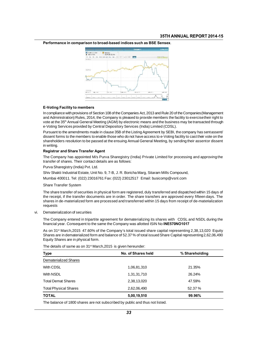

Performance in comparison to broad-based indices such as BSE Sensex.

#### **E-Voting Facility to members**

E-Voting Facility to members<br>
In compliance with provisions of Section 108 of the Companies Act, 2013 and Rule 20 of the Companies (Management<br>
and Administration Pulses, 2014, the Company is pleased to provide members the **E-Voting Facility to members**<br>In compliance with provisions of Section 108 of the Companies Act, 2013 and Rule 20 of the Companies (Management<br>and Administration) Rules, 2014, the Company is pleased to provide members th E-Voting Facility to members<br>In compliance with provisions of Section 108 of the Companies Act, 2013 and Rule 20 of the Companies (Management<br>and Administration) Rules, 2014, the Company is pleased to provide members the f E-Voting Facility to members<br>In compliance with provisions of Section 108 of the Companies Act, 2013 and Rule 20 of the C<br>and Administration) Rules, 2014, the Company is pleased to provide members the facility<br>vote at the In compliance with provisions of Section 108 of the Companies Act, 2013 and Rule 20 of the Companies (Management<br>and Administration) Rules, 2014, the Company is pleased to provide members the facility to exercise their rig

and Administration) Rules, 2014, the Company is pleased to provide members the facility to exercise their right to<br>vote at the 35<sup>th</sup> Annual General Meeting (AGM) by electronic means and the business may be transacted thro vote at the 35<sup>th</sup> Annual General Meeting (AGM) by electronic means and the business may be transacted through e-Voting Services provided by Central Depository Services (India) Limited (CDSL).<br>Pursuant to the amendments ma e-Voting Serv<br>Pursuant to the<br>dissent forms<br>shareholders<br>in writing.<br>Registrar and dissent forms to the members to enable those who do not have access to e-Voting facility to cast their vote on the shareholders resolution to be passed at the ensuing Annual General Meeting, by sending their assentor disse

#### **Registrar and Share Transfer Agent**

shareholders resolution to be passed at the ensuing Annual<br>in writing.<br>**Registrar and Share Transfer Agent**<br>The Company has appointed M/s Purva Sharegistry (India<br>transfer of shares. Their contact details are as follows:<br>P in writing.<br>**Registrar and Share Transfer Agent**<br>The Company has appointed M/s Pur<br>transfer of shares. Their contact detail:<br>Purva Sharegistry (India) Pvt. Ltd.<br>Shiv Shakti Industrial Estate, Unit No. 9 Registrar and Share Transfer Agent<br>The Company has appointed M/s Purva Sharegistry (India) Private Limited for processing ar<br>transfer of shares. Their contact details are as follows:<br>Purva Sharegistry (India) Pvt. Ltd.<br>Shi The Company has appointed M/s Purva Sharegistry (India) Private Limited for processing and approt<br>transfer of shares. Their contact details are as follows:<br>Purva Sharegistry (India) Pvt. Ltd.<br>Shiv Shakti Industrial Estate,

Purva Sharegistry (India) Pvt. Ltd.<br>Shiv Shakti Industrial Estate, Unit No.<br>Mumbai 400011. Tel: (022) 23016761<br>Share Transfer System<br>The share transfer of securities in phy.

Shiv Shakti Industrial Estate, Unit No. 9, 7-B, J. R. Boricha Marg, Sitaram Mills Compound,<br>Mumbai 400011. Tel: (022) 23016761 Fax: (022) 23012517 Email: busicomp@vsnl.com<br>Share Transfer System<br>The share transfer of securi Mumbai 400011. Tel: (022) 23016761 Fax: (022) 23012517 Email: busicomp@vsnl.com<br>Share Transfer System<br>The share transfer of securities in physical form are registered, duly transferred and dispatched within 15 days of<br>the Share Transfer System<br>The share transfer of securities in physical form are registered, duly transferred and dispatched within 15 days of<br>the receipt, if the transfer documents are in order. The share transfers are approve requests The share transfer of securities in phys<br>the receipt, if the transfer documents<br>shares in de-materialized form are pro<br>requests<br>vi. Dematerialization of securities<br>The Company entered in tripartite agr The Company entered in tripartite agreement for dematerializing its shares with CDSL and NSDL during the financial year. Consequent to the same the Company was allotted ISIN No **INE570NO1017** 

Dematerialization of securities<br>The Company entered in tripartite agreement for dematerializing its shares with CDSL and NSDL during the<br>financial year. Consequent to the same the Company was allotted ISIN No **INE570NO1017** 

Dematerialization of securities<br>The Company entered in tripartite agreement for dematerializing its shares with CDSL and NSDL during the<br>financial year. Consequent to the same the Company's total issued Share capital repre Dematerialization of securities<br>The Company entered in tripartite agreement for dematerializing its shares with CDSL and NSDL during the<br>financial year. Consequent to the same the Company was allotted ISIN No INE570NO1017<br> The Company entered in tripartite agre<br>financial year. Consequent to the same<br>As on 31<sup>st</sup> March,2015 47.60% of the I<br>Shares are in dematerialized form and b<br>Equity Shares are in physical form.<br>The details of same as on 31 The details of same as on 31<sup>st</sup> March,2015 is given hereunder:<br>The details of same as on 31<sup>st</sup> March,2015 is given hereunder:<br>The details of same as on 31<sup>st</sup> March,2015 is given hereunder:<br>Type **No. of Shares held** Equity Shares are in physical form.<br>The details of same as on 31<sup>st</sup> March, 2015 is given hereunder:

|                              | The details of same as on 31 <sup>st</sup> March, 2015 is given hereunder: |                |
|------------------------------|----------------------------------------------------------------------------|----------------|
| <b>Type</b>                  | No. of Shares held                                                         | % Shareholding |
| Dematerialized Shares        |                                                                            |                |
| With CDSL                    | 1,06,81,310                                                                | 21.35%         |
| With NSDL                    | 1,31,31,710                                                                | 26.24%         |
| <b>Total Demat Shares</b>    | 2,38,13,020                                                                | 47.59%         |
| <b>Total Physical Shares</b> | 2,62,06,490                                                                | 52.37%         |
| TOTAL                        | 5,00,19,510                                                                | 99.96%         |

The balance of 1800 shares are not subscribed by public and thus not listed.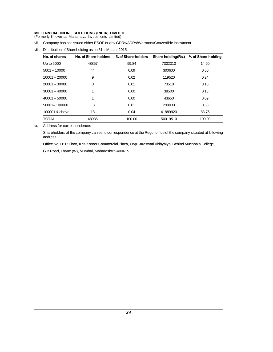# MILLENNIUM ONLINE SOLUTIONS (INDIA) LIMITED<br>(Formerly Known as Mahamaya Investments Limited) MILLENNIUM ONLINE SOLUTIONS (INDIA) LIMITED<br>(Formerly Known as Mahamaya Investments Limited)<br>vii. Company has not issued either ESOP or any GDRs/A

WILLENNIUM ONLINE SOLUTIONS (INDIA) LIMITED<br>(Formerly Known as Mahamaya Investments Limited)<br>vii. Company has not issued either ESOP or any GDRs/ADRs/Warrants/Convertible instrument.<br>viii. Distribution of Shareholding as o

| Company has not issued either ESOP or any GDRs/ADRs/Warrants/Convertible instrument.<br>vii. |                 |                      |                    |                    |                    |  |
|----------------------------------------------------------------------------------------------|-----------------|----------------------|--------------------|--------------------|--------------------|--|
| Distribution of Shareholding as on 31st March, 2015:<br>viii.                                |                 |                      |                    |                    |                    |  |
|                                                                                              | No. of shares   | No. of Share-holders | % of Share-holders | Share-holding(Rs.) | % of Share-holding |  |
|                                                                                              | Up to 5000      | 48857                | 99.84              | 7302310            | 14.60              |  |
|                                                                                              | $5001 - 10000$  | 44                   | 0.09               | 300600             | 0.60               |  |
|                                                                                              | $10001 - 20000$ | 9                    | 0.02               | 119520             | 0.24               |  |
|                                                                                              | $20001 - 30000$ | 3                    | 0.01               | 73510              | 0.15               |  |
|                                                                                              | $30001 - 40000$ |                      | 0.00               | 38500              | 0.13               |  |
|                                                                                              | $40001 - 50000$ |                      | 0.00               | 43650              | 0.09               |  |
|                                                                                              | 50001-100000    | 3                    | 0.01               | 290000             | 0.58               |  |
|                                                                                              | 100001& above   | 18                   | 0.04               | 41889920           | 83.75              |  |
|                                                                                              | TOTAL           | 48935                | 100.00             | 50019510           | 100.00             |  |

ix. Address for correspondence:

Shareholders of the company can send correspondence at the Regd. office of the company situated at following address: Address for correspondence:<br>Shareholders of the company can send correspondence at the Regd. office of the company situated at following<br>address:<br>Office No 11:1ª Floor, Kris Korner Commercial Plaza, Opp Saraswati Vidhyalya Shareholders of the company can send corresponder<br>address:<br>Office No 11:1<sup>st</sup> Floor, Kris Korner Commercial Plaza,<br>G B Road, Thane (W), Mumbai, Maharashtra-400615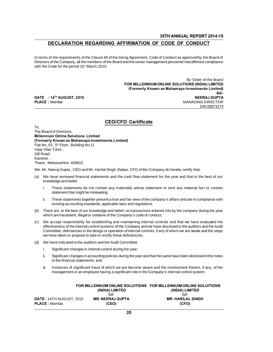# 35TH ANNUAL REPORT 2014-15<br>DECLARATION REGARDING AFFIRMATION OF CODE OF CONDUCT

SSTH ANNUAL REPORT 2014-15<br>In terms of the requirements of the Clause 49 of the listing Agreement, Code of Conduct as approvedby the Board of<br>Directors of the Company, all the members of the Board and the senior management **DECLARATION REGARDING AFFIRMATION OF CODE OF CONDUCT**<br>In terms of the requirements of the Clause 49 of the listing Agreement, Code of Conduct as approved by the Board of<br>Directors of the Company, all the members of the Bo In terms of the requirements of the Clause 49 of the listing Agreement, Code of Conduct as approved by the Board of Directors of the Company, all the members of the Board and the senior management personnel had affirmed c ad affirmed compliance<br>By Order of the Board<br>DNS (INDIA) LIMITED<br>DISC (INDIA) LIMITED

CEO/CFO Certificate FOR MILLENNIUM ONLINE SOLUTIONS (INDIA) LIMITED (Formerly Known as Mahamaya Investments Limited)  $Sd$ . DATE : 14TH AUGUST, 2015 2007 2018 2019 2020 2021 20:30 20:30 20:30 20:30 20:30 20:30 20:30 20:30 20:30 20:30 FOR MILLENNIUM ONLINE SOLUTIONS (INDIA) LIMITED<br>(Formerly Known as Mahamaya Investments Limited)<br>Sdl-<br>PLACE : Mumbai MANAGING DIRECTOR<br>DIN:00073274 DIN:00073274

To, To,<br>The Board of Directors,<br>Millennium Online Solutions Limited<br>"Estimative Monum as Mahamaya Investments Li (Formerly Known as Mahamaya Investments Limited) To,<br>The Board of Directors,<br>**Millennium Online Solutions Limited<br>(Formerly Known as Mahamaya Investment**<br>Flat No..53 , 5<sup>th</sup> Floor , Building No.11<br>Viay Vilas Tores , The Board of Directors,<br> **Millennium Online Solutions Limit**<br> **(Formerly Known as Mahamaya Inv**<br>
Flat No..53, 5<sup>th</sup> Floor, Building No.11<br>
Vijay Vilas Tores,<br>
GB Road<br>
Kaveser. The Board of Direct<br>**Millennium Onlin<br>Flat No..53**, 5<sup>th</sup> Flo<br>Vijay Vilas Tores<br>GB Road<br>Kaveser,<br>Thene Mabershi Mineminum O<br>(Formerly Kn<br>Flat No..53 , 5<sup>1</sup><br>Vijay Vilas Tor<br>GB Road<br>Kaveser ,<br>Thane , Mahar (Formerly Rhown as Mahamaya live<br>Flat No..53 , 5<sup>th</sup> Floor , Building No.11<br>Vijay Vilas Tores ,<br>GB Road<br>Kaveser ,<br>Thane , Maharashtra -400615<br>We, Mr. Neeraj Gupta , CEO and Mr. Ha Vijay Vilas Tores ,<br>GB Road<br>Kaveser ,<br>Thane , Maharashtra -400615<br>We, Mr. Neeraj Gupta , CEO and Mr. Harilal Singh Jhabar, CFO of the Company do hereby certify that:<br>(a) We have reviewed financial statements and the cas scr ,<br>e , Maharashtra -400615<br>Mr. Neeraj Gupta , CEO an<br>We have reviewed financ<br>knowledge and belief:<br>i. These statements d

- UD Road<br>Kaveser,<br>Thane , Maharashtra -400615<br>We, Mr. Neeraj Gupta , CEO and Mr. Harilal Singh Jhabar, CFO of the Company do hereby certify that:<br>(a) We have reviewed financial statements and the cash flow statement for the stratement that minimizing average eviewed financial statements and<br>ledge and belief:<br>These statements do not contain any<br>statement that might be misleading;<br>These statements together present a tru
- IV. Neeraj Gupta , CEO and Mr. Harilal Singh Jhabar, CFO of the Company do hereby certify that:<br>We have reviewed financial statements and the cash flow statement for the year and that to the best of our<br>knowledge and belie In the vertext of the company is affaired to the best of our shapes and belief:<br>
i. These statements do not contain any materially untrue statement or omit any material fact or contain<br>
statement that might be misleading;<br> Fhese statements do not contain any materially untrue statemen<br>statement that might be misleading;<br>These statements together present a true and fair view of the compa<br>existing accounting standards, applicable laws and regu i. These statements do not contain any materially untrue statement or omit any material fact or contain statement that might be misleading;<br>ii. These statements together present a true and fair view of the company's affair
	-
- which are fraudulent, illegal or violative of the Company's code of conduct.
- (b) There are, to the best of our knowledge and belief, no transactions entered into by the company during the year<br>which are fraudulent, illegal or violative of the Company's code of conduct.<br>(c) We accept responsibility Existing accounting standards, applicable laws and regulations.<br>There are, to the best of our knowledge and belief, no transactions entered into by the company during the year<br>which are fraudulent, illegal or violative of There are, to the best of our knowledge and belief, no transactions entered into by the company during the year<br>which are fraudulent, illegal or violative of the Company's code of conduct.<br>We accept responsibility for esta which are fraudulent, illegal or violative of the Company's code of comparent we accept responsibility for establishing and maintaining internal effectiveness of the internal control systems of the Company and we Committee effectiveness of the internal control systems of the Company and we have disclosed to the auditors and the Audit Committee, deficiencies in the design or operation of internal controls, if any of which we are aware and the Eincenvertess of the internal control systems of the company and<br>Committee, deficiencies in the design or operation of internal cor<br>we have indicated to the auditors and the Audit Committee<br>i. Significant changes in intern
- -
- interpretion or propose to take to rectify these deficiencies.<br>We have indicated to the auditors and the Audit Committee<br>i. Significant changes in internal control during the year;<br>ii. Significant changes in accounting pol ave indicated to the auditors and the Aud<br>Significant changes in internal control du<br>Significant changes in accounting policies<br>to the financial statements; and<br>Instances of significant fraud of which v
	- ii. Significant changes in internal control during the year;<br>ii. Significant changes in accounting policies during the year and that the same have been disclosed in the notes<br>to the financial statements; and<br>iii. Instances Significant changes in includite found during the year,<br>Significant changes in accounting policies during the year and that the same have been disclosed in the<br>to the financial statements; and<br>Instances of significant frau

|                                |                         | FOR MILLENNUIM ONLINE SOLUITIONS FOR MILLENNUIM ONLINE SOLUITIONS |  |
|--------------------------------|-------------------------|-------------------------------------------------------------------|--|
|                                | (INDIA) LIMITED         | (INDIA) LIMITED                                                   |  |
|                                | Sd                      | Sd                                                                |  |
| <b>DATE: 14TH AUGUST, 2015</b> | <b>MR. NEERAJ GUPTA</b> | <b>MR. HARILAL SINGH</b>                                          |  |
| <b>PLACE:</b> Mumbai           | (CEO)                   | (CFO)                                                             |  |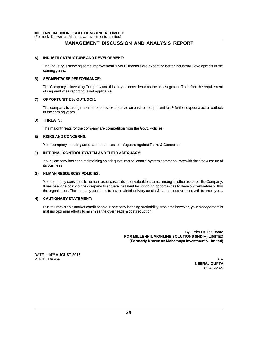# LINE SOLUTIONS (INDIA) LIMITED<br>as Mahamaya Investments Limited)<br>MANAGEMENT DISCUSSION AND ANALYSIS REPORT

#### A) INDUSTRY STRUCTURE AND DEVELOPMENT:

INDUSTRY STRUCTURE AND DEVELOPMENT:<br>The Industry is showing some improvement & your Directors are expecting better Industrial Development in the<br>coming years. **INDUSTRY STRU**<br>The Industry is sho<br>coming years.<br>SEGMENTWISE P

#### **B) SEGMENTWISE PERFORMANCE:**

The Industry is showing some improvement & your Directors are expecting better Industrial Development in the coming years.<br>SEGMENTWISE PERFORMANCE:<br>The Company is investing Company and this may be considered as the only se coming years.<br>SEGMENTWISE PERFORMANCE:<br>The Company is investing Company and this ma<br>of segment wise reporting is not applicable.<br>OPPORTUNITIES / OUTLOOK<sup>.</sup>

#### C) OPPORTUNITIES / OUTLOOK:

The Company is investing Company and this may be considered as the only segment. Therefore the requirement<br>of segment wise reporting is not applicable.<br>**OPPORTUNITIES / OUTLOOK:**<br>The company is taking maximum efforts to ca of segment wise reporting<br>**OPPORTUNITIES / OUT**<br>The company is taking m<br>in the coming years.<br>THREATS

#### D) THREATS:

in the coming years.<br> **THREATS:**<br>
The major threats for the company are competition from the Govt. Policies.

#### E) RISKS AND CONCERNS:

Your company is taking adequate measures to safeguard against Risks & Concerns.

### F) INTERNAL CONTROL SYSTEM AND THEIR ADEQUACY:

Your company is taking adequate measures to safeguard against Risks & Concerns.<br>INTERNAL CONTROL SYSTEM AND THEIR ADEQUACY:<br>Your Company has been maintaining an adequate internal control system commensurate with the size & Your company is<br>INTERNAL CON<br>Your Company ha<br>its business.<br>HIIMAN RESOU

#### G) HUMAN RESOURCES POLICIES:

Its business.<br> **HUMAN RESOURCES POLICIES:**<br>
Your company considers its human resources as its most valuable assets, among all other assets of the Company.<br>
It has been the policy of the company to actuate the talent by pro its business.<br>H**UMAN RESOURCES POLICIES:**<br>Your company considers its human resources as its most valuable assets, among all other assets of the Company.<br>It has been the policy of the company to actuate the talent by provid THUMAN RESOURCES POLICIES:<br>The company considers its human resources as its most valuable assets, among all other assets of the Company.<br>The company continued to have maintained very cordial & harmonious relations withits

#### H) CAUTIONARY STATEMENT:

It has been the policy of the company to actuate the talent by providing opportunities to develop themselves within<br>the organization. The company continued to have maintained very cordial & harmonious relations withits emp Due to unfavorable market conditions your company is facing profitability problems however, your management is making optimum efforts to minimize the overheads & cost reduction.

& cost reduction.<br>By Order Of The Board<br>FOR MILLENNIUM ONLINE SOLUTIONS (INDIA) LIMITED<br>Formark: Known as Mahamove Invoctmants Limited (Formerly Known as Mahamaya Investments Limited)

DATE: 14<sup>TH</sup> AUGUST, 2015 PLACE: Mumbai SD/-

**NEERAJ GUPTA** CHAIRMAN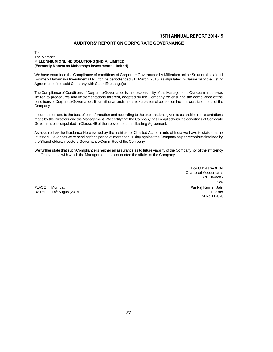## **AUDITORS' REPORT ON CORPORATE GOVERNANCE**

## To,<br>The Member AUDITORS' REPORT ON CORPORA<br>The Member<br>MILLENNIUM ONLINE SOLUTIONS (INDIA) LIMITED<br>MELENNIUM ONLINE SOLUTIONS (INDIA) LIMITED (Formerly Known as Mahamaya Investments Limited)

10,<br>MI**LLENNIUM ONLINE SOLUTIONS (INDIA) LIMITED**<br>**(Formerly Known as Mahamaya Investments Limited)**<br>We have examined the Compliance of conditions of Corporate Governance by Millenium online Solution (India) Ltd<br>(Formely M The MEMDEN<br>MILLENNIUM ONLINE SOLUTIONS (INDIA) LIMITED<br>(Formerly Known as Mahamaya Investments Limited)<br>We have examined the Compliance of conditions of Corporate Governance by Millenium online Solution (India) Ltd<br>(Formel MELENNIOM ONLINE SOLO HONS (INDIA) LIMITED<br>(Formerly Known as Mahamaya Investments Limited)<br>We have examined the Compliance of conditions of Corporate<br>(Formely Mahamaya Investments Ltd), for the period ended 31<br>Agreement o We have examined the Compliance of conditions of Corporate Governance by Millenium online Solution (India) Ltd<br>(Formely Mahamaya Investments Ltd), for the period ended 31<sup>st</sup> March, 2015, as stipulated in Clause 49 of the (Formely Mahamaya Investments Ltd), for the period ended 31<sup>st</sup> March, 2015, as stipulated in Clause 49 of the Listing Agreement of the said Company with Stock Exchange(s)<br>The Compliance of Conditions of Corporate Governan

conditions of Corporate Governance. It is neither an audit nor an expression of opinion on the financial statements of the Company. The compliance of conditions of corporate Governance is the responsibility of the Management. Our examination was<br>Imited to procedures and implementations threreof, adopted by the Company for ensuring the compliance of the

minted to procedures and implementations threfeor, adopted by the Company for ensuring the compliance of the<br>conditions of Corporate Governance. It is neither an audit nor an expression of opinion on the financial statemen Conditions of Corporate Governance. It is neither an addition an expression of opinion on<br>Company.<br>In our opinion and to the best of our information and according to the explanations giver<br>made by the Directors and the Man In our opinion and to the best of our information and according to the explanations given to us and the representations<br>made by the Directors and the Management. We certify that the Company has complied with the conditions

In our opinion and to the best of our information and according to the explanations given to us and the representations<br>made by the Directors and the Management. We certify that the Company has complied with the conditions made by the Directors and the Management. We certify that the Company has complied with the conditions of Corporate<br>Governance as stipulated in Clause 49 of the above mentioned Listing Agreement.<br>As required by the Guidanc As required by the Guidance Note issued by the Institute of Charted Accountants of India we have to state that no<br>Investor Grievances were pending for a period of more than 30 day against the Company as per records maintai As required by the Guidance Note issued by the institute of Charled Accountants of muat<br>Investor Grievances were pending for a period of more than 30 day against the Company as p<br>the Shareholders/Investors Governance Commi

For C.P. Jaria & Co. For C.P.Jaria & Co.<br>Chartered Accountants<br>FRN 104058W 2.**P.Jaria & Co**<br>d Accountants<br>FRN 104058W<br>Sd/-Sd/- For C.P.Jaria & Co<br>
Chartered Accountants<br>
FRN 104058W<br>
PLACE : Mumbai.<br>
DATED : 14<sup>th</sup> August,2015<br>
Pankaj Kumar Jain<br>
Pankaj Kumar Jain<br>
Pankaj Kumar Jain<br>
Pankaj Kumar Jain<br>
Pankaj Kumar Jain<br>
Pankaj Kumar Jain<br>
Pankaj M.No.112020

DATED : 14<sup>th</sup> August,2015 **Partner**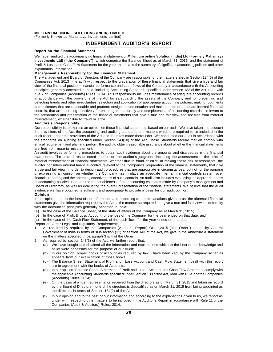# MILLENNIUM ONLINE SOLUTIONS (INDIA) LIMITED<br>(Formerly Known as Mahamaya Investments Limited) MILLENNIUM ONLINE SOLUTIONS (INDIA) LIMITED<br>(Formerly Known as Mahamaya Investments Limited)<br>INDEPENDENT AU **MILLENNIUM ONLINE SOLUTIONS (INDIA**<br>(Formerly Known as Mahamaya Investments<br>**INDEPEN**<br>Report on the Financial Statement<br>We have audited the accompanying financial

# IONS (INDIA) LIMITED<br>I Investments Limited)<br>INDEPENDENT AUDITOR'S REPORT<br>iment

(Formerly Known as Mahamaya Investments Limited)<br> **INDEPENDENT AUDITOR'S REPORT**<br>
Report on the Financial Statement<br>
We have audited the accompanying financial statement of Millenium online Solution (India) Ltd (Formely Ma **INDEPENDENT AUDITOR'S REPORT**<br>We have audited the accompanying financial statement of Millenium online Solution (India) Ltd (Formely Mahamaya<br>Investments Ltd) ("the Company"), which comprise the Balance Sheet as at March **Report on the Financial Statement**<br>We have audited the accompanying financial statement of Millenium online Solution (India) Ltd (Formely Mahamaya<br>Investments Ltd) ("the Company"), which comprise the Balance Sheet as at M Report on the Financial Statement<br>We have audited the accompanying financial statement of Millenium of<br>Investments Ltd) ("the Company"), which comprise the Balance Sh<br>Profit & Loss and Cash Flow Statement for the year ende The Management and Board of Directors of the Company are responsible for the matters stated in Section 134(5) of the explanatory information.<br> **Management's Responsibility for the Financial Statement**<br> **Management's Respon** 

Investments Eta) (The Company ), which compise the Balance Sheet as at Match 31, 2015, and the statement of<br>Profit & Loss and Cash Flow Statement for the year ended, and the summary of significant accounting policies and o explanatory information.<br>The Management's Responsibility for the Financial Statement<br>The Management and Board of Directors of the Company are responsible for the matters stated in Section 134(5) of the<br>Companies Act, 2013 management s Responsibility for the Financial statement<br>The Management and Board of Directors of the Company are responsible for the matters stated in Section 134(5) of the<br>Companies Act, 2013 ('the act") with respect to t The management and board of Difectors of the Company are responsible for the matters stated in section 134(3) of the Companies Act, 2013 ('the act") with respect to the preparation of these financial statements that give a Companies Act, 2013 (the act) with respect to the preparation of these infiancial statements that give a true and rative<br>word the financial position, financial performance and cash flows of the Company in accordance with t view of the infancial position, infancial performance and cash hows of the Company in accordance with the Accounting<br>principles generally accepted in India, including Accounting Standards specified under section 133 of the principles generally accepted in india, including Accounting Standards specified under section 155.01 the Act, read with<br>rule 7 of Companies (Accounts) Rules, 2014. This responsibility includes maintenance of adequate acco the protocolation and other irregularities; selection and application of appropriate cocounting policies; making judgments and detecting frauds and other irregularities; selection and application of appropriate accounting In accordance will the provisions of the Act to<br>detecting frauds and other irregularities; selection<br>and estimates that are reasonable and prudent; d<br>controls, that are operating effectively for ensuring<br>the preparation an and estimates that are reasonable and prodent, design, implementation and maintenance or adequate memal mitarical<br>controls, that are operating effectively for ensuring the accuracy and completeness of accounting records, r

the preparation and presentation of the financial statements that give a true and fair view and are free from material<br>misstatement, whether due to fraud or error.<br>**Auditors's Responsibility**<br>Our responsibility is to expre The preparation and presentation of the financial statements that give a true and fair view and are free from material misstatement, whether due to fraud or error.<br> **Auditors's Responsibility**<br>
Our responsibility is to exp missiatement, whether due to fraud of error.<br> **Auditors's Responsibility**<br>
Our responsibility is to express an opinion on these financial statements based on our audit. We have taken into account<br>
the provisions of the Act Autricity is to express an opinion on these financial statements based on our audit. We have taken into account<br>the provisions of the Act, the accounting and auditing standards and matters which are required to be included For responsibility is to express an opinion<br>the provisions of the Act, the accounting<br>audit report under the provisions of the Act<br>the standards on Auditing specified under<br>thical requirement and plan and perform t<br>are fre The provisions of the Act, the accounting and additing standards and matters which are required to be included in the<br>audit report under the provisions of the Act and the rules made thereunder. We conducted our audit in ac statements. The procedures selected depend on the auditor's judgment, we conducted our adult in accordance with<br>the standards on Auditing specified under Section 143(10) of the Act. Those Standards require that we comply w

ethical requirement and plan and perform the audit to obtain reasonable assurance about whether the financial statements are free from material misstatement.<br>An audit involves performing procedures to obtain audit evidence emical requirement and plan and perform the audit to obtain reasonable assurance about whether the infinancial statements<br>are free from material misstatement.<br>An audit involves performing procedures to obtain audit evidenc are free from material misstatement.<br>An audit involves performing procedures to obtain audit evidence about the amounts and disclosures in the financial<br>statements. The procedures selected depend on the auditor's judgment, An addit involves periorming procedures to obtain addit evidence about the amounts and disclosures in the infidicial statements. The procedures selected depend on the auditor's judgment, including the assessment of the ris statements. The procedures selected depend on the addition s judgment, including the assessment of the risks of<br>material misstatement of financial statements, whether due to fraud or error. In making those risk assessments materiar misstatement of infiancial statements, whenter due to riadu of error. In making mose risk assessments, the<br>auditor considers internal financial control relevant to the Company's preparation of the financial statem adurior considers internal inflaticial control relevant to the Company's preparation of the inflaticial statements, that give<br>a true and fair view, in order to design audit procedures that are appropriate in circumstances, of expressing an opinion on whether the Company has in place an adequate internal financial controls system over<br>financial reporting and the operating effectiveness of such controls. An audit also includes evaluating the a Infiancial reporting and the operating enectiveness of such controls. An addit also includes evaluating the appropriateness<br>of accounting policies used and the reasonableness of the accounting estimates made by Company's m

#### Opinion

or accounting policies used and the reasonable riess of the accounting estimates made by Company's management and<br>Board of Directors, as well as evaluating the overall presentation of the financial statements. We believe t evidence we have obtained is sufficient and appropriate to provide a basis for our audit opinion.<br> **Opinion**<br>
In our opinion and to the best of our information and according to the explanations given to us, the astatements (a) In the case of Profit & Loss Account, of the loss of the manner so required and give a true and fare view<br>(a) In the case of the Balance Sheet, of the state of affairs of the Company as at March 31, 2015;<br>(a) In the ca (b) In the case of the best of our information and according to the explanations given to us, the aforesaid financies statements give the information required by the Act in the manner so required and give a true and fare v In our opinion and to the best of our information and according to the explanations given to us, the astatements give the information required by the Act in the manner so required and give a true and fare with the accounti

- 
- (b) In the case of Profit & Loss Account, of the loss of the Company for the year ended on that date; and (c) In the case of the Cash Flow Statement, of the cash flows for the year ended on that date.<br>Report on Other Legal
- 

- Null the accounting principles generally accepted in hidiat.<br>
(a) In the case of the Balance Sheet, of the state of affairs of the Company as at March 31, 2015;<br>
(b) In the case of Profit & Loss Account, of the loss of the In the case of the Batalice Sheet, of the state of antals of the Company as at Match 31, 2013,<br>In the case of Profit & Loss Account, of the loss of the Company for the year ended on that date; and<br>In the case of the Cash F (c) In the case of the Cash Flow Statement, of the cash flows for the year ended on that date.<br>
Report on Other Legal and regulatory Requirements<br>
1. As required by required by the Companies (Auditor's Report) Order, 2015 (c) In the case of the Cash Flow Statement, of the Cash hows for the year-<br>Report on Other Legal and regulatory Requirements<br>1. As required by required by the Companies (Auditor's Report) O<br>6 Government of India in terms (a) We have sought and regulatory Requirements<br>
(Auditor's Report) Order, 2015 ("the Order") issued by Central<br>
Government of India in terms of sub-section (11) of section 143 of the Act, we give in the Annexure a statemen
	-
- Government of India in terms of sub-section (11) of section 143 of the Act, we give in the Annexure a statement<br>on the matters specified in paragraph 3 & 4 of the Order.<br>As required by section 143(3) of the Act, we further Sovernment of mala in terms of sub-section (11) of section 143 of the Act, we give in the Affliextite a statement<br>on the matters specified in paragraph 3 & 4 of the Order.<br>As required by section 143(3) of the Act, we furth between the parallel in parallel in  $\sigma$  at 4 of the Order<br>quired by section 143(3) of the Act, we further repo<br>We have sought and obtained all the information as<br>belief were necessary for the purpose of our Audit;<br>In our (a) We have sought and obtained all the information and explanations which to the best of our knowledge and<br>belief were necessary for the purpose of our Audit;<br>(b) In our opinion, proper books of account as required by law
	- belief were necessary for the purpose of our Audit;<br>
	(b) In our opinion, proper books of account as required by law have been kept by the Company so far as<br>
	appears from our examination of those books;<br>
	(c) The Balance She
	-
	- (b) In our opinion, proper books of account as required by law have been kept by the Company so far as<br>appears from our examination of those books;<br>(c) The Balance Sheet, Statement of Profit and Loss Account and Cash Flow It our opinion, proper books of account as required by law Trave been kept by the Company so rat as<br>appears from our examination of those books;<br>The Balance Sheet, Statement of Profit and Loss Account and Cash Flow Stateme are in agreement with the books of Accounts;<br>
	(d) In our opinion, Balance Sheet, Statement of Profit and Loss Account and Cash Flow Statement comply with<br>
	the applicable Accounting Standards specified under Section 133 of (c) The Balance Sheet, Statement of Profit and Ebss Account and Cash Flow Statement dealt with this report<br>are in agreement with the books of Accounts;<br>(d) In our opinion, Balance Sheet, Statement of Profit and Loss Accoun
	- are in agreement with the books of Accounts,<br>In our opinion, Balance Sheet, Statement of Profit and Loss Account and Cash Flow Statement comply with<br>the applicable Accounting Standards specified under Section 133 of the Ac In our opinion, Balance Sheet, Statement or Pront and<br>the applicable Accounting Standards specified under Sec<br>(Accounts) Rules 2014;<br>On the basis of written representation received from the<br>by the Board of Directors, none (Accounts) Rules 2014;<br>
	(e) On the basis of written representation received from the directors as on March 31, 2015 and taken on record<br>
	by the Board of Directors, none of the directors is disqualified as on March 31, 2015 On the basis of written representation received from the directors as on March 31, 2015 and taken on record<br>by the Board of Directors, none of the directors is disqualified as on March 31, 2015 from being appointed as<br>the
	- the directors in terms of Section 164(2) of the Act;<br>In our opinion and to the best of our information and according to the explanations given to us, we report as<br>under with respect to other matters to be included in the A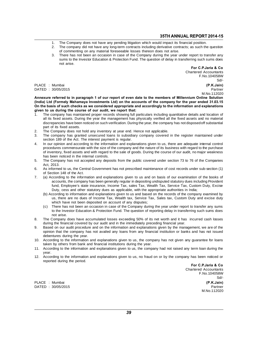- 
- **1.** The Company does not have any pending litigation which would impact its financial position.<br>
2. The company did not have any long-term contracts including derivative contracts; as such the question of companion on any 35TH ANNUAL REPORT 2014-15<br>2. The Company does not have any pending litigation which would impact its financial position.<br>2. The company did not have any long-term contracts including derivative contracts; as such the ques **35TH ANNUA**<br>The Company does not have any pending litigation which would impact its finant<br>The company did not have any long-term contracts including derivative contract:<br>of commenting on any material foreseeable losses t
- **35TH ANNUAL REPORT 2014-15**<br>1. The Company does not have any pending litigation which would impact its financial position.<br>2. The company did not have any long-term contracts including derivative contracts; as such the qu The Company does not have any pending litigation which would impact its financial position.<br>The company did not have any long-term contracts including derivative contracts; as such the question<br>of commenting on any materia The Company<br>The company<br>of commenting<br>There has not<br>sums to the In<br>not arise.

For C.P. Jaria & Co. er report to transfer any<br>ferring such sums does<br>**For C.P.Jaria & Co**<br>Chartered Accountants<br>F.No.104058W F.No.104058W Sd/- For C.P.Jaria & Co.<br>
Chartered Accountants<br>
PLACE : Mumbai F.No.104058W<br>
PLACE : Mumbai (P.K.Jain)<br>
PATED : 30/05/2015

DATED : 30/05/2015 Partner

M.No.112020

F.No.104058W<br>PLACE : Mumbai Sd/-<br>DATED : 30/05/2015 (P.K.Jain)<br>Annexure referred to in paragraph 1 of our report of even date to the members of Millennium Online Solution<br>(India) Ltd (Formely Mahamaya Investments Ltd) on t Sd/-<br>PLACE : Mumbai (P.K.Jain)<br>DATED : 30/05/2015 Partner<br>Annexure referred to in paragraph 1 of our report of even date to the members of Millennium Online Solution<br>(India) Ltd (Formely Mahamaya Investments Ltd) on the ac On the basis of such checks as we considered appropriate and accordingly to the information and explanations DATED : 30/05/2015<br>Annexure referred to in paragraph 1 of our report of even date to the m<br>(India) Ltd (Formely Mahamaya Investments Ltd) on the accounts of the<br>On the basis of such checks as we considered appropriate and Annexure referred to in paragraph 1 of our report of even date to the members of Millennium Online Solution (India) Ltd (Formely Mahamaya Investments Ltd) on the accounts of the company for the year ended 31.03.15 On the b All its fixed assets. During the year the management has physically verified all the fixed assets and no material<br>all its fixed assets. During the course of our audit, we report that:<br>The company has maintained proper reco

- discrepancies have been noticed on such verification. During the year, the company for the year ended 31.05.15<br>The company has maintained proper records showing full particulars including quantitative details and location From the secure of our audit, we report that:<br>
1. The company has maintained proper records showing full particulars including quantitative details and location of<br>
1. The company has maintained proper records showing full 2. The Company has maintained proper records showing full particulars including quantil its fixed assets. During the year the management has physically verified all the discrepancies have been noticed on such verification. 3. The company has manualmed proper records showing fun panculars including quantitative details and location of<br>all its fixed assets. During the year the management has physically verified all the fixed assets and no mate an its liked assets. During the year the management has produced<br>discrepancies have been noticed on such verification. During<br>part of its fixed assets.<br>The Company does not hold any inventory at year end. Her<br>The company h
- 
- 
- Figure 1.1 In our opinion and according to the information. During the year, the company has not disposed on substantial part of its fixed assets.<br>
The Company does not hold any inventory at year end. Hence not applicable. part of its fixed assets.<br>The Company does not hold any inventory at year end. Hence not applicable.<br>The company has granted unsecured loans to subsidiary company covered in the register maintained under<br>section 189 of the The company does not nota any inventory at year end. Hence not applicable.<br>The company has granted unsecured loans to subsidiary company covered in the register maintained under<br>section 189 of the Act. The interest payment section 189 of the Act. The interest payment is regular.<br>In our opinion and according to the information and explanations given to us, there are adequate internal control<br>procedures commensurate with the size of the compan Section 169 of the Act. The interest payment is regular.<br>
In our opinion and according to the information and explanations given to us, there are adequate internal control<br>
procedures commensurate with the size of the comp procedures commensurate with the size of the company and the nature of its business with regard to the purchase<br>of inventory, fixed assets and with regard to the sale of goods. During the course of our audit, no major weak Frocedures commensurate with the size of the company and the nature of its business with regard to the purchase<br>of inventory, fixed assets and with regard to the sale of goods. During the course of our audit, no major weak
- of inventory, itsed assets and<br>has been noticed in the intern<br>The Company has not accept<br>Act, 2013.<br>As informed to us, the Central<br>of Section 148 of the Act.<br>(a) According to the informati
- 
- 7. (a) According to the information and explanations given to us and on basis of our examination of the books of according to the information and explanations given to us and on basis of our examination of the books of acc 2013.<br>
Solomed to us, the Central Government has not prescribed maintenance of cost records under sub-section (1)<br>
ction 148 of the Act.<br>
Coording to the information and explanations given to us and on basis of our examina formed to us, the Central Government has not prescribed maintenance of cost records under sub-section (1)<br>ction 148 of the Act.<br>ccording to the information and explanations given to us and on basis of our examination of th The duestige and other statution and explanations given to us and on basis of our examination of the accounts, the company has been generally regular in depositing undisputed statutory dues including fund, Employee's state (a) According to the information and explanations given to us and on basis of our examination of the books of accounts, the company has been generally regular in depositing undisputed statutory dues including Provident fun Ecologing to the information and explanations given to us and on basis of our examination of the books of accounts, the company has been generally regular in depositing undisputed statutory dues including Provident fund, E
	- fund, Employee's state insurance, Income Tax, sales Tax, Wealth Tax, Service Tax, Custom Duty, Excise<br>Duty, cess and other statutory dues as applicable, with the appropriate authorities in India;<br>(b) According to informati
- (c) There has not been an occasion in case of the Company during the year under report to transfer any sums to the Investor Education & Protection Fund. The question of reporting delay in transferring such sums does not ar Buy, cess and other statutory dues as applicable, which the appropriate adutomes in mula,<br>coording to information and explanations given to us and based on the records of the company examined by<br>us, there are no dues of In coloning to innus, there are<br>thich have not<br>there has not<br>to the investor<br>company does 8. The Company does have accumulated losses exceeding 50% of its net worth and it has incurred cash losses to the Dompany does have accumulated losses exceeding 50% of its net worth and it has incurred cash losses to the C (c) There has not been aeposited on account of any disputes,<br>
(c) There has not been an occasion in case of the Company during the year under report to<br>
to the Investor Education & Protection Fund. The question of reportin
- 
- 9. Based on our audit procedure and on the information and explanations given by the management, we are of the opinion that the company has not availed any loans from any financial institution or banks and has not issued o during the financial covered by our audit and in the immediately preceding financial year.<br>Based on our audit procedure and on the information and explanations given by the management, we are of the opinion that the compan The Company does have accumulating the financial covered by contained by the financial covered by contained by the property of the information and according to the information and financial contained by other from match an 10. The Company does have accumulated losses exceeding 50% of its net worth and it has incurred cash losses during the financial covered by our audit and in the immediately preceding financial year.<br>
10. Based on our audit during the miancial covered by our addit and in the infinemately preceding<br>Based on our audit procedure and on the information and explanations (<br>opinion that the company has not availed any loans from any financial<br>debent 11. According to the information and explanations given to us, the company has not given any guarantee for loans<br>
10. According to the information and explanations given to us, the company has not given any guarantee for l
- 
- year. 12. According to the information and explanations given to us, the company has not given any guarantee for loans taken by others from bank and financial institutions during the year.<br>11. According to the information and ex According to the information at<br>taken by others from bank and<br>According to the information an<br>year.<br>According to the information an<br>reported during the period.
- 12. According to the information and explanations given to us, no fraud on or by the company has been noticed or<br>For C.P.Jaria & Conserved during the period.<br>Chartered Accountants

For C.P. Jaria & Co. F.No.104058W Sd/- For C.P.Jaria & Co.<br>
Chartered Accountants<br>
PLACE : Mumbai F.No.104058W<br>
PLACE : Mumbai (P.K.Jain)<br>
PATED : 30/05/2015 DATED : 30/05/2015 Partner M.No.112020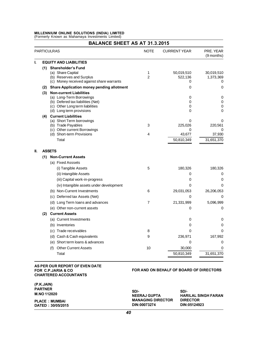# MILLENNIUM ONLINE SOLUTIONS (INDIA) LIMITED<br>(Formerly Known as Mahamaya Investments Limited) MILLENNIUM ONLINE SOLUTIONS (INDIA) LIMITED<br>(Formerly Known as Mahamaya Investments Limited)<br>BALANCE SHEET

|    | <b>BALANCE SHEET AS AT 31.3.2015</b>                                                                                                                        |                     |                             |                              |  |  |
|----|-------------------------------------------------------------------------------------------------------------------------------------------------------------|---------------------|-----------------------------|------------------------------|--|--|
|    | <b>PARTICULRAS</b>                                                                                                                                          | <b>NOTE</b>         | <b>CURRENT YEAR</b>         | PRE. YEAR<br>(9 months)      |  |  |
| ı. | <b>EQUITY AND LIABILITIES</b>                                                                                                                               |                     |                             |                              |  |  |
|    | (1) Shareholder's Fund<br>(a) Share Capital<br>(b) Reserves and Surplus<br>(c) Money received against share warrants                                        | 1<br>$\overline{2}$ | 50,019,510<br>522,136<br>0  | 30,019,510<br>1,373,369<br>0 |  |  |
|    | (2) Share Application money pending allotment                                                                                                               |                     | 0                           | 0                            |  |  |
|    | (3) Non-current Liabilities<br>(a) Long-Term Borrowings<br>(b) Defered tax liabilities (Net)<br>(c) Other Long term liabilities<br>(d) Long term provisions |                     | 0<br>$\Omega$<br>0<br>0     | 0<br>0<br>0<br>$\Omega$      |  |  |
|    | (4) Current Liabilities<br>(a) Short Term borrowings<br>(b) Trade Payables<br>(c) Other current Borrowings<br>(d) Short-term Provisions                     | 3<br>4              | 0<br>225,026<br>0<br>43,677 | 0<br>220,561<br>0<br>37,930  |  |  |
|    | Total                                                                                                                                                       |                     | 50,810,349                  | 31,651,370                   |  |  |
| Ш. | <b>ASSETS</b>                                                                                                                                               |                     |                             |                              |  |  |
|    | (1) Non-Current Assets                                                                                                                                      |                     |                             |                              |  |  |
|    | (a) Fixed Asssets                                                                                                                                           |                     |                             |                              |  |  |
|    | (i) Tangible Assets                                                                                                                                         | 5                   | 180,326                     | 180,326                      |  |  |
|    | (ii) Intangible Assets                                                                                                                                      |                     | $\Omega$                    | 0                            |  |  |
|    | (iii) Capital work-in-progress                                                                                                                              |                     | 0                           | 0                            |  |  |
|    | (iv) Intangible assets under development                                                                                                                    |                     | 0                           | 0                            |  |  |
|    | (b) Non-Current Investments                                                                                                                                 | 6                   | 29,031,053                  | 26,206,053                   |  |  |
|    | (c) Deferred tax Assets (Net)                                                                                                                               |                     | 0                           | 0                            |  |  |
|    | (d) Long Term loans and advances                                                                                                                            | $\overline{7}$      | 21,331,999                  | 5,096,999                    |  |  |
|    | (e) Other non-current assets                                                                                                                                |                     | 0                           | 0                            |  |  |
|    | (2) Current Assets                                                                                                                                          |                     |                             |                              |  |  |
|    | (a) Current Investments                                                                                                                                     |                     | 0                           | 0                            |  |  |
|    | (b) Inventories                                                                                                                                             |                     | 0                           | 0                            |  |  |
|    | (c) Trade receivables                                                                                                                                       | 8                   | 0                           | $\Omega$                     |  |  |
|    | (d) Cash & Cash equivalents                                                                                                                                 | 9                   | 236,971                     | 167,992                      |  |  |
|    | (e) Short term loans & advances                                                                                                                             |                     | $\Omega$                    | 0                            |  |  |
|    | <b>Other Current Assets</b><br>(f)                                                                                                                          | 10                  | 30,000                      | 0                            |  |  |
|    | Total                                                                                                                                                       |                     | 50,810,349                  | 31,651,370                   |  |  |

## AS PER OUR REPORT OF EVEN DATE FOR C.P.JARIA & CO **CHARTERED ACCOUNTANTS**

## FOR AND ON BEHALF OF BOARD OF DIRECTORS

| (P.K.JAIN)            |                          |                            |
|-----------------------|--------------------------|----------------------------|
| <b>PARTNER</b>        | SD/-                     | SD/-                       |
| M.NO 112020           | <b>NEERAJ GUPTA</b>      | <b>HARILAL SINGH FARAN</b> |
| <b>PLACE : MUMBAI</b> | <b>MANAGING DIRECTOR</b> | <b>DIRECTOR</b>            |
| DATED: 30/05/2015     | DIN:00073274             | DIN:05124923               |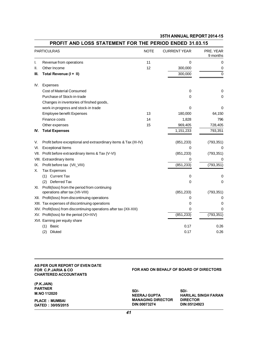|      | PROFIT AND LOSS STATEMENT FOR THE PERIOD ENDED 31.03.15                         |             |                     |                       |
|------|---------------------------------------------------------------------------------|-------------|---------------------|-----------------------|
|      | <b>PARTICULRAS</b>                                                              | <b>NOTE</b> | <b>CURRENT YEAR</b> | PRE. YEAR<br>9 months |
| ı.   | Revenue from operations                                                         | 11          | 0                   | 0                     |
| Ш.   | Other Income                                                                    | 12          | 300,000             | 0                     |
| Ш.   | Total Revenue (I+ II)                                                           |             | 300,000             | $\Omega$              |
| IV.  | <b>Expenses</b>                                                                 |             |                     |                       |
|      | <b>Cost of Material Consumed</b>                                                |             | 0                   | 0                     |
|      | Purchase of Stock-in-trade                                                      |             | 0                   | 0                     |
|      | Changes in inventories of finshed goods,                                        |             |                     |                       |
|      | work-in progress and stock-in trade                                             |             | 0                   | $\Omega$              |
|      | <b>Employee benefit Expenses</b>                                                | 13          | 180,000             | 64,150                |
|      | Finance costs                                                                   | 14          | 1,828               | 796                   |
|      | Other expenses                                                                  | 15          | 969,405             | 728,405               |
| IV.  | <b>Total Expenses</b>                                                           |             | 1,151,233           | 793,351               |
| V.   | Profit before exceptional and extraordinary items & Tax (III-IV)                |             | (851, 233)          | (793, 351)            |
| VI.  | <b>Exceptional Items</b>                                                        |             | 0                   | 0                     |
| VII. | Profit before extraordinary items & Tax (V-VI)                                  |             | (851, 233)          | (793, 351)            |
|      | VIII. Extraordinary items                                                       |             | 0                   | 0                     |
| IX.  | Profit before tax (VII_VIII)                                                    |             | (851, 233)          | (793, 351)            |
| Х.   | <b>Tax Expenses</b>                                                             |             |                     |                       |
|      | (1) Current Tax                                                                 |             | 0                   | 0                     |
|      | (2) Deferred Tax                                                                |             | 0                   | 0                     |
| XI.  | Profit(loss) from the period from continuing<br>operations after tax (VII-VIII) |             | (851, 233)          | (793, 351)            |
|      | XII. Profit(loss) from discontinuing operations                                 |             | 0                   | 0                     |
|      | XIII. Tax expenses of discontinuing operations                                  |             | 0                   | 0                     |
|      | XIV. Profit(loss) from discontinuing operations after tax (XII-XIII)            |             | 0                   | 0                     |
|      | XV. Profit(loss) for the period (XI+XIV)                                        |             | (851, 233)          | (793, 351)            |
|      | XVI. Earning per equity share                                                   |             |                     |                       |
|      | (1)<br>Basic                                                                    |             | 0.17                | 0.26                  |
|      | (2)<br>Diluted                                                                  |             | 0.17                | 0.26                  |

## BROEIT AND LOOC CEATENENT FOR THE REDIOR ENRER 24.03.4E

#### AS PER OUR REPORT OF EVEN DATE FOR C.P.JARIA & CO **CHARTERED ACCOUNTANTS**

(P.K.JAIN)

## FOR AND ON BEHALF OF BOARD OF DIRECTORS

| <b>PARTNER</b>        | SD/-                     | SD/-                       |
|-----------------------|--------------------------|----------------------------|
| M.NO 112020           | <b>NEERAJ GUPTA</b>      | <b>HARILAL SINGH FARAN</b> |
| <b>PLACE : MUMBAI</b> | <b>MANAGING DIRECTOR</b> | <b>DIRECTOR</b>            |
| DATED: 30/05/2015     | DIN:00073274             | DIN:05124923               |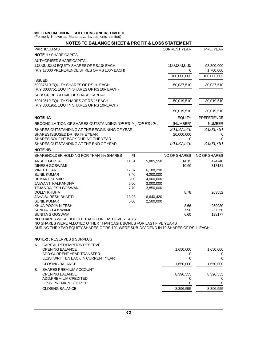# MILLENNIUM ONLINE SOLUTIONS (INDIA) LIMITED<br>(Formerly Known as Mahamaya Investments Limited) MILLENNIUM ONLINE SOLUTIONS (INDIA) LIMITED<br>(Formerly Known as Mahamaya Investments Limited)<br>NOTES TO BALANCE SHEET &

|                                                                                       |       |           | <b>NOTES TO BALANCE SHEET &amp; PROFIT &amp; LOSS STATEMENT</b> |                     |
|---------------------------------------------------------------------------------------|-------|-----------|-----------------------------------------------------------------|---------------------|
| <b>PARTICULRAS</b>                                                                    |       |           | <b>CURRENT YEAR</b>                                             | PRE. YEAR           |
| <b>NOTE-1: SHARE CAPITAL</b>                                                          |       |           |                                                                 |                     |
| AUTHORISED SHARE CAPITAL                                                              |       |           |                                                                 |                     |
| 100000000 EQUITY SHARES OF RS.10/-EACH                                                |       |           | 100,000,000                                                     | 98,300,000          |
| (P.Y.17000 PREFERENCE SHRES OF RS 100/- EACH)                                         |       |           | 0                                                               | 1,700,000           |
|                                                                                       |       |           | 100,000,000                                                     | 100,000,000         |
| <b>ISSUED</b>                                                                         |       |           |                                                                 |                     |
| 50037510 EQUITY SHARES OF RS 1/- EACH                                                 |       |           | 50,037,510                                                      | 30,037,510          |
| (P.Y.3003751 EQUITY SHARES OF RS 10/- EACH)                                           |       |           |                                                                 |                     |
| SUBSCRIBED & PAID UP SHARE CAPITAL                                                    |       |           |                                                                 |                     |
| 50019510 EQUITY SHARES OF RS 1/-EACH                                                  |       |           | 50,019,510                                                      | 30,019,510          |
| (P.Y.3001951 EQUITY SHARES OF RS 10/-EACH)                                            |       |           |                                                                 |                     |
|                                                                                       |       |           |                                                                 |                     |
|                                                                                       |       |           | 50,019,510                                                      | 30,019,510          |
| <b>NOTE-1A</b>                                                                        |       |           | <b>EQUITY</b>                                                   | <b>PREFERENCE</b>   |
| RECONCILAITION OF SHARES OUTSTANDING (OF RS 1/-) (OF RS 10/-)                         |       |           | (NUMBER)                                                        | <b>NUMBER</b>       |
| SHARES OUTSTANDING AT THE BEGGINNING OF YEAR                                          |       |           | 30,037,510                                                      | 3,003,751           |
| SHARES ISSUSED DRING THE YEAR                                                         |       |           | 20,000,000                                                      | 0                   |
| SHARES BOUGHT BACK DURING THE YEAR                                                    |       |           | 0                                                               | 0                   |
| SHARES OUTSTANDING AT THE END OF YEAR                                                 |       |           | 50,037,510                                                      | 3,003,751           |
| <b>NOTE-1B</b>                                                                        |       |           |                                                                 |                     |
| SHAREHOLDER HOLDING FOR THAN 5% SHARES                                                | $\%$  |           | <b>NO OF SHARES</b>                                             | <b>NO OF SHARES</b> |
| <b>ANSHU GUPTA</b>                                                                    | 11.61 | 5,805,550 | 14.15                                                           | 424740              |
| <b>DINESH GOSWAMI</b>                                                                 |       |           | 10.60                                                           | 318131              |
| <b>VINEET GARG</b>                                                                    | 12.37 | 6,188,290 |                                                                 |                     |
| <b>SUNIL KUMAR</b>                                                                    | 8.40  | 4,200,000 |                                                                 |                     |
| <b>HEMANT KUMAR</b>                                                                   | 8.00  | 4,000,000 |                                                                 |                     |
| JAIWANTI KALKANDHA                                                                    | 6.00  | 3,000,000 |                                                                 |                     |
| <b>TEJAS RAJESH GOSWANI</b>                                                           | 7.70  | 3,850,000 |                                                                 |                     |
| DOLLY KHUHA                                                                           |       |           | 8.78                                                            | 263552              |
| JAYA SURESH BHARTI                                                                    | 13.28 | 6,640,420 |                                                                 |                     |
| <b>SUNIL KUMAR</b>                                                                    | 5.00  | 2,500,000 |                                                                 |                     |
| KHUA POOJA NITESH                                                                     |       |           | 8.66                                                            | 259930              |
| SUNITA D GOSWAMI<br>SUNITA G GOSWAMI                                                  |       |           | 7.90<br>6.60                                                    | 237250<br>198177    |
| NO SHARES WERE BOUGHT BACK FOR LAST FIVE YEARS                                        |       |           |                                                                 |                     |
| NO SHARES WERE ALLOTED OTHER THAN CASH, BONUS FOR LAST FIVE YEARS                     |       |           |                                                                 |                     |
| DURING THE YEAR EQUITY SHARES OF RS.10/- WERE SUB-DIVIDEND IN 10 SHARES OF RS 1- EACH |       |           |                                                                 |                     |
|                                                                                       |       |           |                                                                 |                     |
| <b>NOTE-2: RESERVES &amp; SURPLUS</b>                                                 |       |           |                                                                 |                     |
| CAPITAL REDEMPTION RESERVE<br>А.                                                      |       |           |                                                                 |                     |
| <b>OPENING BALANCE</b>                                                                |       |           | 1,650,000                                                       | 1,650,000           |
| ADD:CURRENT YEAR TRANSFER                                                             |       |           | 0                                                               | 0                   |
| LESS: WRITTEN BACK IN CURRENT YEAR                                                    |       |           | 0                                                               | 0                   |
|                                                                                       |       |           | 1,650,000                                                       | 1,650,000           |
| <b>CLOSING BALANCE</b>                                                                |       |           |                                                                 |                     |
| SHARES PREMIUM ACCOUNT<br>В.                                                          |       |           |                                                                 |                     |
| <b>OPENING BALANCE</b>                                                                |       |           | 8,396,555                                                       | 8,396,555           |
| ADD:PREMIUM CREDITED                                                                  |       |           | 0                                                               | 0                   |
| LESS: PREMIUM UTILIZED                                                                |       |           | 0                                                               | 0                   |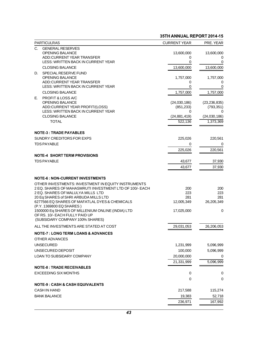|                                                                                         | 35TH ANNUAL REPORT 2014-15 |                              |
|-----------------------------------------------------------------------------------------|----------------------------|------------------------------|
| <b>PARTICULRAS</b><br>C.<br><b>GENERAL RESERVES</b>                                     | <b>CURRENT YEAR</b>        | PRE. YEAR                    |
| <b>OPENING BALANCE</b>                                                                  | 13,600,000                 | 13,600,000                   |
| ADD:CURRENT YEAR TRANSFER                                                               | 0                          | 0                            |
| LESS: WRITTEN BACK IN CURRENT YEAR                                                      | 0                          | 0                            |
| <b>CLOSING BALANCE</b>                                                                  | 13,600,000                 | 13,600,000                   |
| SPECIAL RESERVE FUND<br>D.                                                              |                            |                              |
| <b>OPENING BALANCE</b>                                                                  | 1,757,000                  | 1,757,000                    |
| ADD:CURRENT YEAR TRANSFER                                                               | 0                          | 0                            |
| LESS: WRITTEN BACK IN CURRENT YEAR                                                      | 0                          | 0                            |
| <b>CLOSING BALANCE</b>                                                                  | 1,757,000                  | 1,757,000                    |
| PROFIT & LOSS A/C<br>Е.                                                                 |                            |                              |
| <b>OPENING BALANCE</b><br>ADD:CURRENT YEAR PROFIT/(LOSS)                                | (24,030,186)<br>(851, 233) | (23, 236, 835)<br>(793, 351) |
| LESS: WRITTEN BACK IN CURRENT YEAR                                                      | 0                          | 0                            |
| <b>CLOSING BALANCE</b>                                                                  | (24, 881, 419)             | (24,030,186)                 |
| <b>TOTAL</b>                                                                            | 522,136                    | 1,373,369                    |
|                                                                                         |                            |                              |
| <b>NOTE-3: TRADE PAYABLES</b>                                                           |                            |                              |
| SUNDRY CREDITORS FOR EXPS                                                               | 225,026                    | 220,561                      |
| <b>TDS PAYABLE</b>                                                                      | 0                          | 0                            |
|                                                                                         | 225,026                    | 220,561                      |
| <b>NOTE-4 SHORT TERM PROVISIONS</b>                                                     |                            |                              |
| <b>TDS PAYABLE</b>                                                                      | 43,677                     | 37,930                       |
|                                                                                         | 43,677                     | 37,930                       |
|                                                                                         |                            |                              |
| <b>NOTE-6: NON-CURRENT INVESTMENTS</b>                                                  |                            |                              |
| OTHER INVESTMENTS: INVESTMENT IN EQUITY INSTRUMENTS                                     |                            |                              |
| 2 EQ. SHARES OF MAHASMRUTI INVESTMENT LTD OF 100/- EACH                                 | 200                        | 200                          |
| 2 EQ. SHARES OF MALULYA MILLS LTD                                                       | 223                        | 223                          |
| 20 Eq SHARES of SHRI ARBUDA MILLS LTD<br>6277566 EQ SHARES OF MAFATLAL DYES & CHEMICALS | 281                        | 281                          |
| (P.Y. 1369800 EQ SHARES)                                                                | 12,005,349                 | 26,205,349                   |
| 1500000 Eq SHARES OF MILLENIUM ONLINE (INDIA) LTD                                       | 17,025,000                 | 0                            |
| OF RS. 10/-EACH FULLY PAID UP                                                           |                            |                              |
| (SUBSIDARY COMPANY 100% SHARES)                                                         |                            |                              |
| ALL THE INVESTMENTS ARE STATED AT COST                                                  | 29,031,053                 | 26,206,053                   |
| <b>NOTE-7 : LONG TERM LOANS &amp; ADVANCES</b>                                          |                            |                              |
| OTHER ADVANCES                                                                          |                            |                              |
| <b>UNSECURED</b>                                                                        | 1,231,999                  | 5,096,999                    |
| UNSECURED DEPOSIT                                                                       | 100,000                    | 5,096,999                    |
| LOAN TO SUBSIDARY COMPANY                                                               | 20,000,000                 | 0                            |
|                                                                                         | 21,331,999                 | 5,096,999                    |
| <b>NOTE-8 : TRADE RECEIVABLES</b>                                                       |                            |                              |
| <b>EXCEEDING SIX MONTHS</b>                                                             | 0                          | 0                            |
|                                                                                         |                            | 0                            |
|                                                                                         | 0                          |                              |
| <b>NOTE-9 : CASH &amp; CASH EQUIVALENTS</b>                                             |                            |                              |
| CASH IN HAND                                                                            | 217,588                    | 115,274                      |
| <b>BANK BALANCE</b>                                                                     | 19,383                     | 52,718                       |
|                                                                                         | 236,971                    | 167,992                      |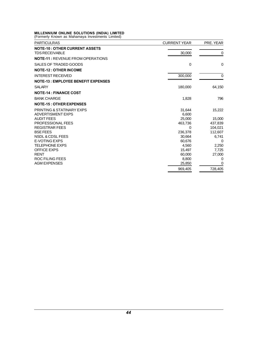# MILLENNIUM ONLINE SOLUTIONS (INDIA) LIMITED<br>(Formerly Known as Mahamaya Investments Limited)

| (Formerly Known as Mahamaya Investments Limited)<br><b>PARTICULRAS</b> | <b>CURRENT YEAR</b> | PRE. YEAR |
|------------------------------------------------------------------------|---------------------|-----------|
| <b>NOTE-10: OTHER CURRENT ASSETS</b><br><b>TDS RECEIVABLE</b>          | 30,000              | 0         |
| <b>NOTE-11: REVENUE FROM OPERATIONS</b>                                |                     |           |
| SALES OF TRADED GOODS                                                  | 0                   | $\Omega$  |
| <b>NOTE-12: OTHER INCOME</b>                                           |                     |           |
| <b>INTEREST RECEIVED</b>                                               | 300,000             | 0         |
| <b>NOTE-13: EMPLOYEE BENEFIT EXPENSES</b>                              |                     |           |
| <b>SALARY</b>                                                          | 180,000             | 64,150    |
| <b>NOTE-14: FINANCE COST</b>                                           |                     |           |
| <b>BANK CHARGE</b>                                                     | 1,828               | 796       |
| <b>NOTE-15: OTHER EXPENSES</b>                                         |                     |           |
| PRINTING & STATINARY EXPS                                              | 31,644              | 15,222    |
| ADVERTISMENT EXPS                                                      | 6,600               |           |
| <b>AUDIT FEES</b>                                                      | 25.000              | 15,000    |
| PROFESSIONAL FEES                                                      | 463,736             | 437,839   |
| <b>REGISTRAR FEES</b>                                                  | 0                   | 104,021   |
| <b>BSE FEES</b>                                                        | 236,378             | 112,607   |
| NSDL & CDSL FEES                                                       | 30.664              | 6,741     |
| <b>E-VOTING EXPS</b>                                                   | 60,676              | 0         |
| <b>TELEPHONE EXPS</b>                                                  | 4,560               | 2,250     |
| <b>OFFICE EXPS</b>                                                     | 15,497              | 7,725     |
| <b>RENT</b>                                                            | 60,000              | 27,000    |
| <b>ROC FILING FEES</b>                                                 | 8,800               | 0         |
| <b>AGM EXPENSES</b>                                                    | 25,850              | 0         |
|                                                                        | 969,405             | 728,405   |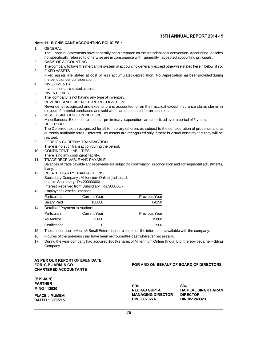## Note-11. SIGNIFICANT ACCOUNTING POLICIES : 1. GENERAL **THE ANNUAL REPORT 2014-15<br>GENERAL<br>The Financial Statements have generally been prepared on the historical cost convention. Accounting policies<br>not specifically referred to otherwise are in consonance with generally accept** 35TH ANNUAL REPORT 2014-1<br>11. SIGNIFICANT ACCOUNTING POLICIES :<br>The Financial Statements have generally been prepared on the historical cost convention. Accounting policie<br>not specifically referred to otherwise are in cons Note-11. SIGNIFICANT ACCOUNTING POI<br>
1. GENERAL<br>
The Financial Statements have general<br>
not specifically referred to otherwise are<br>
2. BASIS OF ACCOUNTING<br>
The company follows the mercantile sys GENERAL<br>The Financial Statements have generally been prepared on the historical cost convention. Accounting policies<br>not specifically referred to otherwise are in consonance with generally accepted accounting principals.<br>F The Financial Statements h<br>
not specifically referred to to<br>
2. BASIS OF ACCOUNTING<br>
The company follows the m<br>
3. FIXED ASSETS<br>
Fixed assets are stated at<br>
the nest are considered The Financial statements have generally been prepared on the histonical cost convention. Accounting policies<br>not specifically referred to otherwise are in consonance with generally accepted accounting principals.<br>FIXED ASS The company feleried to otherwise<br>BASIS OF ACCOUNTING<br>The company follows the mercantile<br>FIXED ASSETS<br>Exed assets are stated at cost of<br>the period under consideration.<br>INVESTMENTS 4. INVESTMENTS FIXED ASSETS<br>Fixed assets are stated at cost of less accumulated depreciation. No Depreciation has been provided during<br>the period under consideration.<br>INVESTMENTS<br>Investments are stated at cost. 5. INVENTORIES Fixed assets are stated at cost of less accumulated<br>the period under consideration.<br>INVESTMENTS<br>Investments are stated at cost.<br>NVENTORIES<br>The company is not having any type of inventory.<br>REVENUE AND EXPENDITURE RECOGNITIO For Period under consideration.<br>
4. INVESTMENTS<br>
Investments are stated at cost.<br>
5. INVENTORIES<br>
The company is not having any type of inventory.<br>
6. REVENUE AND EXPENDITURE RECOGNITION<br>
Revenue is recognized and expendit INVENTORIES<br>INVENTORIES<br>The company is not having any type of inventory.<br>REVENUE AND EXPENDITURE RECOGNITION<br>Revenue is recognized and expenditure is accounted for on their accrual except insurance claim, claims in<br>respect respectively.<br>The company is not having any type of inventory.<br>REVENUE AND EXPENDITURE RECOGNITION<br>Revenue is recognized and expenditure is accounted for on their accrual except is<br>respect of material purchased and sold wh 3. INVENTORIES<br>
The company is not having any type of inventor<br>
REVENUE AND EXPENDITURE RECOGNITIC<br>
Revenue is recognized and expenditure is ac<br>
respect of material purchased and sold which<br>
7. MISCELLANEOUS EXPENDITURE<br>
M REVENUE AND EXPENDITURE RECOGNITION<br>Revenue is recognized and expenditure is accounted for on their accrual except insurance claim, claims in<br>respect of material purchased and sold which are accounted for on cash basis.<br>MI 8. REVENUE AND EXPEN<br>Revenue is recognized<br>respect of material purc<br>MISCELLANEOUS EXP<br>Miscellaneous Expendit<br>8. DEFER TAX<br>The Deferred tax is rec Revenue is recognized and experimme is accounted for on their accrual except insurance claim, claims in<br>The Deferred of material purchased and sold which are accounted for on cash basis.<br>MISCELLANEOUS EXPENDITURE<br>Miscellan respect of material purchased and sold which are accounted for official basis.<br>MISCELLANEOUS EXPENDITURE<br>DEFER TAX<br>The Deferred tax is recognized for all temporary differences subject to the consideration of prudence and a realized. MISCENDIBULARY EXPERIENCE SUCT AS PREIDINGLY EXAMPLE<br>The Deferred tax is recognized for all temporary docurrently available rates. Deferred Tax assets are<br>realized.<br>9. FOREIGN CURRENY TRANSACTION<br>There is no such transacti The Deferred tax is recognized for all temporary d<br>currently available rates. Deferred Tax assets are<br>realized.<br>FOREIGN CURRENY TRANSACTION<br>There is no such transaction during the period.<br>CONTINGENT LIABILITIES The Deferred Tax<br>
currently available rates. Deferred Tax<br>
realized.<br>
9. FOREIGN CURRENY TRANSACTION<br>
There is no such transaction during the<br>
10. CONTINGENT LIABILITIES<br>
There is no any contingent liability.<br>
11. TPADE PE 9. FOREIGN CURRENY TRANSACTION<br>There is no such transaction during the period.<br>10. CONTINGENT LIABILITIES<br>There is no any contingent liability.<br>11. TRADE RECEIVABLE AND PAYABLE 9. FOREIGN CURRENY TRANSACTION<br>
There is no such transaction during the period.<br>
10. CONTINGENT LIABILITIES<br>
There is no any contingent liability.<br>
11. TRADE RECEIVABLE AND PAYABLE<br>
Balances of trade payable and receivable FOREIGN CONNENT TRANSACTION<br>CONTINGENT LIABILITIES<br>There is no any contingent liability.<br>TRADE RECEIVABLE AND PAYABLE<br>Balances of trade payable and receivable are subject to confirmation, reconciliation and consequential a 10. CONTINGENT LIABILITIES<br>There is no any contingent lia<br>11. TRADE RECEIVABLE AND F<br>Balances of trade payable and<br>if any. 10. CONTINGENT LIABILITIES<br>
There is no any contingent liability.<br>
11. TRADE RECEIVABLE AND PAYABLE<br>
Balances of trade payable and receivable are subj<br>
if any.<br>
12. RELATED PARTY TRANSACTIONS<br>
Subsidiary Company : Millenni TRADE RECEIVABLE AND PAYABLE<br>Balances of trade payable and receivable are subject to contrary.<br>If any.<br>RELATED PARTY TRANSACTIONS<br>Subsidiary Company : Millennium Online (India) Ltd.<br>Loan to Subsidiary : Rs.2000000/-<br>Loan t TRADE RECEIVABLE AND PATABLE<br>Balances of trade payable and receivable as<br>if any.<br>RELATED PARTY TRANSACTIONS<br>Subsidiary Company : Millennium Online<br>Loan to Subsidiary : Rs.20000000/-<br>Interest Received from Subsidiary : Rs.3 Subsidiary Company : Millennium Online (India) Ltd.<br>Loan to Subsidiary : Rs.2000000/-<br>Interest Received from Subsidiary : Rs.300000/-<br>13. Employees Benefit Expenses<br>Particulars Current Year 12. RELATED PARTY TRANSACTIONS Particulars Current Year Previous Year Loan to Subsidiary : Rs.20000000/-<br>
Interest Received from Subsidiary : Rs.300000/-<br>
Employees Benefit Expenses<br>
Particulars Current Year Previous Year<br>
Salary Paid 180000 64150<br>
Details of Payment to Auditors Salary Paid 180000<br>14. Details of Payment to Auditors<br>Particulars Current Year Particulars Current Year Previous Year<br>
Salary Paid 180000 64150<br>
Details of Payment to Auditors<br>
Particulars Current Year Previous Year<br>
As Auditor 25000 15000 Franciscus<br>
Salary Paid 180000 64150<br>
Details of Payment to Auditors<br>
As Auditor 25000 15000<br>
Certification 0 2500<br>
2500<br>
2500<br>
2500<br>
2500<br>
2500 Certification 0 2500 Fracticulars Current de Addition<br>
The amount due to Micro & Small Enterprises are based on the information available with the company.<br>
15. The amount due to Micro & Small Enterprises are based on the information available 16. Figures of the previous year have been regrouped/re-cast wherever necessary.<br>16. Figures of the previous year have been regrouped/re-cast wherever necessary.<br>17. During the year company had acquired 100% shares of Mill 19000<br>
17. During the year company had acquired 100% shares of Millennium Online (India) Ltd, thereby became Holding<br>
17. During the year company had acquired 100% shares of Millennium Online (India) Ltd, thereby became Ho

- 
- Company.

#### AS PER OUR REPORT OF EVEN DATE FOR C.P.JARIA & CO. **CHARTERED ACCOUNTANTS**

### FOR AND ON BEHALF OF BOARD OF DIRECTORS

(P.K.JAIN) **PARTNER** M.NO 112020

**PLACE: MUMBAI** DATED: 30/05/15 SD/- SD/-NEERAJ GUPTA HARILAL SINGH FARAN **MANAGING DIRECTOR DIRECTOR** DIN:00073274 DIN:051249323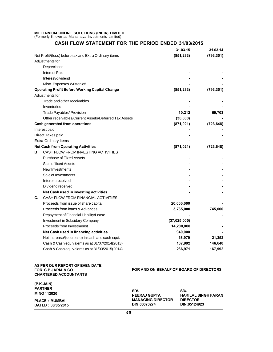# MILLENNIUM ONLINE SOLUTIONS (INDIA) LIMITED<br>(Formerly Known as Mahamaya Investments Limited) MILLENNIUM ONLINE SOLUTIONS (INDIA) LIMITED<br>(Formerly Known as Mahamaya Investments Limited)<br>CASH FLOW STATEMENT FOR 1

| CASH FLOW STATEMENT FOR THE PERIOD ENDED 31/03/2015   |              |            |
|-------------------------------------------------------|--------------|------------|
|                                                       | 31.03.15     | 31.03.14   |
| Net Profit/(loss) before tax and Extra Ordinary items | (851, 233)   | (793, 351) |
| Adjustments for                                       |              |            |
| Depreciation                                          |              |            |
| <b>Interest Paid</b>                                  |              |            |
| Interest/dividend                                     |              |            |
| Misc. Expenses Written off                            |              |            |
| <b>Operating Profit Before Working Capital Change</b> | (851, 233)   | (793, 351) |
| Adjustments for                                       |              |            |
| Trade and other receivables                           |              |            |
| Inventories                                           |              |            |
| Trade Payables/ Provision                             | 10,212       | 69,703     |
| Other receivables/Current Assets/Deferred Tax Assets  | (30,000)     |            |
| Cash generated from operations                        | (871, 021)   | (723, 648) |
| Interest paid                                         |              |            |
| Direct Taxes paid                                     |              |            |
| Extra-Ordinary Items                                  |              |            |
| <b>Net Cash from Operating Activities</b>             | (871, 021)   | (723, 648) |
| CASH FLOW FROM INVESTING ACTIVITIES<br>в              |              |            |
| Purchase of Fixed Assets                              |              |            |
| Sale of fixed Assets                                  |              |            |
| New Investments                                       |              |            |
| Sale of Investments                                   |              |            |
| Interest received                                     |              |            |
| Dividend received                                     |              |            |
| Net Cash used in investing activities                 |              |            |
| CASH FLOW FROM FINANCIAL ACTIVITIES<br>C.             |              |            |
| Proceeds from issue of share capital                  | 20,000,000   |            |
| Proceeds from Ioans & Advances                        | 3,765,000    | 745,000    |
| Repayment of Financial Liability/Lease                |              |            |
| Investment in Subsidary Company                       | (37,025,000) |            |
| Proceeds from Investmenst                             | 14,200,000   |            |
| Net Cash used in financing activities                 | 940,000      |            |
| Net increase/(decrease) in cash and cash equi.        | 68,979       | 21,352     |
| Cash & Cash equivalents as at 01/07/2014(2013)        | 167,992      | 146,640    |
| Cash & Cash equivalents as at 31/03/2015(2014)        | 236,971      | 167,992    |

### AS PER OUR REPORT OF EVEN DATE FOR C.P.JARIA & CO **CHARTERED ACCOUNTANTS**

## FOR AND ON BEHALF OF BOARD OF DIRECTORS

| (P.K.JAIN)<br><b>PARTNER</b><br><b>M.NO 112020</b> | SD/-<br><b>NEERAJ GUPTA</b> | SD/-<br><b>HARILAL SINGH FARAN</b> |
|----------------------------------------------------|-----------------------------|------------------------------------|
| <b>PLACE : MUMBAI</b>                              | <b>MANAGING DIRECTOR</b>    | <b>DIRECTOR</b>                    |
| DATED: 30/05/2015                                  | DIN:00073274                | DIN:05124923                       |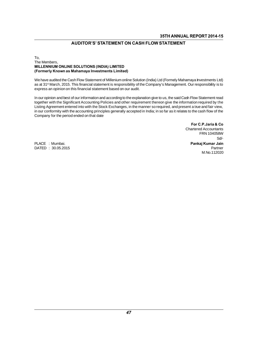## **AUDITOR'S' STATEMENT ON CASH FLOW STATEMENT**

## To,<br>The Members, AUDITOR'S' STATEMENT ON CASH<br>To,<br>Millennium<br>Millennium Online Solutions (India) Limited<br>Millennium Online Solutions (India) Limited (Formerly Known as Mahamaya Investments Limited)

The Members,<br>MILLENNIUM ONLINE SOLUTIONS (INDIA) LIMITED<br>(Formerly Known as Mahamaya Investments Limited)<br>We have audited the Cash Flow Statement of Millenium online Solution (India) Ltd (Formely Mahamaya Investments Ltd)<br> The MENDETS,<br>**MILLENNIUM ONLINE SOLUTIONS (INDIA) LIMITED**<br>(Formerly Known as Mahamaya Investments Limited)<br>We have audited the Cash Flow Statement of Millenium online Solution (India) Ltd (Formely Mahamaya Investments Ltd WILLENNIOM ONLINE SOLD HONS (INDIA) LIMITED<br>(Formerly Known as Mahamaya Investments Limited)<br>We have audited the Cash Flow Statement of Millenium online Solution (<br>as at 31<sup>st</sup> March, 2015. This financial statement is resp We have audited the Cash Flow Statement of Millenium online Solution (India) Ltd (Formely Mahamaya Investments Ltd)<br>as at 31st March, 2015. This financial statement is responsibility of the Company's Management. Our respon

The Significant Recording to the Significant Significant Community and Company's Management. Our responsibility is to<br>express an opinion on this financial statement based on our audit.<br>In our opinion and best of our inform as at 31<sup>2</sup> Match, 2013. This infancial statement is responsibility of the Company's Management. Our responsibility is to<br>express an opinion on this financial statement based on our audit.<br>In our opinion and best of our in express an opmion on this imancial statement based on our addit.<br>In our opinion and best of our information and according to the explanation give to us, the said Cash Flow Statement read<br>together with the Significant Accou In our opinion and best of our information and accordit<br>together with the Significant Accounting Policies and<br>Listing Agreement entered into with the Stock Excha<br>in our conformity with the accounting principles gene<br>Compan Listing Agreement entered into with the Stock Exchanges, in the manner so required, and present a true and fair view,<br>in our conformity with the accounting principles generally accepted in India; in so far as it relates to

For C.P. Jaria & Co Assimow of the<br> **C.P.Jaria & Co**<br>
dd Accountants<br>
FRN 104058W<br>
Sd<sup>/</sup>-Sd/- For C.P.Jaria & Co<br>
Chartered Accountants<br>
FRN 104058W<br>
PLACE : Mumbai.<br>
Pankaj Kumar Jain<br>
Pankaj Kumar Jain<br>
Pankaj Kumar Jain<br>
Pankaj Kumar Jain<br>
Pankaj Kumar Jain<br>
Pankaj Kumar Jain<br>
Pankaj Kumar Jain<br>
Pankaj Kumar Jai DATED : 30.05.2015 Partner M.No.112020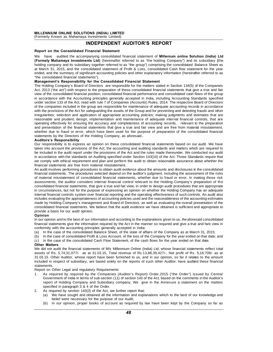# IONS (INDIA) LIMITED<br>I Investments Limited)<br>INDEPENDENT AUDITOR'S REPORT<br>Financial Statement

MILLENNIUM ONLINE SOLUTIONS (INDIA) LIMITED<br>
(Formerly Known as Mahamaya Investments Limited)<br> **INDEPENDENT AUDITOR'S REPORT**<br>
Report on the Consolidated Financial Statement<br>
We have audited the accompanying consolidated f WE HAVING STAT MUDITOR'S REPORT<br>
The accompanying investments Limited)<br>
We have audited the accompanying consolidated financial statement of Millenium online Solution (India) Ltd<br>
(Formerly Mahamaya Investments Ltd) (herei (FERERT MUNITOR'S REPORT<br>
Report on the Consolidated Financial Statement<br>
We have audited the accompanying consolidated financial statement of Millenium online Solution (India) Ltd<br>
(Formely Mahamaya Investments Ltd) (here Report on the Consolidated Financial Statement<br>We have audited the accompanying consolidated financial statement of Millenium online Solution (India) Ltd<br>(Formely Mahamaya Investments Ltd) (hereinafter referred to as "the For the summary of summary consolidated financial statement of **Millenium online Solution (India) Ltd**<br>(Formely Mahamaya Investments Ltd) (hereinafter referred to as "the holding Company") and its subsidiary (the<br>holding c holding company and its subsidiary together referred to as "the group") comprising the consolidated Balance Sheet as at March 31, 2015, and the consolidated statement of Profit & Loss, consolidated Cash flow statement for (Formely Mahamaya Investments Ltd) (hereinafter referred to as "the holding Co<br>holding company and its subsidiary together referred to as "the group") comprising the<br>at March 31, 2015, and the consolidated statement of Pro The Holding Company's and its subsidiary together referred to as the group compitsing the consolidated Balance sheet as<br>at March 31, 2015, and the consolidated statement of Profit & Loss, consolidated Cash flow statement f

Active act, 2013, and the consolidated statement of Piont & Loss, consolidated Cash how statement for the year<br>ended, and the summary of significant accounting policies and other explanatory information (hereinafter referr ended, and the summary of significant accounting policies and other explanatory information (hereinatier referred to as<br>
"the consolidated financial statements").<br> **Management's Responsibility for the Consolidated Financia** In accordance with the Accounting principles generally accepted in Section 134(5) of the Companies<br>Act, 2013 ('the act") with respect to the preparation of these consolidated financial statements that give a true and fair<br> management s Responsibility for the Consolidated Financial Statement<br>The Holding Company's Board of Directors are responsible for the matters stated in Section 134(5) of the Companies<br>Act, 2013 ('the act") with respect to The Holding Company s Board of Directors are responsible for the matters stated in Section 134(5) of the Companies Act, 2013 ('the act") with respect to the preparation of these consolidated financial statements that give Act, 2013 (the act) with respect to the preparation of these consolidated infiancial statements that give a true and tall<br>view of the consolidated financial position, consolidated financial performance and consolidated cas view of the consolidated infinicial position, consolidated infinicial performance and consolidated cash hows of the group<br>in accordance with the Accounting principles generally accepted in India, including Accounting Stand reasonable while the Accounting principles generally accepted in final, including Accounting standards specified under section 133 of the Act, read with rule 7 of Companies (Accounts) Rules, 2014. The respective Board of D of the companies included in the group are responsible for maintenance of adequate accounting records in accordance<br>of the companies included in the group are responsible for maintenance of adequate accounting records in a of the provisions of the Act for safeguarding the assets of the Group and for preventing and detecting frauds and other<br>irregularities; selection and application of appropriate accounting policies; making judgments and est which the provisions of the Act for safeguarding the assets of the Group and for preventing and detecting mads and other<br>irregularities; selection and application of appropriate accounting policies; making judgments and es reasonable and prudent; design, implementation and maintenance of adequate internal financial controls, that are operating effectively for ensuring the accuracy and completeness of accounting records, relevant to the prepa reasonable and prudent; design, im<br>operating effectively for ensuring the<br>and presentation of the financial stat<br>whether due to fraud or error, which<br>statements by the Directors of the H<br>**Auditors's Responsibility**<br>Our res operating enectively for ensuring the accuracy and completeness of accounting records, relevant to the preparation<br>and presentation of the financial statements that give a true and fair view and are free from material miss

whether due to fraud or error, which have been used for the purpose of preparation of the consolidated financial<br>statements by the Directors of the Holding Company, as aforesaid..<br>**Auditors's Responsibility**<br>Our responsibi whether due to hadd of error, which have been used for the purpose of preparation of the consolidated infinitial<br>statements by the Directors of the Holding Company, as aforesaid..<br>Auditors's Responsibility<br>for responsibili Statements by the Difectors of the Holding Company, as altoesald...<br> **Auditors's Responsibility**<br>
Our responsibility is to express an opinion on these consolidated financial statements based on our audit. We have<br>
taken in Authors S Responsibility<br>Our responsibility is to express an opinion on these consolidated financial statements based on our audit. We have<br>taken into account the provisions of the Act, the accounting and auditing standard taken into account the provisions of the Act, the accounting and auditing standards and matters which are required to<br>be included in the audit report under the provisions of the Act and the rules made thereunder. We conduc Entity and account the provisions of the Act, the accounting and additing standards and matters which are required to<br>be included in the audit report under the provisions of the Act and the rules made thereunder. We conduc

be included in the audit report under the provisions of the Act and the rules made thereunder. We conducted our addition accordance with the standards on Auditing specified under Section 143(10) of the Act. Those Standards In accordance with the standards on Additing specified under Section 143(10) or the Act. Those standards require that<br>we comply with ethical requirement and plan and perform the audit to obtain reasonable assurance about w We comply wint emical requirement and plan and periorm the audit to obtain reasonable assurance about whether the<br>financial statements are free from material misstatement.<br>An audit involves performing procedures to obtain mancial statements are riee noni material misstatement.<br>An audit involves performing procedures to obtain audit evidence about the amounts and disclosures in the consolidated<br>financial statements. The procedures selected d Ari addit involves periorining procedures to obtain addit evidence about the amounts and discussues in the consolidated<br>financial statements. The procedures selected depend on the auditor's judgment, including the assessme infinancial statements. The procedures selected depend on the addition spugnient, incidding the assessment of the risks assessments, the auditor considered financial statements, whether due to fraud or error. In making tho In material misstatement of consolidated inflancial statements, whenef due to fradd of error. In making those risk<br>assessments, the auditor considers internal financial control relevant to the Holding Company's preparation assessments, the auditor considers internal inflational control relevant to the Holding Company's preparation of the<br>consolidated financial statements, that give a true and fair view, in order to design audit procedures th consolidated financial statements, that give a title and fail view, in order to design adult procedules that are appropriate<br>in circumstances, but not for the purpose of expressing an opinion on whether the Holding Company In circumstances, but not for the purpose<br>internal financial controls system over fina<br>includes evaluating the appropriateness of<br>made by Holding Company's management<br>consolidated financial statements. We bel<br>provide a bas Includes evaluating the appropriateness of accounting policies used and the reasonable liess of the accounting estimates made by Holding Company's management and Board of Directors, as well as evaluating the overall presen

#### Opinion

financial statements. We believe that the audit evidence we have obtained is sufficient and appropriate to<br>provide a basis for our audit opinion.<br>**Opinion**<br>the our opinion and to the best of our information and according t consolidated infinitial statements, we believe that the atomt evidence we reprovide a basis for our audit opinion.<br> **Opinion**<br>
In our opinion and to the best of our information and according to the explan<br>
financial statem (a) In the case of the consolidated Balance Sheet, of the state of affairs of the company as at March 31, 2015;<br>(a) In the case of the consolidated Balance Sheet, of the state of affairs of the Company as at March 31, 2015 Optition<br>
In our opinion and to the best of our information and according to the explanations given to us, the aforesaid consolidated<br>
financial statements give the information required by the Act in the manner so required financial statements give the information required by the Act in the manner so required and give a true and fare view in conformity with the accounting principles generally accepted in India:<br>
(a) In the case of the consol

- 
- 
- 

conformity with the accounting principles generally accepted in India:<br>
(a) In the case of the consolidated Balance Sheet, of the state of affairs of the Company as at March 31, 2015;<br>
(b) In the case of consolidated Profi We did not audit the financial statements of M/s Millennium Online (India) Ltd, whose financial statements reflect total (a) In the case of the consolidated Balance Sheet, of the state of alitans of the Company as at March 31, 2013,<br>
(b) In the case of consolidated Profit & Loss Account, of the loss of the Company for the year ended on that (c) In the case of consolidated Profit & Loss Account, of the loss of the Company for the year ended on that date, and<br> **Other Matters**<br>
We did not audit the financial statements of M/s Millennium Online (India) Ltd, whose (c) In the case of the consolidated Cash Flow Statement, of the cash hows for the year ended on that date.<br>We did not audit the financial statements of M/s Millennium Online (India) Ltd, whose financial statements reflect statements.<br>Report on Other Legal and regulatory Requirements We did not addit the infinition statements of Mys Millenhildin's<br>assets of Rs. 5,74,31,077/- as at 31.03.15, Total revenue<br>31.03.15. Other Auditor, whose report have been furnished<br>included in respect of subsidiary, are ba 1. As required by required by the Companies (Auditor's Report) Order, 2015 ("the Order") issued by Central statements.<br>
1. As required by required by the Companies (Auditor's Report) Order, 2015 ("the Order") issued by Cen

- Government of India in terms of sub-section (11) of section 143 of the Act, based on the comments of India in terms of sub-section (40 order) order, 2015 ("the Order") issued by Central Government of India in terms of subreport of Holding Company and Subsidiary companies (Auditor's Report) Order, 2015 ("the Order") issued by Central<br>As required by required by the Companies (Auditor's Report) Order, 2015 ("the Order") issued by Central<br>Gove ments.<br>As required by required by the Companies<br>As required by required by the Companies<br>Government of India in terms of sub-section (1<br>report of Holding Company and Subsidiary c<br>specified in paragraph 3 & 4 of the Order.<br> 2. As required by required by the Companies (Auditor's Report) O<br>
2. As required by required by the Companies (Auditor's Report) O<br>
143 of the report of Holding Company and Subsidiary company, We give in<br>
2. As required by Government of India in terms of sub-section (11) of section 143 of the Act, based on the comments in the Auditor's<br>report of Holding Company and Subsidiary company, We give in the Annexure a statement on the matters<br>speci
- As required by section 143(3) of the Act, we further report that:
	-
	- (b) In our opinion, proper books of account as required by law have been kept by the Company so far as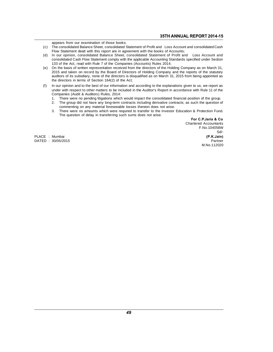- Express from our examination of those books;<br>The consolidated Balance Sheet, consolidated State<br>Flow Statement doelt with this conservation or secon **Example and STH ANNUAL REPORT 2014-15**<br>(c) The consolidated Balance Sheet, consolidated Statement of Profit and Loss Account and consolidated Cash<br>(d) In our statement dealt with this report are in agreement with the book **S5TH ANNUAL R**<br> **EXECUTE:** The consolidated Balance Sheet, consolidated Statement of Profit and Loss Account and<br>
Flow Statement dealt with this report are in agreement with the books of Accounts;<br>
In our opinion, consoli **35TH ANNUAL REPORT 2014-15**<br>(c) The consolidated Balance Sheet, consolidated Statement of Profit and Loss Account and consolidated Cash<br>Flow Statement dealt with this report are in agreement with the books of Accounts;<br>(d
- appears from our examination of those books;<br>The consolidated Balance Sheet, consolidated Statement of Profit and Loss Account and consolidated Cash<br>Flow Statement dealt with this report are in agreement with the books of appears from our examination of those books,<br>
The consolidated Balance Sheet, consolidated Statement of Profit and Loss Account<br>
In our opinion, consolidated Balance Sheet, consolidated Statement of Proficonsolidated Cash (e) The consolidated balance sheet, consolidated statement of Profit and Loss Account and consolidated Cash Flow Statement dealt with this report are in agreement with the books of Accounts;<br>
(d) In our opinion, consolidat
- Frow statement dealt with this report are in agreement with the books of Accounts,<br>In our opinion, consolidated Balance Sheet, consolidated Statement of Profit and Loss Account and<br>consolidated Cash Flow Statement comply w In our opinion, consolidated Balance Sheet, consolidated Statement of Pront and Eoss Account and<br>consolidated Cash Flow Statement comply with the applicable Accounting Standards specified under Section<br>133 of the Act, read consolidated Cash Flow Statement comply with the apple<br>133 of the Act, read with Rule 7 of the Companies (Acc<br>On the basis of written representation received from the<br>2015 and taken on record by the Board of Directors is<br>a (e) On the basis of written representation received from the directors of the Holding Company as on March 31, 2015 and taken on record by the Board of Directors of Holding Company and the reports of the statutory auditors 2015 and taken on record by the Board of Directors of Holding Company and the reports of the statutory<br>auditors of its subsdiary, none of the directors is disqualified as on March 31, 2015 from being appointed as<br>the direc
- auditors of its subsdiary, none of the directors is<br>the directors in terms of Section 164(2) of the  $\beta$ <br>In our opinion and to the best of our information<br>under with respect to other matters to be include<br>Companies (Audit 1. There were no pending litigations which would impact the consolidated financial position of the group.<br>
1. There were no pending litigations which would impact the consolidated financial position of the group.<br>
1. There 2. The group did not have any long-term contracts including to the explanations given to us, we report as<br>2. There were no pending litigations which would impact the consolidated financial position of the group.<br>2. The gro if opinion and to the best of our information and according to the explanations<br>r with respect to other matters to be included in the Auditor's Report in accordanies (Audit & Auditors) Rules, 2014:<br>There were no pending li
	-
	- 3. There were no amounts which were required to transfer to the Investor Education of the group.<br>3. The group did not have any long-term contracts including derivative contracts; as such the question of<br>3. There were no am panies (Addit & Additions) Rules, 2014.<br>There were no pending litigations which would impact the consolidat<br>The group did not have any long-term contracts including derivative<br>commenting on any material foreseeable losses
	-

For C.P. Jaria & Co<br>Chartered Accountants Such the question of<br>tion & Protection Fund.<br>For C.P.Jaria & Co<br>Chartered Accountants<br>F.No.104058W F.No.104058W Sd/- For C.P.Jaria & Co.<br>PLACE : Mumbai (P.K.Jain)<br>DATED : 30/05/2015<br>Martered Accountants<br>PLACE : Mumbai (P.K.Jain)<br>Parter Performants<br>PLACE : Mumbai (P.K.Jain) DATED : 30/05/2015 Partner M.No.112020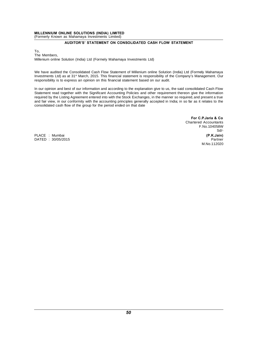## MILLENNIUM ONLINE SOLUTIONS (INDIA) LIMITED<br>(Formerly Known as Mahamaya Investments Limited) MILLENNIUM ONLINE SOLUTIONS (INDIA) LIMITED<br>(Formerly Known as Mahamaya Investments Limited)<br>AUDITOR'S' STATEMENT ON CONSO MILLENNIUM ONLINE SOLUTIONS (INDIA) LIMITED<br>(Formerly Known as Mahamaya Investments Limited)<br>AUDITOR'S' STATEMENT ON CONSOLIDATED CASH FLOW STATEMENT

To,<br>The Members, Formerly Known a<br>To,<br>The Members,<br>Millenium online So Millenium online Solution (India) Ltd (Formely Mahamaya Investments Ltd)

The Members,<br>Millenium online Solution (India) Ltd (Formely Mahamaya Investments Ltd)<br>We have audited the Consolidated Cash Flow Statement of Millenium online Solution (India) Ltd (Formely Mahamaya<br>Investments Ltd) as at 3 Ine Members,<br>Millenium online Solution (India) Ltd (Formely Mahamaya Investments Ltd)<br>We have audited the Consolidated Cash Flow Statement of Millenium online Solution (India) Ltd (Formely Mahamaya<br>Investments Ltd) as at 3 Investments Ltd) as at 31<sup>st</sup> March, 2015. This financial statement is responsibility of the Company's Management. Our responsibility is to express an opinion on this financial statement based on our audit.<br>In our opinion We have audited the Consolidated Cash Flow Statement of Millenium online Solution (India) Ltd (Formely Mahamaya<br>Investments Ltd) as at 31<sup>st</sup> March, 2015. This financial statement is responsibility of the Company's Managem

We have addited the Consolidated Cash Flow Statement of whilefilm of thine Solution (mala) Eta (Formely Mantaniaya<br>Investments Ltd) as at 31<sup>st</sup> March, 2015. This financial statement is responsibility of the Company's Mana responsibility is to express an opinion on this financial statement is responsibility of the Company's Management. Our responsibility is to express an opinion on this financial statement based on our audit.<br>In our opinion responsionity is to express an opinion on this infiancial statement based on our addit.<br>In our opinion and best of our information and according to the explanation give to us, the said consolidated Cash Flow<br>Statement read In our opinion and best of our information and according to the explanation give<br>Statement read together with the Significant Accounting Policies and other re<br>required by the Listing Agreement entered into with the Stock E

For C.P.Jaria & Co For C.P. Jaria & Co.<br>Chartered Accountants<br>F.No.104058W F.No.104058W Sd/- For C.P.Jaria & Co<br>
Chartered Accountants<br>
PLACE : Mumbai <br>
PLACE : Mumbai (P.K.Jain)<br>
PATED : 30/05/2015 DATED : 30/05/2015 **Partner** M.No.112020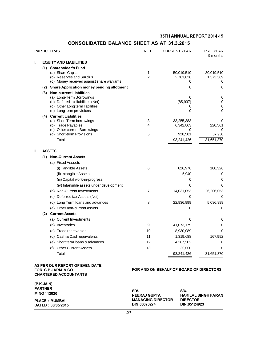|     |                                                             |                     | 35TH ANNUAL REPORT 2014-15 |                         |
|-----|-------------------------------------------------------------|---------------------|----------------------------|-------------------------|
|     | <b>CONSOLIDATED BALANCE SHEET AS AT 31.3.2015</b>           |                     |                            |                         |
|     | <b>PARTICULRAS</b>                                          | <b>NOTE</b>         | <b>CURRENT YEAR</b>        | PRE. YEAR<br>9 months   |
|     | <b>EQUITY AND LIABILITIES</b>                               |                     |                            |                         |
|     | (1) Shareholder's Fund                                      |                     |                            |                         |
|     | (a) Share Capital<br>(b) Reserves and Surplus               | 1<br>$\overline{2}$ | 50,019,510<br>2,781,026    | 30,019,510<br>1,373,369 |
|     | (c) Money received against share warrants                   |                     | 0                          | 0                       |
| (2) | <b>Share Application money pending allotment</b>            |                     | 0                          | 0                       |
| (3) | <b>Non-current Liabilities</b>                              |                     |                            |                         |
|     | (a) Long-Term Borrowings                                    |                     | 0                          | 0                       |
|     | (b) Defered tax liabilities (Net)                           |                     | (85, 937)                  | 0                       |
|     | (c) Other Long term liabilities<br>(d) Long term provisions |                     | 0<br>0                     | 0<br>0                  |
|     | (4) Current Liabilities                                     |                     |                            |                         |
|     | (a) Short Term borrowings                                   | 3                   | 33,255,383                 | 0                       |
|     | (b) Trade Payables                                          | 4                   | 6,342,863                  | 220,561                 |
|     | (c) Other current Borrowings                                |                     | 0                          | 0                       |
|     | (d) Short-term Provisions                                   | 5                   | 928.581                    | 37,930                  |
|     | Total                                                       |                     | 93,241,426                 | 31,651,370              |
|     | <b>ASSETS</b>                                               |                     |                            |                         |
| (1) | <b>Non-Current Assets</b>                                   |                     |                            |                         |
|     | (a) Fixed Asssets                                           |                     |                            |                         |
|     | (i) Tangible Assets                                         | 6                   | 626,976                    | 180,326                 |
|     | (ii) Intangible Assets                                      |                     | 5,940                      | 0                       |
|     | (iii) Capital work-in-progress                              |                     | 0                          | 0                       |
|     | (iv) Intangible assets under development                    |                     | 0                          | 0                       |
|     | (b) Non-Current Investments                                 | $\overline{7}$      | 14,031,053                 | 26,206,053              |
|     | (c) Deferred tax Assets (Net)                               |                     | 0                          | 0                       |
|     | (d) Long Term loans and advances                            | 8                   | 22,936,999                 | 5,096,999               |
|     | (e) Other non-current assets                                |                     | 0                          | 0                       |
| (2) | <b>Current Assets</b>                                       |                     |                            |                         |
|     | (a) Current Investments                                     |                     | 0                          | 0                       |
|     | (b) Inventories                                             | 9                   | 41,073,179                 | 0                       |
|     | (c) Trade receivables                                       | 10                  | 8,930,089                  | 0                       |
|     | (d) Cash & Cash equivalents                                 | 11                  | 1,319,688                  | 167,992                 |
|     | Short term loans & advances<br>(e)                          | 12                  | 4,287,502                  | 0                       |
|     | <b>Other Current Assets</b><br>(f)                          | 13                  | 30,000                     | 0                       |
|     | Total                                                       |                     | 93,241,426                 | 31,651,370              |

## AS PER OUR REPORT OF EVEN DATE FOR C.P.JARIA & CO **CHARTERED ACCOUNTANTS**

## FOR AND ON BEHALF OF BOARD OF DIRECTORS

| (P.K.JAIN)            |                          |                            |
|-----------------------|--------------------------|----------------------------|
| <b>PARTNER</b>        | SD/-                     | SD/-                       |
| M.NO 112020           | <b>NEERAJ GUPTA</b>      | <b>HARILAL SINGH FARAN</b> |
| <b>PLACE : MUMBAI</b> | <b>MANAGING DIRECTOR</b> | <b>DIRECTOR</b>            |
| DATED: 30/05/2015     | DIN:00073274             | DIN:05124923               |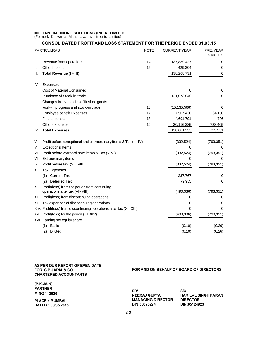# MILLENNIUM ONLINE SOLUTIONS (INDIA) LIMITED<br>(Formerly Known as Mahamaya Investments Limited) MILLENNIUM ONLINE SOLUTIONS (INDIA) LIMITED<br>(Formerly Known as Mahamaya Investments Limited)<br>CONSOLIDATED PROFIT AND LOSS STATI

|      | <b>CONSOLIDATED PROFIT AND LOSS STATEMENT FOR THE PERIOD ENDED 31.03.15</b>     |             |                     |                       |  |
|------|---------------------------------------------------------------------------------|-------------|---------------------|-----------------------|--|
|      | <b>PARTICULRAS</b>                                                              | <b>NOTE</b> | <b>CURRENT YEAR</b> | PRE. YEAR<br>9 Months |  |
| ı.   | Revenue from operations                                                         | 14          | 137,839,427         | 0                     |  |
| Ш.   | Other Income                                                                    | 15          | 429,304             | 0                     |  |
| III. | Total Revenue (I + II)                                                          |             | 138,268,731         | $\Omega$              |  |
| IV.  | Expenses                                                                        |             |                     |                       |  |
|      | <b>Cost of Material Consumed</b>                                                |             | 0                   | 0                     |  |
|      | Purchase of Stock-in-trade                                                      |             | 121,073,040         | 0                     |  |
|      | Changes in inventories of finshed goods,                                        |             |                     |                       |  |
|      | work-in progress and stock-in trade                                             | 16          | (15, 135, 566)      | 0                     |  |
|      | Employee benefit Expenses                                                       | 17          | 7,507,430           | 64,150                |  |
|      | Finance costs                                                                   | 18          | 4,691,791           | 796                   |  |
|      | Other expenses                                                                  | 19          | 20,116,385          | 728,405               |  |
| IV.  | <b>Total Expenses</b>                                                           |             | 138,601,255         | 793,351               |  |
| V.   | Profit before exceptional and extraordinary items & Tax (III-IV)                |             | (332, 524)          | (793, 351)            |  |
| VI.  | <b>Exceptional Items</b>                                                        |             | 0                   | 0                     |  |
|      | VII. Profit before extraordinary items & Tax (V-VI)                             |             | (332, 524)          | (793, 351)            |  |
|      | VIII. Extraordinary items                                                       |             | 0                   | 0                     |  |
| IX.  | Profit before tax (VII_VIII)                                                    |             | (332, 524)          | (793, 351)            |  |
| Х.   | <b>Tax Expenses</b>                                                             |             |                     |                       |  |
|      | (1) Current Tax                                                                 |             | 237,767             | 0                     |  |
|      | (2) Deferred Tax                                                                |             | 79,955              | 0                     |  |
| XI.  | Profit(loss) from the period from continuing<br>operations after tax (VII-VIII) |             | (490, 336)          | (793, 351)            |  |
|      | XII. Profit(loss) from discontinuing operations                                 |             | 0                   | 0                     |  |
|      | XIII. Tax expenses of discontinuing operations                                  |             | 0                   | 0                     |  |
|      | XIV. Profit(loss) from discontinuing operations after tax (XII-XIII)            |             | 0                   | 0                     |  |
|      | XV. Profit(loss) for the period (XI+XIV)                                        |             | (490, 336)          | (793, 351)            |  |
|      | XVI. Earning per equity share                                                   |             |                     |                       |  |
|      | (1)<br>Basic                                                                    |             | (0.10)              | (0.26)                |  |
|      | (2)<br>Diluted                                                                  |             | (0.10)              | (0.26)                |  |

#### AS PER OUR REPORT OF EVEN DATE FOR C.P.JARIA & CO **CHARTERED ACCOUNTANTS**

(P.K.JAIN) **PARTNER** M.NO 112020 **PLACE : MUMBAI** DATED: 30/05/2015

## FOR AND ON BEHALF OF BOARD OF DIRECTORS

| SD/-<br><b>NEERAJ GUPTA</b><br><b>MANAGING DIRECTOR</b><br>DIN:00073274 | SD/-<br><b>HARILAL SINGH FARAN</b><br><b>DIRECTOR</b><br>DIN:05124923 |
|-------------------------------------------------------------------------|-----------------------------------------------------------------------|
|                                                                         |                                                                       |

52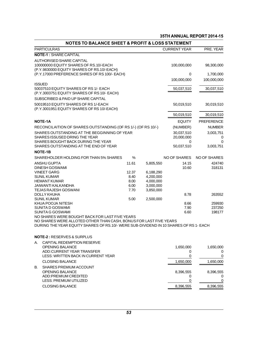|                     |                     |           |       | <b>NOTES TO BALANCE SHEET &amp; PROFIT &amp; LOSS STATEMENT</b>                                                                                                                                              |
|---------------------|---------------------|-----------|-------|--------------------------------------------------------------------------------------------------------------------------------------------------------------------------------------------------------------|
| PRE. YEAR           | <b>CURRENT YEAR</b> |           |       | <b>PARTICULRAS</b>                                                                                                                                                                                           |
|                     |                     |           |       | <b>NOTE-1: SHARE CAPITAL</b>                                                                                                                                                                                 |
| 98,300,000          | 100,000,000         |           |       | AUTHORISED SHARE CAPITAL<br>100000000 EQUITY SHARES OF RS.10/-EACH                                                                                                                                           |
| 1,700,000           | 0                   |           |       | (P.Y.9830000 EQUITY SHARES OF RS.10/-EACH)<br>(P.Y.17000 PREFERENCE SHRES OF RS 100/- EACH)                                                                                                                  |
| 100,000,000         | 100,000,000         |           |       |                                                                                                                                                                                                              |
|                     |                     |           |       | <b>ISSUED</b>                                                                                                                                                                                                |
| 30,037,510          | 50,037,510          |           |       | 50037510 EQUITY SHARES OF RS 1/- EACH<br>(P.Y.3003751 EQUITY SHARES OF RS 10/- EACH)                                                                                                                         |
|                     |                     |           |       | SUBSCRIBED & PAID UP SHARE CAPITAL                                                                                                                                                                           |
| 30,019,510          | 50,019,510          |           |       | 50019510 EQUITY SHARES OF RS 1/-EACH<br>(P.Y.3001951 EQUITY SHARES OF RS 10/-EACH)                                                                                                                           |
| 30,019,510          | 50,019,510          |           |       |                                                                                                                                                                                                              |
| <b>PREFERENCE</b>   | <b>EQUITY</b>       |           |       | <b>NOTE-1A</b>                                                                                                                                                                                               |
| <b>NUMBER</b>       | (NUMBER)            |           |       | RECONCILAITION OF SHARES OUTSTANDING (OF RS 1/-) (OF RS 10/-)                                                                                                                                                |
| 3,003,751           | 30,037,510          |           |       | SHARES OUTSTANDING AT THE BEGGINNING OF YEAR                                                                                                                                                                 |
| 0                   | 20,000,000          |           |       | SHARES ISSUSED DRING THE YEAR                                                                                                                                                                                |
| 0<br>3,003,751      | 0<br>50,037,510     |           |       | SHARES BOUGHT BACK DURING THE YEAR<br>SHARES OUTSTANDING AT THE END OF YEAR                                                                                                                                  |
|                     |                     |           |       | NOTE-1B                                                                                                                                                                                                      |
| <b>NO OF SHARES</b> | <b>NO OF SHARES</b> |           | %     | SHAREHOLDER HOLDING FOR THAN 5% SHARES                                                                                                                                                                       |
| 424740              | 14.15               | 5,805,550 | 11.61 | ANSHU GUPTA                                                                                                                                                                                                  |
| 318131              | 10.60               | 6,188,290 | 12.37 | <b>DINESH GOSWAMI</b><br><b>VINEET GARG</b>                                                                                                                                                                  |
|                     |                     | 4,200,000 | 8.40  | SUNIL KUMAR                                                                                                                                                                                                  |
|                     |                     | 4,000,000 | 8.00  | <b>HEMANT KUMAR</b>                                                                                                                                                                                          |
|                     |                     | 3,000,000 | 6.00  | JAIWANTI KALKANDHA                                                                                                                                                                                           |
|                     |                     | 3,850,000 | 7.70  | <b>TEJAS RAJESH GOSWANI</b>                                                                                                                                                                                  |
| 263552              | 8.78                |           |       | <b>DOLLY KHUHA</b>                                                                                                                                                                                           |
|                     |                     | 2,500,000 | 5.00  | <b>SUNIL KUMAR</b><br>KHUA POOJA NITESH                                                                                                                                                                      |
| 259930<br>237250    | 8.66<br>7.90        |           |       | SUNITA D GOSWAMI                                                                                                                                                                                             |
| 198177              | 6.60                |           |       | SUNITA G GOSWAMI                                                                                                                                                                                             |
|                     |                     |           |       | NO SHARES WERE BOUGHT BACK FOR LAST FIVE YEARS<br>NO SHARES WERE ALLOTED OTHER THAN CASH, BONUS FOR LAST FIVE YEARS<br>DURING THE YEAR EQUITY SHARES OF RS.10/- WERE SUB-DIVIDEND IN 10 SHARES OF RS 1- EACH |
|                     |                     |           |       | <b>NOTE-2: RESERVES &amp; SURPLUS</b>                                                                                                                                                                        |
|                     |                     |           |       | CAPITAL REDEMPTION RESERVE                                                                                                                                                                                   |
| 1,650,000<br>0      | 1,650,000<br>0      |           |       | <b>OPENING BALANCE</b><br>ADD:CURRENT YEAR TRANSFER                                                                                                                                                          |
| 0                   | 0                   |           |       | LESS: WRITTEN BACK IN CURRENT YEAR                                                                                                                                                                           |
| 1,650,000           | 1,650,000           |           |       | <b>CLOSING BALANCE</b>                                                                                                                                                                                       |
|                     |                     |           |       | <b>SHARES PREMIUM ACCOUNT</b>                                                                                                                                                                                |
| 8,396,555<br>0      | 8,396,555<br>0      |           |       | <b>OPENING BALANCE</b><br>ADD:PREMIUM CREDITED                                                                                                                                                               |
| 0                   | 0                   |           |       | LESS: PREMIUM UTILIZED                                                                                                                                                                                       |
|                     |                     |           |       |                                                                                                                                                                                                              |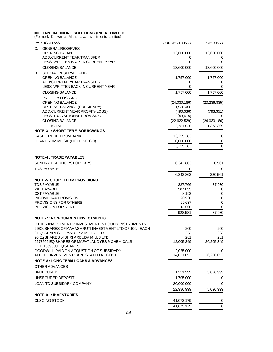MILLENNIUM ONLINE SOLUTIONS (INDIA) LIMITED<br>(Formerly Known as Mahamaya Investments Limited)

| (Formerly Known as Mahamaya Investments Limited)                                             |                     |                |
|----------------------------------------------------------------------------------------------|---------------------|----------------|
| <b>PARTICULRAS</b>                                                                           | <b>CURRENT YEAR</b> | PRE. YEAR      |
| <b>GENERAL RESERVES</b><br>C.                                                                |                     |                |
| <b>OPENING BALANCE</b>                                                                       | 13,600,000          | 13,600,000     |
| ADD:CURRENT YEAR TRANSFER                                                                    | 0                   | 0              |
| LESS: WRITTEN BACK IN CURRENT YEAR                                                           | 0                   | 0              |
| <b>CLOSING BALANCE</b>                                                                       | 13,600,000          | 13,600,000     |
| SPECIAL RESERVE FUND<br>D.                                                                   |                     |                |
| <b>OPENING BALANCE</b>                                                                       | 1,757,000           | 1,757,000      |
| ADD:CURRENT YEAR TRANSFER<br>LESS: WRITTEN BACK IN CURRENT YEAR                              | 0<br>0              | 0<br>0         |
| <b>CLOSING BALANCE</b>                                                                       | 1,757,000           | 1,757,000      |
|                                                                                              |                     |                |
| PROFIT & LOSS A/C<br>Е.<br><b>OPENING BALANCE</b>                                            | (24,030,186)        | (23, 236, 835) |
| OPENING BALANCE (SUBSIDARY)                                                                  | 1,938,408           |                |
| ADD:CURRENT YEAR PROFIT/(LOSS)                                                               | (490, 336)          | (793, 351)     |
| LESS: TRANSITIONAL PROVISION                                                                 | (40, 415)           | 0              |
| <b>CLOSING BALANCE</b>                                                                       | (22, 622, 529)      | (24,030,186)   |
| <b>TOTAL</b>                                                                                 | 2,781,026           | 1,373,369      |
| <b>NOTE-3 : SHORT TERM BORROWINGS</b>                                                        |                     |                |
| CASH CREDIT FROM BANK                                                                        | 13,255,383          | 0              |
| LOAN FROM MOSIL (HOLDING CO)                                                                 | 20,000,000          | 0              |
|                                                                                              | 33,255,383          | 0              |
| <b>NOTE-4: TRADE PAYABLES</b>                                                                |                     |                |
| SUNDRY CREDITORS FOR EXPS                                                                    | 6,342,863           | 220,561        |
| <b>TDS PAYABLE</b>                                                                           | 0                   | 0              |
|                                                                                              | 6,342,863           | 220,561        |
|                                                                                              |                     |                |
| <b>NOTE-5 SHORT TERM PROVISIONS</b><br>TDS PAYABLE                                           | 227,766             | 37,930         |
| <b>VAT PAYABLE</b>                                                                           | 587,055             | 0              |
| <b>CST PAYABLE</b>                                                                           | 8.193               | 0              |
| <b>INCOME TAX PROVISION</b>                                                                  | 20,930              | 0              |
| <b>PROVISIONS FOR OTHERS</b>                                                                 | 69,637              | 0              |
| <b>PROVISION FOR RENT</b>                                                                    | 15,000              | 0              |
|                                                                                              | 928,581             | 37,930         |
| <b>NOTE-7: NON-CURRENT INVESTMENTS</b>                                                       |                     |                |
| OTHER INVESTMENTS: INVESTMENT IN EQUITY INSTRUMENTS                                          |                     |                |
| 2 EQ. SHARES OF MAHASMRUTI INVESTMENT LTD OF 100/- EACH<br>2 EQ. SHARES OF MALULYA MILLS LTD | 200<br>223          | 200<br>223     |
| 20 Eq SHARES of SHRI ARBUDA MILLS LTD                                                        | 281                 | 281            |
| 6277566 EQ SHARES OF MAFATLAL DYES & CHEMICALS                                               | 12,005,349          | 26,205,349     |
| (P.Y. 1369800 EQ SHARES)                                                                     |                     |                |
| GOODWILL PAID ON ACQUSTION OF SUBSIDARY                                                      | 2,025,000           | 0              |
| ALL THE INVESTMENTS ARE STATED AT COST                                                       | 14,031,053          | 26,206,053     |
| <b>NOTE-8 : LONG TERM LOANS &amp; ADVANCES</b>                                               |                     |                |
| OTHER ADVANCES                                                                               |                     |                |
| <b>UNSECURED</b>                                                                             | 1,231,999           | 5,096,999      |
| UNSECURED DEPOSIT                                                                            | 1,705,000           | 0              |
|                                                                                              | 20,000,000          | 0              |
| LOAN TO SUBSIDARY COMPANY                                                                    |                     |                |
|                                                                                              | 22,936,999          | 5,096,999      |
| <b>NOTE-9 : INVENTORIES</b>                                                                  |                     |                |
| <b>CLSOING STOCK</b>                                                                         | 41,073,179          | 0              |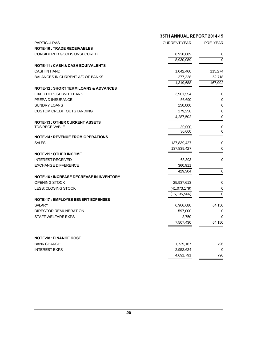|                                                           | 35TH ANNUAL REPORT 2014-15     |               |
|-----------------------------------------------------------|--------------------------------|---------------|
| <b>PARTICULRAS</b>                                        | <b>CURRENT YEAR</b>            | PRE. YEAR     |
| <b>NOTE-10: TRADE RECEIVABLES</b>                         |                                |               |
| CONSIDERED GOODS UNSECURED                                | 8,930,089                      | 0             |
|                                                           | 8,930,089                      | $\Omega$      |
| <b>NOTE-11 : CASH &amp; CASH EQUIVALENTS</b>              |                                |               |
| <b>CASH IN HAND</b>                                       | 1,042,460                      | 115,274       |
| BALANCES IN CURRENT A/C OF BANKS                          | 277,228                        | 52,718        |
|                                                           | 1,319,688                      | 167,992       |
| <b>NOTE-12 : SHORT TERM LOANS &amp; ADVANCES</b>          |                                |               |
| FIXED DEPOSIT WITH BANK                                   | 3,901,554                      | 0             |
| PREPAID INSURANCE                                         | 56,690                         | 0             |
| <b>SUNDRY LOANS</b>                                       | 150,000                        | 0             |
| <b>CUSTOM CREDIT OUTSTANDING</b>                          | 179,258                        | 0             |
|                                                           | 4,287,502                      | 0             |
| <b>NOTE-13: OTHER CURRENT ASSETS</b>                      |                                |               |
| <b>TDS RECEIVABLE</b>                                     | 30,000<br>30,000               | <u>0</u><br>0 |
|                                                           |                                |               |
| <b>NOTE-14: REVENUE FROM OPERATIONS</b><br><b>SALES</b>   |                                |               |
|                                                           | 137,839,427                    | 0             |
|                                                           | 137,839,427                    | 0             |
| <b>NOTE-15 : OTHER INCOME</b><br><b>INTEREST RECEIVED</b> |                                |               |
| <b>EXCHANGE DIFFERENCE</b>                                | 68,393                         | 0             |
|                                                           | 360,911                        |               |
| <b>NOTE-16 : INCREASE DECREASE IN INVENTORY</b>           | 429,304                        | 0             |
| <b>OPENING STOCK</b>                                      | 25,937,613                     | 0             |
| LESS: CLOSING STOCK                                       |                                |               |
|                                                           | (41,073,179)<br>(15, 135, 566) | 0<br>0        |
| <b>NOTE-17: EMPLOYEE BENEFIT EXPENSES</b>                 |                                |               |
| <b>SALARY</b>                                             | 6,906,680                      | 64,150        |
| DIRECTOR REMUNERATION                                     | 597,000                        | 0             |
| STAFF WELFARE EXPS                                        | 3,750                          | 0             |
|                                                           | 7,507,430                      | 64,150        |
|                                                           |                                |               |
| <b>NOTE-18: FINANCE COST</b>                              |                                |               |
| <b>BANK CHARGE</b>                                        |                                | 796           |
|                                                           | 1,739,167                      |               |
| <b>INTEREST EXPS</b>                                      | 2,952,624                      | $\pmb{0}$     |
|                                                           | 4,691,791                      | 796           |
|                                                           |                                |               |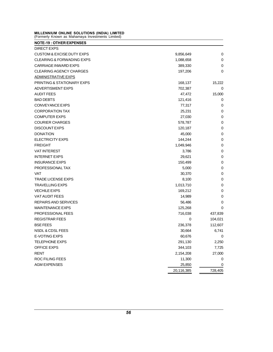MILLENNIUM ONLINE SOLUTIONS (INDIA) LIMITED<br>(Formerly Known as Mahamaya Investments Limited) MILLENNIUM ONLINE SOLUTIONS (INDIA) LIMITED<br>(Formerly Known as Mahamaya Investments Limited)<br>NOTE-19 : OTHER EXPENSES

| MILLENNIUM ONLINE SOLUTIONS (INDIA) LIMITED<br>(Formerly Known as Mahamaya Investments Limited) |            |         |
|-------------------------------------------------------------------------------------------------|------------|---------|
| <b>NOTE-19: OTHER EXPENSES</b>                                                                  |            |         |
| DIRECT EXPS                                                                                     |            |         |
| <b>CUSTOM &amp; EXCISE DUTY EXPS</b>                                                            | 9,856,649  | 0       |
| <b>CLEARING &amp; FORWADING EXPS</b>                                                            | 1,088,658  | 0       |
| <b>CARRIAGE INWARD EXPS</b>                                                                     | 389,330    | 0       |
| CLEARING AGENCY CHARGES                                                                         | 197,206    | 0       |
| ADMINISTRATIVE EXPS                                                                             |            |         |
| <b>PRINTING &amp; STATIONARY EXPS</b>                                                           | 168,137    | 15,222  |
| <b>ADVERTISMENT EXPS</b>                                                                        | 702,387    | 0       |
| <b>AUDIT FEES</b>                                                                               | 47,472     | 15,000  |
| BAD DEBTS                                                                                       | 121,416    | 0       |
| CONVEYANCE EXPS                                                                                 | 77,317     | 0       |
| <b>CORPORATION TAX</b>                                                                          | 25,231     | 0       |
| <b>COMPUTER EXPS</b>                                                                            | 27,030     | 0       |
| <b>COURIER CHARGES</b>                                                                          | 578,787    | 0       |
| <b>DISCOUNT EXPS</b>                                                                            | 120,187    | 0       |
| <b>DONATION</b>                                                                                 | 45,000     | 0       |
| ELECTRICITY EXPS                                                                                | 144,244    | 0       |
| <b>FREIGHT</b>                                                                                  | 1,049,946  | 0       |
| <b>VAT INTEREST</b>                                                                             | 3,786      | 0       |
| <b>INTERNET EXPS</b>                                                                            | 29,621     | 0       |
| <b>INSURANCE EXPS</b>                                                                           | 150,499    | 0       |
| PROFESSIONAL TAX                                                                                | 5,000      | 0       |
| VAT                                                                                             | 30,370     | 0       |
| TRADE LICENSE EXPS                                                                              | 8,100      | 0       |
| TRAVELLING EXPS                                                                                 | 1,013,710  | 0       |
| <b>VECHILE EXPS</b>                                                                             | 169,212    | 0       |
| <b>VAT AUDIT FEES</b>                                                                           | 14,989     | 0       |
| REPAIRS AND SERVICES                                                                            | 56,486     | 0       |
| <b>MAINTENANCE EXPS</b>                                                                         | 125,268    | 0       |
| PROFESSIONAL FEES                                                                               | 716,038    | 437,839 |
| <b>REGISTRAR FEES</b>                                                                           | 0          | 104,021 |
| <b>BSE FEES</b>                                                                                 | 236,378    | 112,607 |
| NSDL & CDSL FEES                                                                                | 30,664     | 6,741   |
| E-VOTING EXPS                                                                                   | 60,676     | 0       |
| <b>TELEPHONE EXPS</b>                                                                           | 291,130    | 2,250   |
| OFFICE EXPS                                                                                     | 344,103    | 7,725   |
| <b>RENT</b>                                                                                     | 2,154,208  | 27,000  |
| ROC FILING FEES                                                                                 | 11,300     | 0       |
| <b>AGM EXPENSES</b>                                                                             | 25,850     | 0       |
|                                                                                                 | 20,116,385 | 728,405 |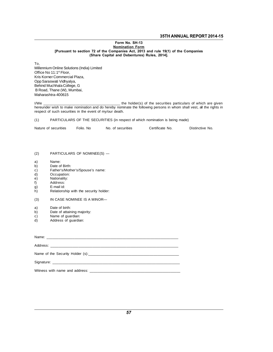## 35TH ANNUAL REPORT 2014-15<br>Form No. SH-13<br><u>Nomination Form</u> 35T<br>Form No. SH-13<br><u>Nomination Form</u><br>mpanies Act, 2013 and rule 19( 35TH ANNUAL REPORT 2014<br>Form No. SH-13<br>Nomination Form<br>(Pursuant to section 72 of the Companies Act, 2013 and rule 19(1) of the Companies<br>(Share Capital and Debentures) Rules, 2014]. 35TH ANNUAL<br>Form No. SH-13<br>172 of the Companies Act, 2013 and rule 19(1) of the Companies Act, 2013<br>(Share Capital and Debentures) Rules, 2014].

To,

Momman ID INCRET (Pursuant to section 72 of the Comp<br>(Share Capital a<br>Millennium Online Solutions (India) Limited<br>Office No 11:1<sup>st</sup> Floor,<br>Kris Konner Commoscial Plaze Pursuant to<br>To,<br>Millennium Online Solutions<br>Office No 11:1st Floor,<br>Kris Korner Commercial Pla<br>Kris Korner (Vichubus) To,<br>Millennium Online Solutions (India) L<br>Office No 11:1ª Floor,<br>Kris Korner Commercial Plaza,<br>Opp Saraswati Vidhyalya,<br>Pobind Mudvalya, C To,<br>Millennium Online Solutions (In<br>Office No 11:1ª Floor,<br>Kris Korner Commercial Plaza<br>Opp Saraswati Vidhyalya,<br>Behind Muchhala College, G<br>Phod Thopa (M) Mumbai Millennium Online Solutions (India) Limited<br>Office No 11:1<sup>st</sup> Floor,<br>Kris Korner Commercial Plaza,<br>Opp Saraswati Vidhyalya,<br>Behind Muchhala College, G<br>B Road, Thane (W), Mumbai, Millenham Ohline Solutions (mala)<br>Office No 11:1ª Floor,<br>Kris Korner Commercial Plaza,<br>Opp Saraswati Vidhyalya,<br>Behind Muchhala College, G<br>B Road, Thane (W), Mumbai,<br>Maharashtra-400615 Maharashtra-400615

I/We \_\_\_\_\_\_\_\_\_\_\_\_\_\_\_\_\_\_\_\_\_\_\_\_\_\_\_\_\_\_\_\_\_\_\_\_\_\_ the holder(s) of the securities particulars of which are given hereunder wish to make nomination and do hereby nominate the following persons in whom shall vest, all the rights in Frequency, Maringa,<br>IMP and the event of my/our death.<br>Thereunder wish to make nomination and do hereby nominate<br>respect of such securities in the event of my/our death. (1) I/We<br>
I/We <u>exameder</u> wish to make nomination and do hereby nominate the following persons in whom shall vest<br>
respect of such securities in the event of my/our death.<br>
(1) PARTICULARS OF THE SECURITIES (in respect of respect of such securities in the event of my/our death.<br>
(1) PARTICULARS OF THE SECURITIES (in respect of which nomination is being made)<br>
Nature of securities Folio. No No. of securities Certificate No.

| lature of securities | <sup>⊂</sup> olio. No | No. of securities | Certificate No. | Distinctive No. |
|----------------------|-----------------------|-------------------|-----------------|-----------------|
|                      |                       |                   |                 |                 |

- (2) PARTICULARS OF NOMINEE(S) (2) PARTICULARS (2)<br>a) Name:<br>b) Date of Birth:<br>c) Father's/Mother's (2) PARTICULARS OF NOMINEE(S) —<br>
a) Name:<br>
b) Date of Birth:<br>
c) Father's/Mother's/Spouse's name:<br>
d) Occupation:<br>
e) Nationality:
- 
- a) Name:<br>b) Date of Birth:
- 
- Occupation:
- e) Nationality:<br>f) Address:
- f) Address:<br>g) E-mail id:
- b) Date of Biffin:<br>
c) Father's/Moth<br>
d) Occupation:<br>
e) Nationality:<br>
f) Address:<br>
g) E-mail id:<br>
Relationship v (3) Mationality.<br>
(3) E-mail id:<br>
(3) E-mail id:<br>
(3) IN CASE NOMINEE IS A MINOR g) E-main id.<br>
h) Relationship with<br>
(3) IN CASE NOMIN<br>
a) Date of birth:<br>
b) Date of attaining
- $\overline{h}$ ) Relationship with the security holder:<br>(3) IN CASE NOMINEE IS A MINOR-(3) IN CASE NOMINEE IS A MINOR—<br>
a) Date of birth:<br>
b) Date of attaining majority:<br>
c) Name of guardian:<br>
d) Address of guardian: (3) IN CASE NOMINEE IS<br>a) Date of birth:<br>b) Date of attaining majori<br>c) Name of guardian:<br>d) Address of guardian:
- 
- (3) IN CASE NOWINCE IS A<br>a) Date of birth:<br>b) Date of attaining majority:<br>c) Name of guardian:<br>d) Address of guardian:
- 
- 

| ◡ ノ | Ivallie vi yualulali.<br>d) Address of guardian: |  |
|-----|--------------------------------------------------|--|
|     |                                                  |  |
|     |                                                  |  |
|     |                                                  |  |
|     |                                                  |  |
|     |                                                  |  |
|     |                                                  |  |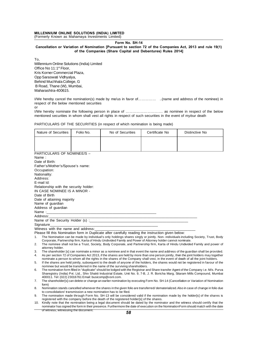# MILLENNIUM ONLINE SOLUTIONS (INDIA) LIMITED<br>(Formerly Known as Mahamaya Investments Limited) MILLENNIUM ONLINE SOLUTIONS (INDIA) LIMITED<br>(Formerly Known as Mahamaya Investments Limited)<br>Form No

IITED<br><sup>ted)</sup><br>Form No. SH-14<br>uant to section 72 of the C MILLENNIUM ONLINE SOLUTIONS (INDIA) LIMITED<br>Formerly Known as Mahamaya Investments Limited)<br>Cancellation or Variation of Nomination [Pursuant to section 72 of the Companies Act, 2013 and rule 19(1)<br>of the Companies (Share SOLUTIONS (INDIA) LIMITED<br>namaya Investments Limited)<br>Form No. SH-14<br>on of Nomination [Pursuant to section 72 of the Companies Act, 2013 and<br>of the Companies (Share Capital and Debentures) Rules 2014]

To,

F<br>Cancellation or Variation of Nomination [Pursu<br>of the Companies (Share<br>To,<br>Office No 11:1<sup>st</sup> Floor,<br>*Millennium Online Solutions (India) Limited*<br>*Misi Konner* Commercial Plaze Gancellation or Variation<br>of<br>To,<br>Millennium Online Solutions<br>Office No 11:1¤ Floor,<br>Kris Korner Commercial Pla<br>Kris Korner Commercial or the Cor<br>Millennium Online Solutions (India) L<br>Office No 11:1ª Floor,<br>Kris Korner Commercial Plaza,<br>Opp Saraswati Vidhyalya,<br>Pobind Muchal Mudyalya, C To,<br>Millennium Online Solutions (In<br>Office No 11:1ª Floor,<br>Kris Korner Commercial Plaza<br>Opp Saraswati Vidhyalya,<br>Behind Muchhala College, G<br>Phand Thopa (In Mumbai ro,<br>Millennium Online Solutions (India) Limited<br>Office No 11:1ª Floor,<br>Kris Korner Commercial Plaza,<br>Opp Saraswati Vidhyalya,<br>Behind Muchhala College, G<br>B Road, Thane (W), Mumbai,<br>Road, Thane (W), Mumbai, Office No 11:1<sup>st</sup> Floor,<br>Kris Korner Commercial Plaza,<br>Opp Saraswati Vidhyalya,<br>Behind Muchhala College, G<br>B Road, Thane (W), Mumbai, Maharashtra-400615.

Behind Muchhala College, G<br>Behind Muchhala College, G<br>Maharashtra-400615.<br>I/We hereby cancel the nomination(s) made by me/us in favor of………… ...(name and address of the nominee) in<br>respect of the below mentioned securities Broad, Thane (W), Mumbai,<br>Maharashtra-400615.<br>I/We hereby cancel the nomination(s) made by mentioned securities<br>or the below mentioned securities<br>ON I/We hereby cancel the nomination(s) made by me/us in favor of……………………..(name and address of the nominee) in<br>respect of the below mentioned securities<br>or<br>I/We hereby nominate the following person in place of …………………………………… mentioned securities in whom shall vest all rights in respect of such securities in the event of my/our death

PARTICULARS OF THE SECURITIES (in respect of which nominationed securities in the event of Society and The SECURITIES (in respect of which nomination is being made)

|                                                       |           | PARTICULARS OF THE SECURITIES (in respect of which nomination is being made)                                           |                |                                                                                                                                                                                                                                                                            |
|-------------------------------------------------------|-----------|------------------------------------------------------------------------------------------------------------------------|----------------|----------------------------------------------------------------------------------------------------------------------------------------------------------------------------------------------------------------------------------------------------------------------------|
| Nature of Securities                                  | Folio No. | No of Securities                                                                                                       | Certificate No | Distinctive No.                                                                                                                                                                                                                                                            |
|                                                       |           |                                                                                                                        |                |                                                                                                                                                                                                                                                                            |
|                                                       |           |                                                                                                                        |                |                                                                                                                                                                                                                                                                            |
| PARTICULARS OF NOMINEE/S -                            |           |                                                                                                                        |                |                                                                                                                                                                                                                                                                            |
| Name:                                                 |           |                                                                                                                        |                |                                                                                                                                                                                                                                                                            |
| Date of Birth:                                        |           |                                                                                                                        |                |                                                                                                                                                                                                                                                                            |
| Father's/Mother's/Spouse's name:                      |           |                                                                                                                        |                |                                                                                                                                                                                                                                                                            |
| Occupation:                                           |           |                                                                                                                        |                |                                                                                                                                                                                                                                                                            |
| Nationality:<br>Address:                              |           |                                                                                                                        |                |                                                                                                                                                                                                                                                                            |
| E-mail Id:                                            |           |                                                                                                                        |                |                                                                                                                                                                                                                                                                            |
| Relationship with the security holder:                |           |                                                                                                                        |                |                                                                                                                                                                                                                                                                            |
| IN CASE NOMINEE IS A MINOR -                          |           |                                                                                                                        |                |                                                                                                                                                                                                                                                                            |
| Date of Birth                                         |           |                                                                                                                        |                |                                                                                                                                                                                                                                                                            |
| Date of attaining majority                            |           |                                                                                                                        |                |                                                                                                                                                                                                                                                                            |
| Name of guardian                                      |           |                                                                                                                        |                |                                                                                                                                                                                                                                                                            |
| Address of guardian                                   |           |                                                                                                                        |                |                                                                                                                                                                                                                                                                            |
|                                                       |           | <u> 1999 - Johann John Harry Harry Harry Harry Harry Harry Harry Harry Harry Harry Harry Harry Harry Harry Harry H</u> |                |                                                                                                                                                                                                                                                                            |
| Address:                                              |           | <u> 1989 - Johann Stein, mars et al. 1989 - Anna ann an t-Amhair ann an t-Amhair an t-Amhair ann an t-Amhair an t-</u> |                |                                                                                                                                                                                                                                                                            |
|                                                       |           |                                                                                                                        |                |                                                                                                                                                                                                                                                                            |
| Signature                                             |           |                                                                                                                        |                |                                                                                                                                                                                                                                                                            |
| Witness with the name and address:                    |           |                                                                                                                        |                |                                                                                                                                                                                                                                                                            |
| 1.                                                    |           | Please fill this Nomination form in Duplicate after carefully reading the instruction given below:                     |                | The Nomination can be made by individual's only holdings shares singly or jointly. Non- individuals including Society, Trust, Body                                                                                                                                         |
|                                                       |           | Corporate, Partnership firm, Karta of Hindu Undivided Family and Power of Attorney holder cannot nominate.             |                |                                                                                                                                                                                                                                                                            |
| 2.                                                    |           |                                                                                                                        |                | The nominee shall not be a Trust, Society, Body Corporate, and Partnership firm, Karta of Hindu Undivided Family and power of                                                                                                                                              |
| attorney holder.                                      |           |                                                                                                                        |                |                                                                                                                                                                                                                                                                            |
| 3.                                                    |           |                                                                                                                        |                | The shareholder [s] can nominate a minor as a nominee and in that event the name and address of the guardian shall be provided.                                                                                                                                            |
| 4.                                                    |           |                                                                                                                        |                | As per section 72 of Companies Act 2013, if the shares are held by more than one person jointly, then the joint holders may together<br>nominate a person to whom all the rights in the shares of the Company shall vest, in the event of death of all the joint holders.  |
| 5.                                                    |           |                                                                                                                        |                | If the shares are held jointly, subsequent to the death of anyone of the holders, the shares would not be registered in favour of the                                                                                                                                      |
|                                                       |           | nominee but would be transferred in the name of the surviving shareholders.                                            |                |                                                                                                                                                                                                                                                                            |
| 6.                                                    |           |                                                                                                                        |                | The nomination form filled in "duplicate" should be lodged with the Registrar and Share transfer Agent of the Company i.e. M/s. Purva                                                                                                                                      |
| 400011. Tel: (022) 23016761 Email: busicomp@vsnl.com. |           |                                                                                                                        |                | Sharegistry (India) Pvt. Ltd., Shiv Shakti Industrial Estate, Unit No. 9, 7-B, J. R. Boricha Marg, Sitaram Mills Compound, Mumbai                                                                                                                                          |
| 7.                                                    |           |                                                                                                                        |                | The shareholder[s] can delete or change an earlier nomination by executing Form No. SH-14 (Cancellation or Variation of Nomination                                                                                                                                         |
| form)                                                 |           |                                                                                                                        |                |                                                                                                                                                                                                                                                                            |
| 8.                                                    |           | to consolidation/ transmission a new nomination has to be filed.                                                       |                | Nomination stands cancelled whenever the shares in the given folio are transferred/dematerialized. Also in case of change in folio due                                                                                                                                     |
| 9.                                                    |           |                                                                                                                        |                | The nomination made through Form No. SH-13 will be considered valid if the nomination made by the holder[s] of the shares is                                                                                                                                               |
|                                                       |           | registered with the company before the death of the registered holder[s] of the shares.                                |                |                                                                                                                                                                                                                                                                            |
|                                                       |           |                                                                                                                        |                | 10. Kindly note that the nomination being a legal document should be dated by the nominator and the witness should certify that the<br>in atau ban alamad tha farm in thair proponent. Eurtharmore the data of over ulion on the Namination Earm abould match with the dat |

10. Kindly notes that the nomination stands cancelled whenever the shares in the given folio are transferred/dematerialized. Also in case of change in folio due<br>to consolidation/transmission a new nomination has to be file nomination stands canceled wither live shares in the given lollo are transferred/dematerialized. Also in case of change in lollo due<br>The nomination made through Form No. SH-13 will be considered valid if the nomination mad registered with the company before the death of the registered holder[s] of the shares.<br>10. Kindly note that the nomination being a legal document should be dated by the nominator and the witness should certify that the no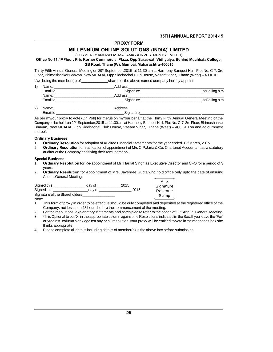## **PROXY FORM**

# 35TH ANNUAL REPORT 201<br>PROXY FORM<br>MILLENNIUM ONLINE SOLUTIONS (INDIA) LIMITED<br>(FORMERLY KNOWN AS MAHAMAYA INVESTMENTS LIMITED) 35TH ANNUAL REPORT 2014-15<br>PROXY FORM<br>MILLENNIUM ONLINE SOLUTIONS (INDIA) LIMITED<br>(FORMERLY KNOWN AS MAHAMAYA INVESTMENTS LIMITED)

Office No 11:1<sup>st</sup> Floor, Kris Korner Commercial Plaza, Opp Saraswati Vidhyalya, Behind Muchhala College, GB Road, Thane (W), Mumbai, Maharashtra-400615

**MILLENNIUM ONLINE SOLUTIONS (INDIA) LIMITED**<br>(FORMERLY KNOWN AS MAHAMAYA INVESTMENTS LIMITED)<br>Office No 11:1<sup>st</sup> Floor, Kris Korner Commercial Plaza, Opp Saraswati Vidhyalya, Behind Muchhala College,<br>GB Road, Thane (W), M FORMERLY KNOWN AS MAHAMAYA INVESTMENTS LIMITED)<br> **Office No 11:1<sup>st</sup> Floor, Kris Korner Commercial Plaza, Opp Saraswati Vidhyalya, Behind Muchhala College,<br>
GB Road, Thane (W), Mumbai, Maharashtra-400615<br>
Thirty Fifth Annu** Office No 11:1<sup>st</sup> Floor, Kris Korner Commercial Plaza, Opp Saraswati Vidhyalya, Behind Muchh<br>
GB Road, Thane (W), Mumbai, Maharashtra-400615<br>
Thirty Fifth Annual General Meeting on 29<sup>th</sup> September, 2015 at 11.30 am at Ha

|                                                                                                                                                                                                                               | GB Road, Thane (W), Mumbal, Manarashtra-400615                                                                                                                                                                                            |                |
|-------------------------------------------------------------------------------------------------------------------------------------------------------------------------------------------------------------------------------|-------------------------------------------------------------------------------------------------------------------------------------------------------------------------------------------------------------------------------------------|----------------|
|                                                                                                                                                                                                                               | Thirty Fifth Annual General Meeting on 29 <sup>th</sup> September, 2015 at 11.30 am at Harmony Banguet Hall, Plot No. C-7, 3rd<br>Floor, Bhimashankar Bhavan, New MHADA, Opp Siddhachal Club House, Vasant Vihar, .Thane (West) – 400610. |                |
|                                                                                                                                                                                                                               | I/we being the member (s) of shares of the above named company hereby appoint                                                                                                                                                             |                |
| 1)                                                                                                                                                                                                                            |                                                                                                                                                                                                                                           |                |
|                                                                                                                                                                                                                               |                                                                                                                                                                                                                                           | or Failing him |
| Name: and the state of the state of the state of the state of the state of the state of the state of the state of the state of the state of the state of the state of the state of the state of the state of the state of the | Address ________________________                                                                                                                                                                                                          |                |
| Email Id                                                                                                                                                                                                                      | Signature and the state of the state of the state of the state of the state of the state of the state of the s                                                                                                                            | or Failing him |
| 2)<br>Name: ______________________                                                                                                                                                                                            |                                                                                                                                                                                                                                           |                |
| Email Id                                                                                                                                                                                                                      | Signature                                                                                                                                                                                                                                 |                |
|                                                                                                                                                                                                                               |                                                                                                                                                                                                                                           |                |

| n<br>$\sim$ |                |  |
|-------------|----------------|--|
|             | ulla"<br>_____ |  |

As per my/our proxy to vote (On Poll) for me/us on my/our behalf at the Thirty Fifth Annual General Meeting of the Company to be held on 29<sup>th</sup> September, 2015 at 11.30 am at Harmony Banquet Hall, Plot No. C-7, 3rd Floor, Bhimashankar Company to be held on 29<sup>th</sup> September,2015 at 11.30 am at Harmony Banquet Hall, Plot No. C-7, 3rd Floor, Bhimashankar<br>Be held on 29<sup>th</sup> September,2015 at 11.30 am at Harmony Banquet Hall, Plot No. C-7, 3rd Floor, Bhimasha Bhavan, New MHADA, Opp Siddhachal Club House, Vasant Vihar, .Thane (West) – 400 610.on and adjournment<br>
thereof. thereof. Company to be held on 29<sup>th</sup> September,2015 at 11.30 am at Harmony Banquet Hall, Plot No. C-7, 3rd Floor, Bhimashan<br>Bhavan, New MHADA, Opp Siddhachal Club House, Vasant Vihar, .Thane (West) – 400 610.on and adjournme<br>there Bhavan, New MHADA, Opp Siddhachal Club House, Vasant Vihar, .Thane (West) – 400 610.on and adjournment<br>thereof.<br>**Ordinary Business**<br>1. **Ordinary Resolution** for adoption of Audited Financial Statements for the year ended 3

### **Ordinary Business**

- 
- Ordinary Resolution for adoption of Audited Financial Statements for the year ended 31<sup>st</sup> March, 2015.<br>Ordinary Resolution for ratification of appointment of M/s C.P. Jaria & Co, Chartered Accountant as a statutory audito 1. **Ordinary Resolution** for adoption of Audited Financial Statements for the year ended 31<sup>st</sup> March, 2015.<br>
2. **Ordinary Resolution** for ratification of appointment of M/s C.P. Jaria & Co, Chartered Accountant as a statu

#### **Special Business**

- years. 2. a for Appointment of Mr. Harilal Singh as Executive Director and CFO for a period of 3<br>2. **Ordinary Resolution** for Appointment of Mrs. Jayshree Gupta who hold office only upto the date of ensuing<br>2. **Ordinary Resolutio Annual Business<br>
Annual General Meeting.<br>
Annual General Meeting.<br>
Annual General Meeting.<br>
And this.**
- 

Signed this \_\_\_\_\_\_\_\_\_\_\_\_\_\_\_\_ day of \_\_\_\_\_\_\_\_\_\_\_\_2015 Signed this \_\_\_\_\_\_\_\_\_\_\_\_\_\_\_\_\_ day of \_\_\_\_\_\_\_\_\_\_\_\_\_\_\_\_ 2015 Signature of the Shareholders\_\_\_\_\_\_\_\_\_\_\_\_\_\_\_\_ Signed this  $\frac{day\ of\_\_\_\_2\ 2015$ <br>
Signature of the Shareholders  $\frac{day\ of\_\_\_\_\_2\ 2015$ <br>
Note:<br>
1. This form of proxy in order to be effective should be duly completed and deposited at the registered office of the<br>
Company, Exercise than 18 hours and this and this and this and this and this and the Shareholders and the Shareholders of the Shareholders of the meeting.<br>This form of proxy in order to be effective should be duly completed and dep

| Affix   |           |
|---------|-----------|
|         |           |
| Revenue |           |
| Stamp   |           |
|         | Signature |

Note:

- Signature of the Shareholders<br>
2. For the resolutions, explanatory statements and notes please refer to the notice of 35<sup>th</sup> Annual General Meeting.<br>
2. For the resolutions, explanatory statements and notes please refer to
- 
- Stamp<br>1. This form of proxy in order to be effective should be duly completed and deposited at the registered office of the<br>2. For the resolutions, explanatory statements and notes please refer to the notice of 35<sup>th</sup> Annu This form of proxy in order to<br>Company, not less than 48<br>For the resolutions, explana<br>\* It is Optional to put 'X' in the<br>or 'Against' column blank ag<br>thinks appropriate<br>Please complete all details i 2. For the resolutions, explanatory statements and notes please refer to the notice of  $35<sup>th</sup>$  Annual General<br>3. \* It is Optional to put 'X' in the appropriate column against the Resolutions indicated in the Box. If y
-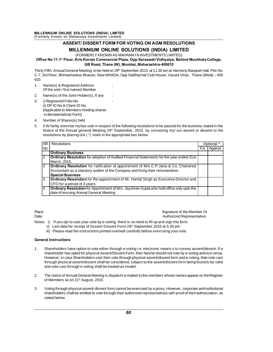# ASSENT/DISSENT FORM FOR VOTING ON AGM RESOLUTIONS IE SOLUTIONS (INDIA) LIMITED<br>Mahamaya Investments Limited)<br>SENT/ DISSENT FORM FOR VOTING ON AGM RESOLUTIONS<br>MILLENNIUM ONLINE SOLUTIONS (INDIA) LIMITED<br>(FORMERLY KNOWN AS MAHAMAYA INVESTMENTS LIMITED)

Office No 11:1<sup>st</sup> Floor, Kris Korner Commercial Plaza, Opp Saraswati Vidhyalya, Behind Muchhala College, GB Road, Thane (W), Mumbai, Maharashtra-400615

**MILLENNIUM ONLINE SOLUTIONS (INDIA) LIMITED**<br>(FORMERLY KNOWN AS MAHAMAYA INVESTMENTS LIMITED)<br>Office No 11:1<sup>st</sup> Floor, Kris Korner Commercial Plaza, Opp Saraswati Vidhyalya, Behind Muchhala College,<br>GB Road, Thane (W), M (FORMERLY KNOWN AS MAHAMAYA INVESTMENTS LIMITED)<br>Office No 11:1<sup>st</sup> Floor, Kris Korner Commercial Plaza, Opp Saraswati Vidhyalya, Behind Muchhala College,<br>GB Road, Thane (W), Mumbai, Maharashtra-400615<br>Thirty Fifth Annual 610. GB Road, Thane (W),<br>
Thirty Fifth Annual General Meeting to be held on 29<sup>th</sup><br>
C-7, 3rd Floor, Bhimashankar Bhavan, New MHADA,<br>
610.<br>
1. Name(s) & Registered Address :<br>
Of the sole / first named Member<br>
2. Name(s) of the J

- 
- 
- C-7, 3rd Floor, Bhimashankar Bhavan, New MHADA,<br>610.<br>1. Name(s) & Registered Address :<br>0f the sole / first named Member<br>2. Name(s) of the Joint-Holder(s), If any :<br>3. i) Registered Folio No. :<br>ii) DP ID No & Client ID No. Name(s) & Registered Address<br>Of the sole / first named Membe<br>Name(s) of the Joint-Holder(s),<br>i) Registered Folio No.<br>ii) DP ID No & Client ID No.<br>[Applicable to Members Holding<br>Form] Of the sole / first named Member<br>
Name(s) of the Joint-Holder(s), If any<br>
i) Registered Folio No.<br>
ii) DP ID No & Client ID No.<br>
[Applicable to Members Holding shares<br>
in dematerialized Form]<br>
Number of Shares(s) held<br>
: Name(s) of the Joint-Holder<br>i) Registered Folio No.<br>i) DP ID No & Client ID No.<br>Applicable to Members Hold<br>in dematerialized Form]<br>Number of Shares(s) held
- 
- 1. ii) DP ID No & Client ID No.<br>
ii) DP ID No & Client ID No.<br>
[Applicable to Members Holding shares<br>
in dematerialized Form]<br>
1. Number of Shares(s) held<br>
5. I/ W herby exercise my/our vote in respect of the following res [Applicable to Members Holding shares<br>
in dematerialized Form]<br>
Number of Shares(s) held<br>
I/W herby exercise my/our vote in respect of the following resolutions to be passed for the business stated in the<br>
Notice of the An in dematerialized Form]<br>
Number of Shares(s) held<br>
I/W herby exercise my/our vote in respect of the following resolutions to<br>
Notice of the Annual general Meeting 29<sup>th</sup> September, 2015 by cor<br>
resolutions by placing tick SR. Resolutions<br>
SR. Resolutions of the Annual general Meeting 29<sup>th</sup> September, 2015 by conveying my/ our assent or dissent to the<br>
Resolutions by placing tick (") mark in the appropriate box below:<br>
SR. Resolutions<br>
SR.

| SR.I            | Resolutions                                                                                                                                                                     |     | Optional *' |
|-----------------|---------------------------------------------------------------------------------------------------------------------------------------------------------------------------------|-----|-------------|
| No.             |                                                                                                                                                                                 | For | Against     |
|                 | <b>Ordinary Business</b>                                                                                                                                                        |     |             |
|                 | <b>Ordinary Resolution</b> for adoption of Audited Financial Statements for the year ended 31st<br>March, 2015.                                                                 |     |             |
| 2               | <b>Ordinary Resolution</b> for ratification of appointment of M/s C.P. Jaria & Co, Chartered<br>Accountant as a statutory auditor of the Company and fixing their remuneration. |     |             |
|                 | <b>Special Business</b>                                                                                                                                                         |     |             |
| 3               | Ordinary Resolution for Re-appointment of Mr. Harilal Singh as Executive Director and<br>CFO for a period of 3 years.                                                           |     |             |
| 4               | <b>Ordinary Resolution</b> for Appointment of Mrs. Jayshree Gupta who hold office only upto the<br>date of ensuing Annual General Meeting                                       |     |             |
|                 |                                                                                                                                                                                 |     |             |
| Place:<br>Date: | Signature of the Member Or<br>Authorized Representative                                                                                                                         |     |             |

Place:<br>Date:<br>Date:<br>Notes: i) If you opt to cast your vote by e-voting, there is no need to fill up and sign this form. Place:<br>
Date:<br>
Notes: i) If you opt to cast your vote by e-voting, there is no need to fill up and sign this form.<br>
ii) Last date for receipt of Assent/Dissent Form:28<sup>th</sup> September, 2015 at 5.00 pm<br>
iii) Discographic inst

- 
- Signature of the Member<br>ii) If you opt to cast your vote by e-voting, there is no need to fill up and sign this form.<br>iii) Last date for receipt of Assent/ Dissent Form:28<sup>th</sup> September,2015 at 5.00 pm<br>iii) Please read the Signature of the Mercial instructions in the version of the Mercial Authorized Represe<br>
ii) Last date for receipt of Assent/Dissent Form:28<sup>th</sup> September, 2015 at 5.00 pm<br>
iii) Please read the instructions printed overleaf

## **General Instructions**

- 1. Shareholders have option to vote either through e-voting i.e. electronic means o to convey assent/dissent. If a<br>
1. Shareholders have option to vote either through e-voting i.e. electronic means o to convey assent/disse shareholders have option to vote either through e-voting i.e. electronic means o to convey assent/dissent. If a<br>Shareholders have option to vote either through e-voting i.e. electronic means o to convey assent/dissent. If ral Instructions<br>Shareholders have option to vote either through e-voting i.e. electronic means o to convey assent/dissent. If a<br>shareholder has opted for physical Assent/Dissent Form, then he/she should not vote by e-voti That instructions<br>Thareholders have option to vote either through e-voting i.e. electronic means o to convey assent/dissent. If a<br>Shareholder has opted for physical Assent/Dissent Form, then he/she should not vote by e-vot Shareholders have option to vote either through e-voting i.e. as<br>hareholder has opted for physical Assent/Dissent Form, then I<br>However, in case Shareholders cast their vote through physica<br>through physical assent/dissent s 2. The notice of Annual General Meeting is dispatch/ e-mailed to the members whose names appear on the Register<br>2. The notice of Annual General Meeting is dispatch/ e-mailed to the members whose names appear on the Registe However, in case Shareholders cast their vote<br>through physical assent/dissent shall be cons<br>and vote cast through e-voting shall be treated<br>The notice of Annual General Meeting is dispat<br>of Members as on 21<sup>st</sup> August, 201
- 
- 2. The notice of Annual General Meeting is dispatch/e-mailed to the members whose names appear on the Register<br>of Members as on 21<sup>st</sup> August, 2015<br>3. Voting through physical assent/ dissent form cannot be exercised by a p The notice of Annual General Meeting is dispatch/ e-mailed to the members whose names appear on the Register of Members as on 21<sup>st</sup> August, 2015<br>Voting through physical assent/ dissent form cannot be exercised by a proxy. The notice of<br>of Members<br>Voting throug<br>shareholders<br>stated below.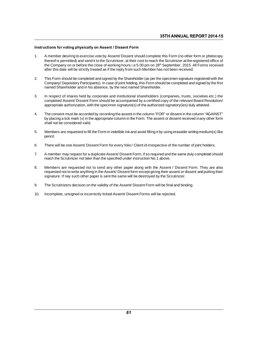#### Instructions for voting physically on Assent / Dissent Form

- 35TH ANNUAL REPORT 2014-15<br>
Instructions for voting physically on Assent / Dissent Form<br>
1. A member desiring to exercise vote by Assent/ Dissent should complete this Form (no other form or photocopy<br>
thereof is permitted) trions for voting physically on Assent / Dissent Form<br>A member desiring to exercise vote by Assent/ Dissent should complete this Form (no other form or photocopy<br>thereof is permitted) and send it to the Scrutinizer, at the transform or the Company on or before the close of working hours i.e 5.00 pm on 28<sup>th</sup> September, 2015. All Forms received the Company on or before the close of working hours i.e 5.00 pm on 28<sup>th</sup> September, 2015. All Form after this date will be server the distinct of the Shareholds (on perthand member desiring to exercise vote by Assent/ Dissent should complete this Form (no other form thereof is permitted) and send it to the Scrutinizer, 2. This Form should be completed and signed by the Shareholder (as per the specimen signature registered office of the Company on or before the close of working hours i.e 5.00 pm on 28<sup>th</sup> September, 2015. All Forms receiv
- The Company on or before the close of working hours i.e 5.00 pm on 28<sup>th</sup> September, 2015. All Forms received after this date will be strictly treated as if the reply from such Member has not been received.<br>This Form shoul name Company on or before the close of working nours i.e 5.00 pm on zo" Sep<br>after this date will be strictly treated as if the reply from such Member has not<br>This Form should be completed and signed by the Shareholder (as 3. In respect of shares held by corporate and signed by the Shareholder (as per the specimen signature registered with the<br>Company/ Depository Participants). In case of joint holding, this Form should be completed and sign
- This Form should be completed and signed by the Shareholder (as per the specifient signature registered with the<br>Company/ Depository Participants). In case of joint holding, this Form should be completed and signed by the Company Depository Participants). In case of joint notaing, this Porm should be completed and signed by the real named Shareholder.<br>In respect of shares held by corporate and institutional shareholders (companies, trusts, 1. In respect of shares held by corporate and institutional shareholders (companies, trusts, societies etc.) the<br>
completed Assent/Dissent Form should be accompanied by a certified copy of the relevant Board Resolution/<br>
a
- In respect or shares held by corporate and institutional shareholders (companies, trusts, societies etc.) the<br>completed Assent/Dissent Form should be accompanied by a certified copy of the relevant Board Resolution/<br>approp completed Assem/ Dissem Form<br>appropriate authorization, with the<br>The consent must be accorded by<br>by placing a tick mark (v) in the ap<br>shall not be considered valid. 5. The consent must be accorded by recording the assent in the column "FOR" or dissent in the column "AGAINST"<br>by placing a tick mark (v) in the appropriate column in the Form. The assent or dissent received in any other f
- pencil. 6. Members are requested to fill the Form in indelible ink and avoid filling it by using erasable writing medium(s) like<br>pencil.<br>6. There will be one Assent/ Dissent Form for every folio / Client id irrespective of the num
- 
- 7. There will be one Assent/ Dissent Form for every folio / Client id irrespective of the number of joint holders.<br>7. A member may request for a duplicate Assent/ Dissent Form, if so required and the same duly completed sh rencin.<br>There will be one Assent/ Dissent Form for every folio / Client id irrespective of the<br>A member may request for a duplicate Assent/ Dissent Form, if so required and the s<br>reach the Scrutinizer not later than the sp
- 8. Member may request for a duplicate Assent/ Dissent Form, if so required and the same duly completed should<br>reach the Scrutinizer not later than the specified under instruction No.1 above.<br>8. Members are requested not to A member may request for a duplicate Assent/ Dissent Form, if so required and the same duly completed should<br>reach the Scrutinizer not later than the specified under instruction No.1 above.<br>Members are requested not to sen Sine the Scrutinizer not later than the specified under instruction No.1 above.<br>Members are requested not to send any other paper along with the Assent / Dissent Forequested not to write anything in the Assent/ Dissent for 9. Members are requested not to send any other paper along with the Assent / Dissent Form. They are also requested not to write anything in the Assent/ Dissent form except giving their assent or dissent and putting their s 10. Incomplete, unsigned or incorrectly ticked Assent/ Dissent Form will be final assessignature. If hay such other paper is sent the same will be destroyed by the Scruti<br>10. Incomplete, unsigned or incorrectly ticked Asse
- 
-